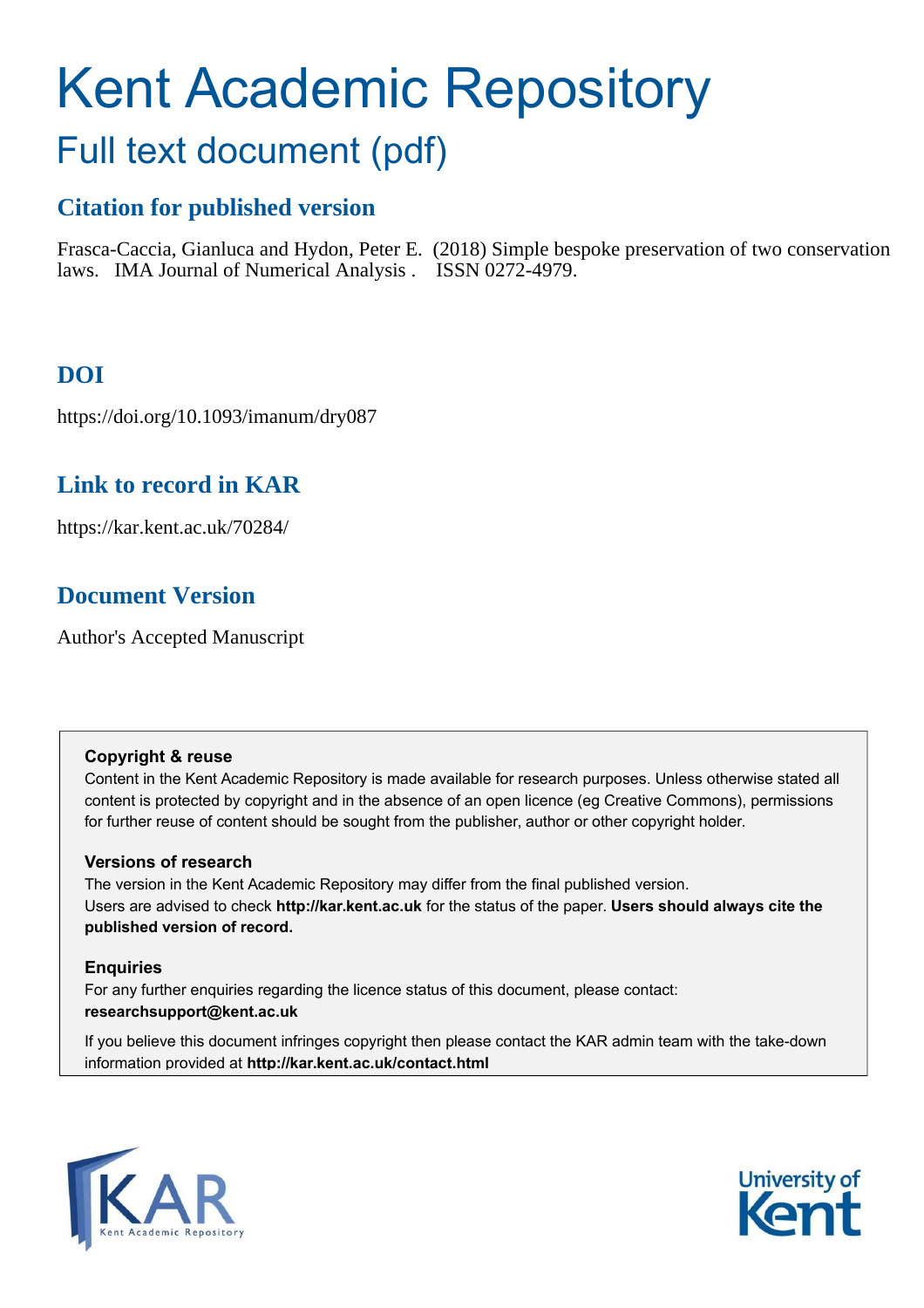# Kent Academic Repository

# Full text document (pdf)

# **Citation for published version**

Frasca-Caccia, Gianluca and Hydon, Peter E. (2018) Simple bespoke preservation of two conservation laws. IMA Journal of Numerical Analysis . ISSN 0272-4979.

# **DOI**

https://doi.org/10.1093/imanum/dry087

# **Link to record in KAR**

https://kar.kent.ac.uk/70284/

# **Document Version**

Author's Accepted Manuscript

## **Copyright & reuse**

Content in the Kent Academic Repository is made available for research purposes. Unless otherwise stated all content is protected by copyright and in the absence of an open licence (eg Creative Commons), permissions for further reuse of content should be sought from the publisher, author or other copyright holder.

## **Versions of research**

The version in the Kent Academic Repository may differ from the final published version. Users are advised to check **http://kar.kent.ac.uk** for the status of the paper. **Users should always cite the published version of record.**

## **Enquiries**

For any further enquiries regarding the licence status of this document, please contact: **researchsupport@kent.ac.uk**

If you believe this document infringes copyright then please contact the KAR admin team with the take-down information provided at **http://kar.kent.ac.uk/contact.html**



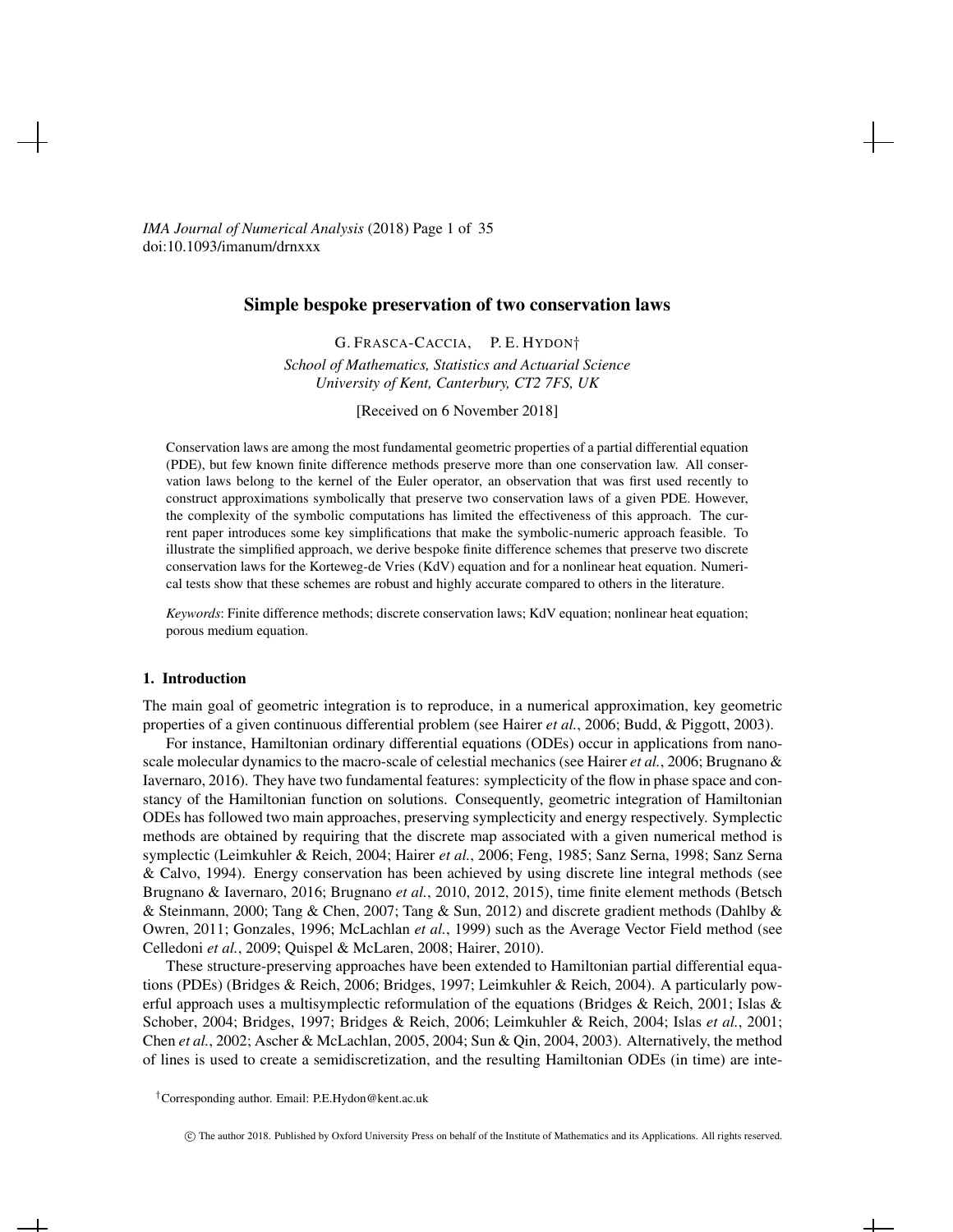*IMA Journal of Numerical Analysis* (2018) Page 1 of 35 doi:10.1093/imanum/drnxxx

#### Simple bespoke preservation of two conservation laws

G. FRASCA-CACCIA, P. E. HYDON† *School of Mathematics, Statistics and Actuarial Science University of Kent, Canterbury, CT2 7FS, UK*

[Received on 6 November 2018]

Conservation laws are among the most fundamental geometric properties of a partial differential equation (PDE), but few known finite difference methods preserve more than one conservation law. All conservation laws belong to the kernel of the Euler operator, an observation that was first used recently to construct approximations symbolically that preserve two conservation laws of a given PDE. However, the complexity of the symbolic computations has limited the effectiveness of this approach. The current paper introduces some key simplifications that make the symbolic-numeric approach feasible. To illustrate the simplified approach, we derive bespoke finite difference schemes that preserve two discrete conservation laws for the Korteweg-de Vries (KdV) equation and for a nonlinear heat equation. Numerical tests show that these schemes are robust and highly accurate compared to others in the literature.

*Keywords*: Finite difference methods; discrete conservation laws; KdV equation; nonlinear heat equation; porous medium equation.

#### 1. Introduction

The main goal of geometric integration is to reproduce, in a numerical approximation, key geometric properties of a given continuous differential problem (see Hairer *et al.*, 2006; Budd, & Piggott, 2003).

For instance, Hamiltonian ordinary differential equations (ODEs) occur in applications from nanoscale molecular dynamics to the macro-scale of celestial mechanics (see Hairer *et al.*, 2006; Brugnano & Iavernaro, 2016). They have two fundamental features: symplecticity of the flow in phase space and constancy of the Hamiltonian function on solutions. Consequently, geometric integration of Hamiltonian ODEs has followed two main approaches, preserving symplecticity and energy respectively. Symplectic methods are obtained by requiring that the discrete map associated with a given numerical method is symplectic (Leimkuhler & Reich, 2004; Hairer *et al.*, 2006; Feng, 1985; Sanz Serna, 1998; Sanz Serna & Calvo, 1994). Energy conservation has been achieved by using discrete line integral methods (see Brugnano & Iavernaro, 2016; Brugnano *et al.*, 2010, 2012, 2015), time finite element methods (Betsch & Steinmann, 2000; Tang & Chen, 2007; Tang & Sun, 2012) and discrete gradient methods (Dahlby & Owren, 2011; Gonzales, 1996; McLachlan *et al.*, 1999) such as the Average Vector Field method (see Celledoni *et al.*, 2009; Quispel & McLaren, 2008; Hairer, 2010).

These structure-preserving approaches have been extended to Hamiltonian partial differential equations (PDEs) (Bridges & Reich, 2006; Bridges, 1997; Leimkuhler & Reich, 2004). A particularly powerful approach uses a multisymplectic reformulation of the equations (Bridges & Reich, 2001; Islas & Schober, 2004; Bridges, 1997; Bridges & Reich, 2006; Leimkuhler & Reich, 2004; Islas *et al.*, 2001; Chen *et al.*, 2002; Ascher & McLachlan, 2005, 2004; Sun & Qin, 2004, 2003). Alternatively, the method of lines is used to create a semidiscretization, and the resulting Hamiltonian ODEs (in time) are inte-

┵

<sup>†</sup>Corresponding author. Email: P.E.Hydon@kent.ac.uk

c The author 2018. Published by Oxford University Press on behalf of the Institute of Mathematics and its Applications. All rights reserved.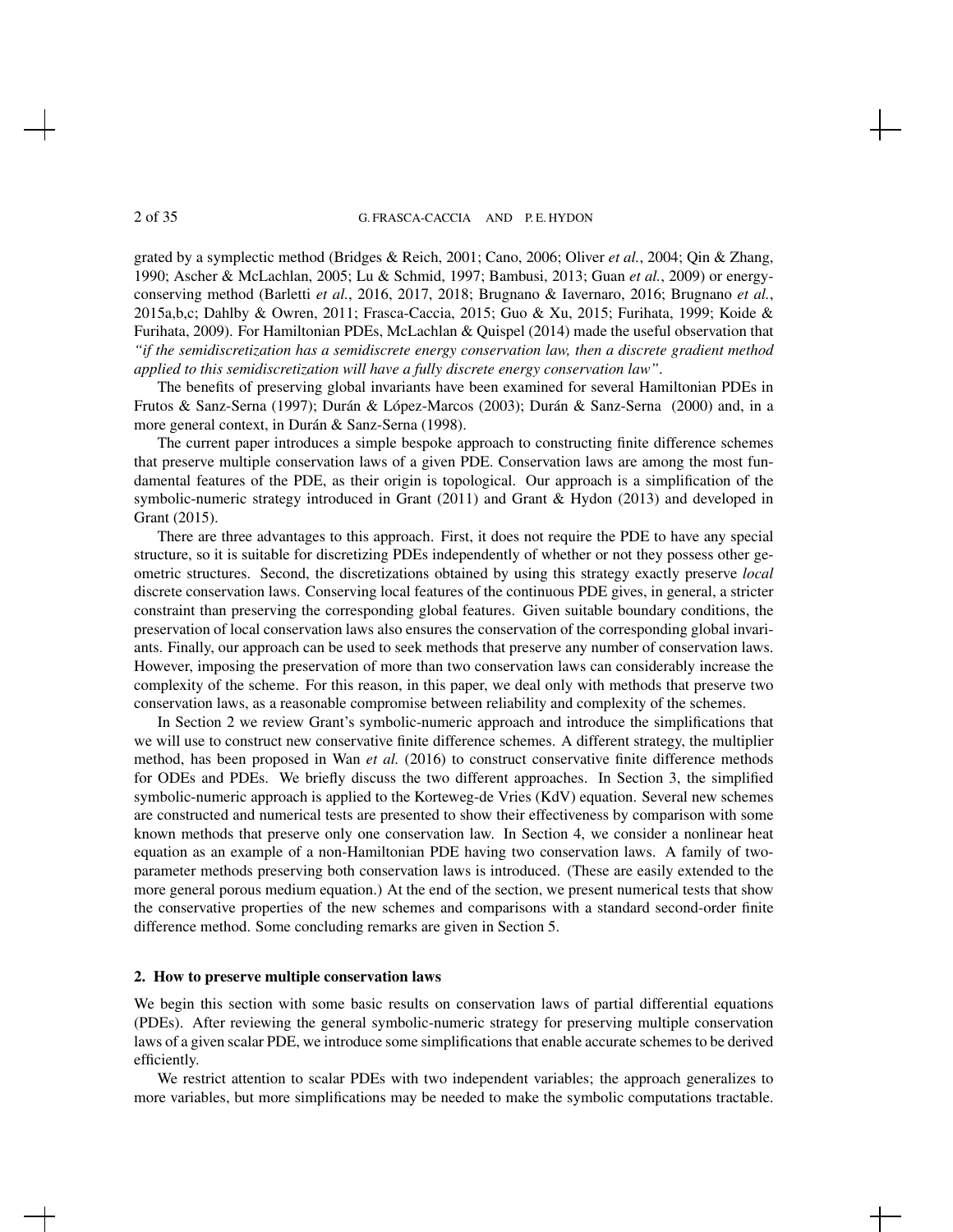grated by a symplectic method (Bridges & Reich, 2001; Cano, 2006; Oliver *et al.*, 2004; Qin & Zhang, 1990; Ascher & McLachlan, 2005; Lu & Schmid, 1997; Bambusi, 2013; Guan *et al.*, 2009) or energyconserving method (Barletti *et al.*, 2016, 2017, 2018; Brugnano & Iavernaro, 2016; Brugnano *et al.*, 2015a,b,c; Dahlby & Owren, 2011; Frasca-Caccia, 2015; Guo & Xu, 2015; Furihata, 1999; Koide & Furihata, 2009). For Hamiltonian PDEs, McLachlan & Quispel (2014) made the useful observation that *"if the semidiscretization has a semidiscrete energy conservation law, then a discrete gradient method applied to this semidiscretization will have a fully discrete energy conservation law"*.

The benefits of preserving global invariants have been examined for several Hamiltonian PDEs in Frutos & Sanz-Serna (1997); Durán & López-Marcos (2003); Durán & Sanz-Serna (2000) and, in a more general context, in Durán & Sanz-Serna (1998).

The current paper introduces a simple bespoke approach to constructing finite difference schemes that preserve multiple conservation laws of a given PDE. Conservation laws are among the most fundamental features of the PDE, as their origin is topological. Our approach is a simplification of the symbolic-numeric strategy introduced in Grant (2011) and Grant & Hydon (2013) and developed in Grant (2015).

There are three advantages to this approach. First, it does not require the PDE to have any special structure, so it is suitable for discretizing PDEs independently of whether or not they possess other geometric structures. Second, the discretizations obtained by using this strategy exactly preserve *local* discrete conservation laws. Conserving local features of the continuous PDE gives, in general, a stricter constraint than preserving the corresponding global features. Given suitable boundary conditions, the preservation of local conservation laws also ensures the conservation of the corresponding global invariants. Finally, our approach can be used to seek methods that preserve any number of conservation laws. However, imposing the preservation of more than two conservation laws can considerably increase the complexity of the scheme. For this reason, in this paper, we deal only with methods that preserve two conservation laws, as a reasonable compromise between reliability and complexity of the schemes.

In Section 2 we review Grant's symbolic-numeric approach and introduce the simplifications that we will use to construct new conservative finite difference schemes. A different strategy, the multiplier method, has been proposed in Wan *et al.* (2016) to construct conservative finite difference methods for ODEs and PDEs. We briefly discuss the two different approaches. In Section 3, the simplified symbolic-numeric approach is applied to the Korteweg-de Vries (KdV) equation. Several new schemes are constructed and numerical tests are presented to show their effectiveness by comparison with some known methods that preserve only one conservation law. In Section 4, we consider a nonlinear heat equation as an example of a non-Hamiltonian PDE having two conservation laws. A family of twoparameter methods preserving both conservation laws is introduced. (These are easily extended to the more general porous medium equation.) At the end of the section, we present numerical tests that show the conservative properties of the new schemes and comparisons with a standard second-order finite difference method. Some concluding remarks are given in Section 5.

#### 2. How to preserve multiple conservation laws

We begin this section with some basic results on conservation laws of partial differential equations (PDEs). After reviewing the general symbolic-numeric strategy for preserving multiple conservation laws of a given scalar PDE, we introduce some simplifications that enable accurate schemes to be derived efficiently.

We restrict attention to scalar PDEs with two independent variables; the approach generalizes to more variables, but more simplifications may be needed to make the symbolic computations tractable.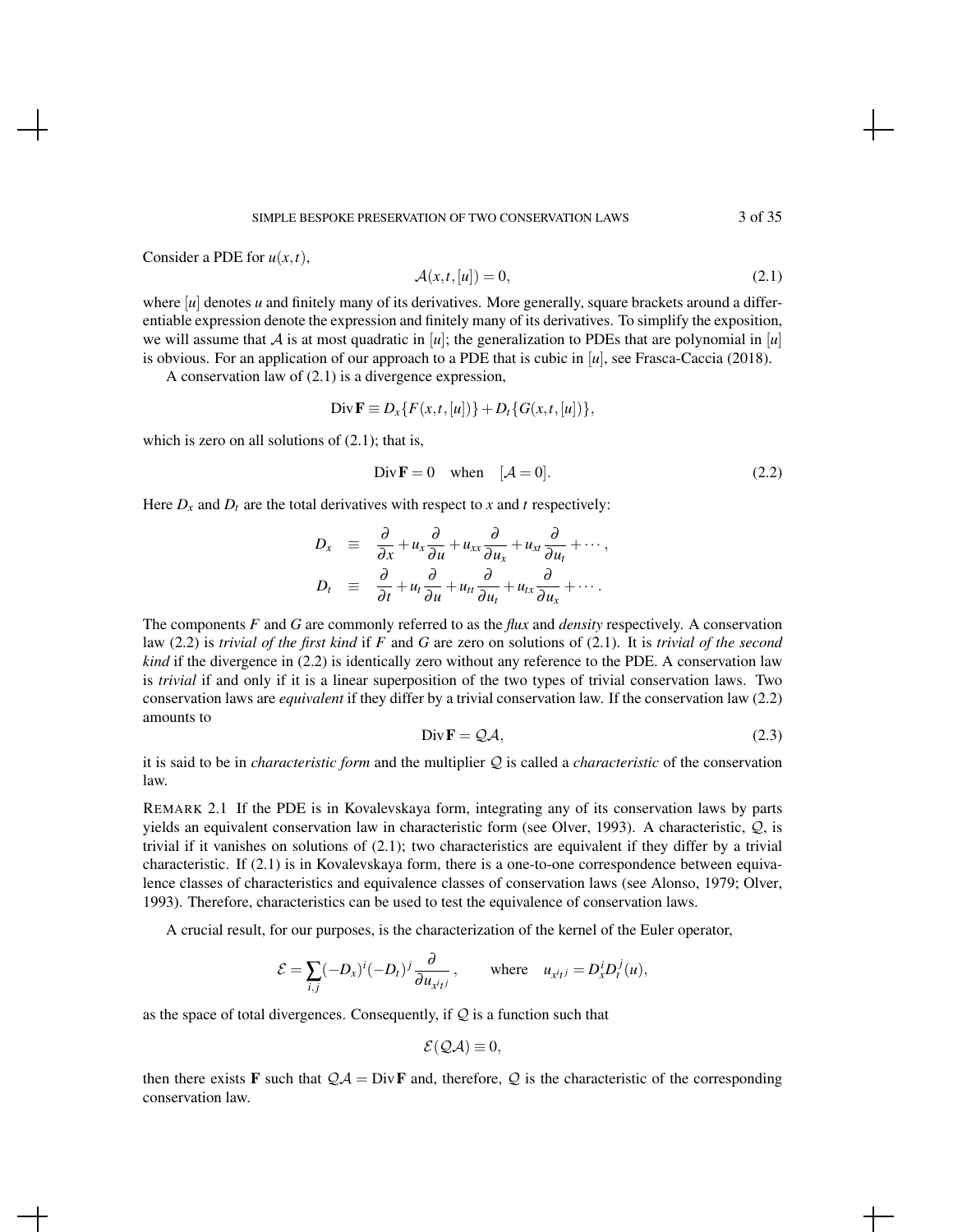Consider a PDE for *u*(*x*,*t*),

$$
\mathcal{A}(x,t,[u]) = 0,\tag{2.1}
$$

where [*u*] denotes *u* and finitely many of its derivatives. More generally, square brackets around a differentiable expression denote the expression and finitely many of its derivatives. To simplify the exposition, we will assume that A is at most quadratic in  $[u]$ ; the generalization to PDEs that are polynomial in  $[u]$ is obvious. For an application of our approach to a PDE that is cubic in [*u*], see Frasca-Caccia (2018).

A conservation law of (2.1) is a divergence expression,

$$
\text{Div }\mathbf{F} \equiv D_x\{F(x,t,[u])\} + D_t\{G(x,t,[u])\},
$$

which is zero on all solutions of  $(2.1)$ ; that is,

$$
\text{Div}\mathbf{F} = 0 \quad \text{when} \quad [\mathcal{A} = 0]. \tag{2.2}
$$

Here  $D_x$  and  $D_t$  are the total derivatives with respect to x and t respectively:

$$
D_x \equiv \frac{\partial}{\partial x} + u_x \frac{\partial}{\partial u} + u_{xx} \frac{\partial}{\partial u_x} + u_{xt} \frac{\partial}{\partial u_t} + \cdots,
$$
  

$$
D_t \equiv \frac{\partial}{\partial t} + u_t \frac{\partial}{\partial u} + u_{tt} \frac{\partial}{\partial u_t} + u_{tx} \frac{\partial}{\partial u_x} + \cdots.
$$

The components *F* and *G* are commonly referred to as the *flux* and *density* respectively. A conservation law (2.2) is *trivial of the first kind* if *F* and *G* are zero on solutions of (2.1). It is *trivial of the second kind* if the divergence in (2.2) is identically zero without any reference to the PDE. A conservation law is *trivial* if and only if it is a linear superposition of the two types of trivial conservation laws. Two conservation laws are *equivalent* if they differ by a trivial conservation law. If the conservation law (2.2) amounts to

$$
\text{Div}\,\mathbf{F} = \mathcal{Q}\mathcal{A},\tag{2.3}
$$

it is said to be in *characteristic form* and the multiplier  $Q$  is called a *characteristic* of the conservation law.

REMARK 2.1 If the PDE is in Kovalevskaya form, integrating any of its conservation laws by parts yields an equivalent conservation law in characteristic form (see Olver, 1993). A characteristic, Q, is trivial if it vanishes on solutions of (2.1); two characteristics are equivalent if they differ by a trivial characteristic. If (2.1) is in Kovalevskaya form, there is a one-to-one correspondence between equivalence classes of characteristics and equivalence classes of conservation laws (see Alonso, 1979; Olver, 1993). Therefore, characteristics can be used to test the equivalence of conservation laws.

A crucial result, for our purposes, is the characterization of the kernel of the Euler operator,

$$
\mathcal{E} = \sum_{i,j} (-D_x)^i (-D_t)^j \frac{\partial}{\partial u_{x^i t^j}}, \quad \text{where} \quad u_{x^i t^j} = D_x^i D_t^j(u),
$$

as the space of total divergences. Consequently, if  $Q$  is a function such that

$$
\mathcal{E}(\mathcal{Q}\mathcal{A})\equiv 0,
$$

then there exists **F** such that  $QA = Div \mathbf{F}$  and, therefore, Q is the characteristic of the corresponding conservation law.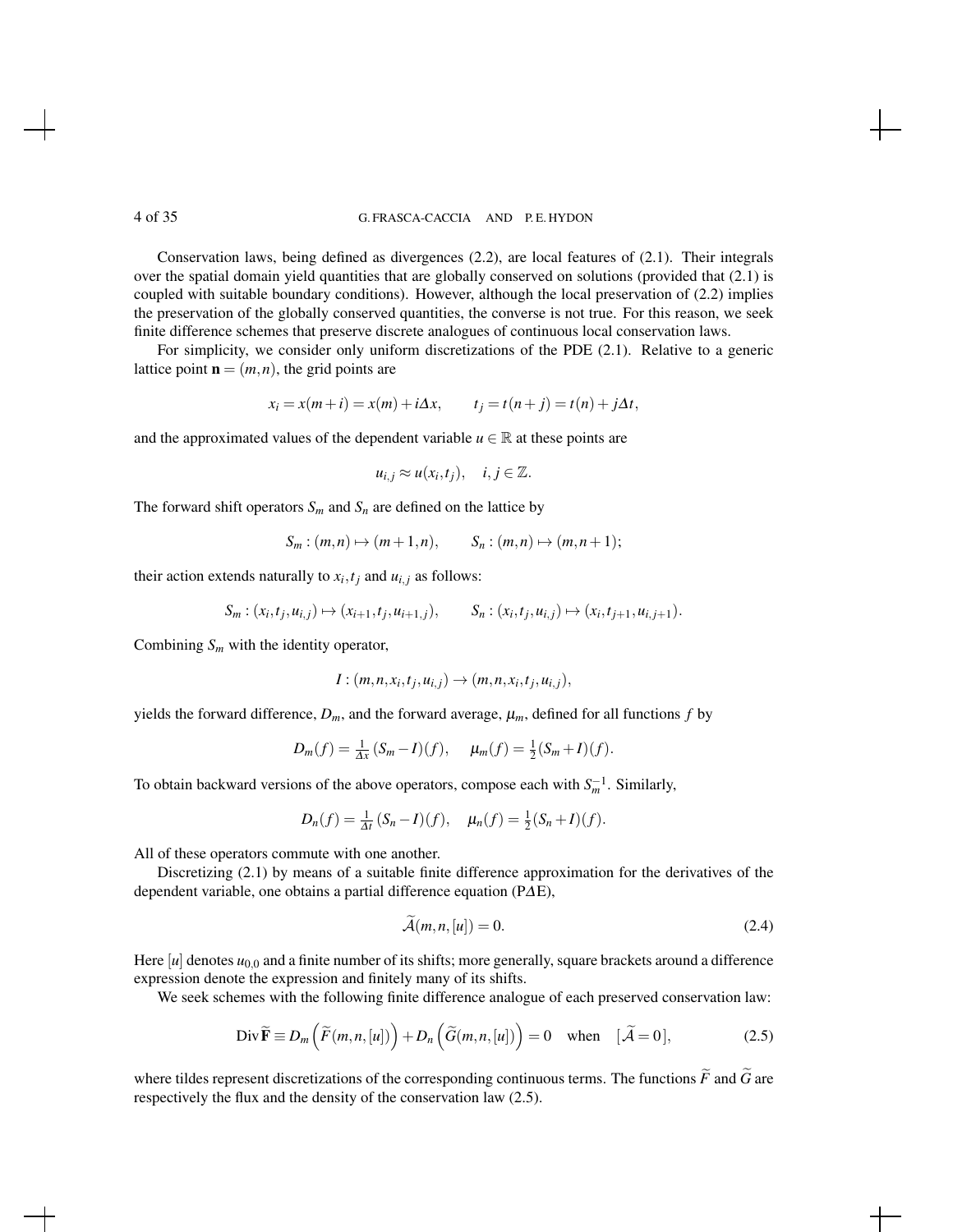Conservation laws, being defined as divergences (2.2), are local features of (2.1). Their integrals over the spatial domain yield quantities that are globally conserved on solutions (provided that (2.1) is coupled with suitable boundary conditions). However, although the local preservation of (2.2) implies the preservation of the globally conserved quantities, the converse is not true. For this reason, we seek finite difference schemes that preserve discrete analogues of continuous local conservation laws.

For simplicity, we consider only uniform discretizations of the PDE (2.1). Relative to a generic lattice point  $\mathbf{n} = (m, n)$ , the grid points are

$$
x_i = x(m+i) = x(m) + i\Delta x, \qquad t_j = t(n+j) = t(n) + j\Delta t,
$$

and the approximated values of the dependent variable  $u \in \mathbb{R}$  at these points are

$$
u_{i,j} \approx u(x_i,t_j), \quad i,j \in \mathbb{Z}.
$$

The forward shift operators  $S_m$  and  $S_n$  are defined on the lattice by

$$
S_m:(m,n)\mapsto (m+1,n),\qquad S_n:(m,n)\mapsto (m,n+1);
$$

their action extends naturally to  $x_i, t_j$  and  $u_{i,j}$  as follows:

$$
S_m : (x_i, t_j, u_{i,j}) \mapsto (x_{i+1}, t_j, u_{i+1,j}), \qquad S_n : (x_i, t_j, u_{i,j}) \mapsto (x_i, t_{j+1}, u_{i,j+1}).
$$

Combining *S<sup>m</sup>* with the identity operator,

$$
I:(m,n,x_i,t_j,u_{i,j})\to (m,n,x_i,t_j,u_{i,j}),
$$

yields the forward difference,  $D_m$ , and the forward average,  $\mu_m$ , defined for all functions *f* by

$$
D_m(f) = \frac{1}{\Delta x} (S_m - I)(f), \quad \mu_m(f) = \frac{1}{2} (S_m + I)(f).
$$

To obtain backward versions of the above operators, compose each with  $S_m^{-1}$ . Similarly,

$$
D_n(f) = \frac{1}{\Delta t} (S_n - I)(f), \quad \mu_n(f) = \frac{1}{2} (S_n + I)(f).
$$

All of these operators commute with one another.

Discretizing (2.1) by means of a suitable finite difference approximation for the derivatives of the dependent variable, one obtains a partial difference equation (P∆E),

$$
\widetilde{\mathcal{A}}(m,n,[u]) = 0. \tag{2.4}
$$

Here [*u*] denotes  $u_{0,0}$  and a finite number of its shifts; more generally, square brackets around a difference expression denote the expression and finitely many of its shifts.

We seek schemes with the following finite difference analogue of each preserved conservation law:

Div 
$$
\widetilde{\mathbf{F}} \equiv D_m\left(\widetilde{F}(m,n,[u])\right) + D_n\left(\widetilde{G}(m,n,[u])\right) = 0
$$
 when  $[\widetilde{\mathcal{A}} = 0],$  (2.5)

where tildes represent discretizations of the corresponding continuous terms. The functions  $\tilde{F}$  and  $\tilde{G}$  are respectively the flux and the density of the conservation law (2.5).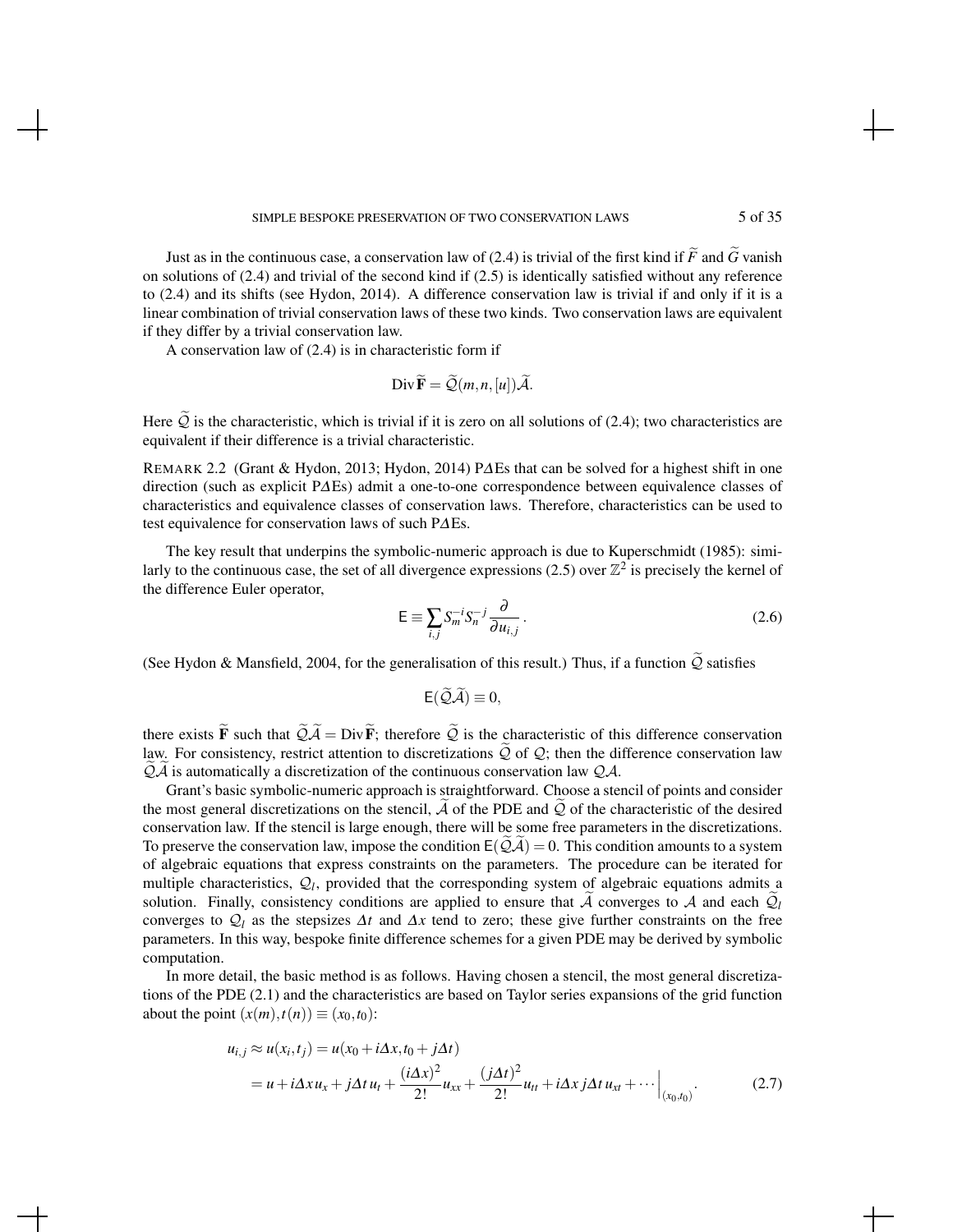Just as in the continuous case, a conservation law of (2.4) is trivial of the first kind if  $\tilde{F}$  and  $\tilde{G}$  vanish on solutions of (2.4) and trivial of the second kind if (2.5) is identically satisfied without any reference to (2.4) and its shifts (see Hydon, 2014). A difference conservation law is trivial if and only if it is a linear combination of trivial conservation laws of these two kinds. Two conservation laws are equivalent if they differ by a trivial conservation law.

A conservation law of (2.4) is in characteristic form if

$$
\operatorname{Div} \widetilde{\mathbf{F}} = \widetilde{\mathcal{Q}}(m, n, [u]) \widetilde{\mathcal{A}}.
$$

Here  $\tilde{Q}$  is the characteristic, which is trivial if it is zero on all solutions of (2.4); two characteristics are equivalent if their difference is a trivial characteristic.

REMARK 2.2 (Grant & Hydon, 2013; Hydon, 2014) P∆Es that can be solved for a highest shift in one direction (such as explicit P∆Es) admit a one-to-one correspondence between equivalence classes of characteristics and equivalence classes of conservation laws. Therefore, characteristics can be used to test equivalence for conservation laws of such P∆Es.

The key result that underpins the symbolic-numeric approach is due to Kuperschmidt (1985): similarly to the continuous case, the set of all divergence expressions (2.5) over  $\mathbb{Z}^2$  is precisely the kernel of the difference Euler operator,

$$
\mathsf{E} \equiv \sum_{i,j} S_m^{-i} S_n^{-j} \frac{\partial}{\partial u_{i,j}} \,. \tag{2.6}
$$

(See Hydon & Mansfield, 2004, for the generalisation of this result.) Thus, if a function  $\tilde{Q}$  satisfies

$$
E(\widetilde{\mathcal{Q}}\widetilde{\mathcal{A}})\equiv 0,
$$

there exists  $\tilde{F}$  such that  $\tilde{Q}\tilde{A} = Div \tilde{F}$ ; therefore  $\tilde{Q}$  is the characteristic of this difference conservation law. For consistency, restrict attention to discretizations  $\overline{Q}$  of  $\overline{Q}$ ; then the difference conservation law  $Q\mathcal{A}$  is automatically a discretization of the continuous conservation law  $Q\mathcal{A}$ .

Grant's basic symbolic-numeric approach is straightforward. Choose a stencil of points and consider the most general discretizations on the stencil,  $A$  of the PDE and  $Q$  of the characteristic of the desired conservation law. If the stencil is large enough, there will be some free parameters in the discretizations. To preserve the conservation law, impose the condition  $E(QA) = 0$ . This condition amounts to a system of algebraic equations that express constraints on the parameters. The procedure can be iterated for multiple characteristics,  $Q_l$ , provided that the corresponding system of algebraic equations admits  $\tilde{Q}$ solution. Finally, consistency conditions are applied to ensure that A converges to A and each  $Q_l$ converges to  $Q_l$  as the stepsizes  $\Delta t$  and  $\Delta x$  tend to zero; these give further constraints on the free parameters. In this way, bespoke finite difference schemes for a given PDE may be derived by symbolic computation.

In more detail, the basic method is as follows. Having chosen a stencil, the most general discretizations of the PDE (2.1) and the characteristics are based on Taylor series expansions of the grid function about the point  $(x(m), t(n)) \equiv (x_0, t_0)$ :

$$
u_{i,j} \approx u(x_i, t_j) = u(x_0 + i\Delta x, t_0 + j\Delta t)
$$
  
=  $u + i\Delta x u_x + j\Delta t u_t + \frac{(i\Delta x)^2}{2!} u_{xx} + \frac{(j\Delta t)^2}{2!} u_{tt} + i\Delta x j\Delta t u_{xt} + \cdots \Big|_{(x_0, t_0)}.$  (2.7)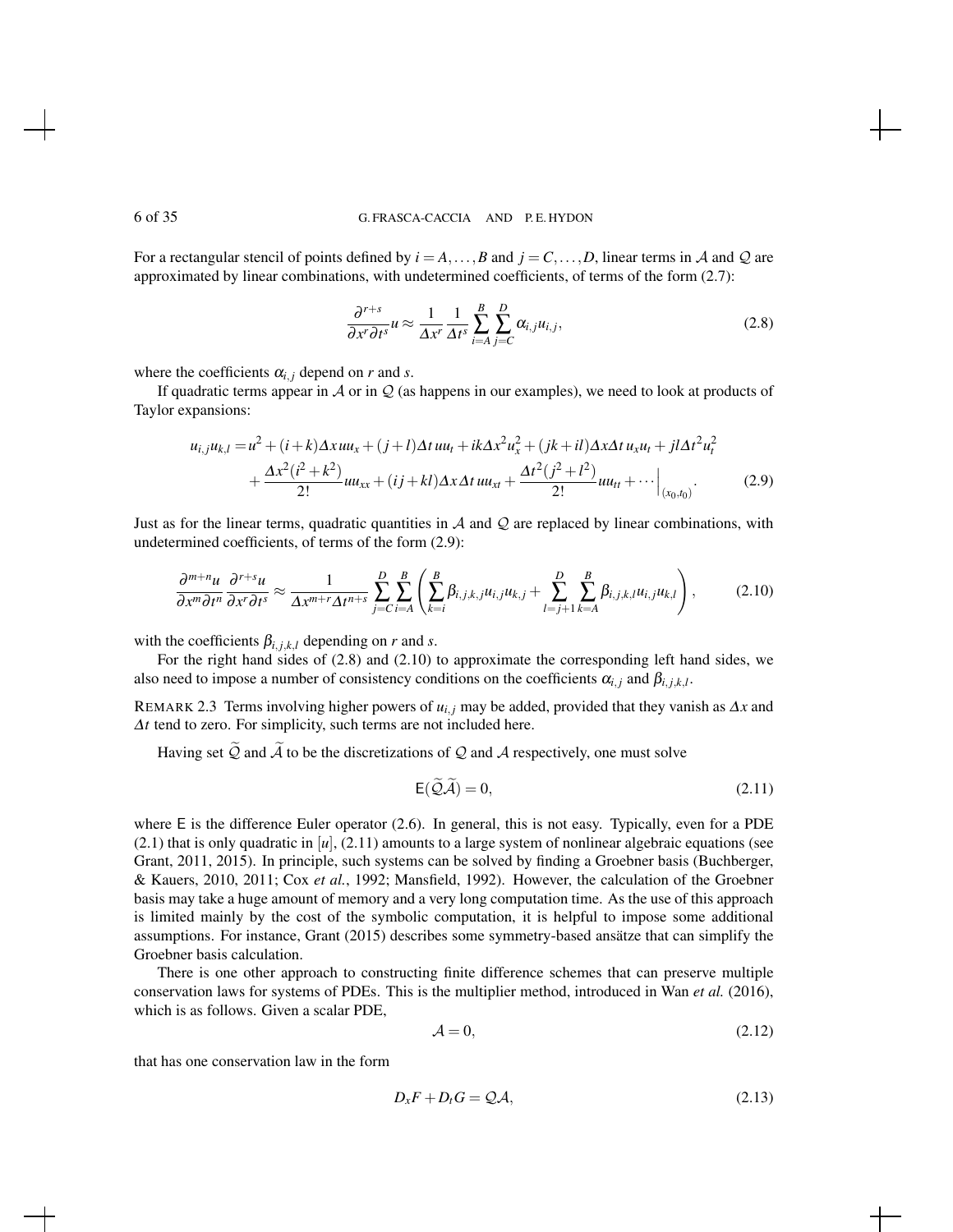For a rectangular stencil of points defined by  $i = A, \ldots, B$  and  $j = C, \ldots, D$ , linear terms in A and Q are approximated by linear combinations, with undetermined coefficients, of terms of the form (2.7):

$$
\frac{\partial^{r+s}}{\partial x^r \partial t^s} u \approx \frac{1}{\Delta x^r} \frac{1}{\Delta t^s} \sum_{i=A}^{B} \sum_{j=C}^{D} \alpha_{i,j} u_{i,j},
$$
\n(2.8)

where the coefficients  $\alpha_{i,j}$  depend on *r* and *s*.

If quadratic terms appear in  $\mathcal A$  or in  $\mathcal Q$  (as happens in our examples), we need to look at products of Taylor expansions:

$$
u_{i,j}u_{k,l} = u^2 + (i + k)\Delta x u u_x + (j + l)\Delta t u u_t + ik\Delta x^2 u_x^2 + (jk + il)\Delta x \Delta t u_x u_t + jl\Delta t^2 u_t^2 + \frac{\Delta x^2(i^2 + k^2)}{2!} u u_{xx} + (ij + kl)\Delta x \Delta t u u_{xt} + \frac{\Delta t^2(j^2 + l^2)}{2!} u u_{tt} + \cdots \Big|_{(x_0, t_0)}.
$$
(2.9)

Just as for the linear terms, quadratic quantities in  $A$  and  $Q$  are replaced by linear combinations, with undetermined coefficients, of terms of the form (2.9):

$$
\frac{\partial^{m+n} u}{\partial x^m \partial t^n} \frac{\partial^{r+s} u}{\partial x^r \partial t^s} \approx \frac{1}{\Delta x^{m+r} \Delta t^{n+s}} \sum_{j=C}^{D} \sum_{i=A}^{B} \left( \sum_{k=i}^{B} \beta_{i,j,k,j} u_{i,j} u_{k,j} + \sum_{l=j+1}^{D} \sum_{k=A}^{B} \beta_{i,j,k,l} u_{i,j} u_{k,l} \right), \tag{2.10}
$$

with the coefficients  $\beta_{i,j,k,l}$  depending on *r* and *s*.

For the right hand sides of (2.8) and (2.10) to approximate the corresponding left hand sides, we also need to impose a number of consistency conditions on the coefficients  $\alpha_{i,j}$  and  $\beta_{i,j,k,l}$ .

REMARK 2.3 Terms involving higher powers of  $u_{i,j}$  may be added, provided that they vanish as  $\Delta x$  and ∆*t* tend to zero. For simplicity, such terms are not included here.

Having set  $\widetilde{Q}$  and  $\widetilde{A}$  to be the discretizations of  $Q$  and  $A$  respectively, one must solve

$$
E(\widetilde{\mathcal{Q}}\widetilde{\mathcal{A}}) = 0,\tag{2.11}
$$

where E is the difference Euler operator  $(2.6)$ . In general, this is not easy. Typically, even for a PDE  $(2.1)$  that is only quadratic in  $[u]$ ,  $(2.11)$  amounts to a large system of nonlinear algebraic equations (see Grant, 2011, 2015). In principle, such systems can be solved by finding a Groebner basis (Buchberger, & Kauers, 2010, 2011; Cox *et al.*, 1992; Mansfield, 1992). However, the calculation of the Groebner basis may take a huge amount of memory and a very long computation time. As the use of this approach is limited mainly by the cost of the symbolic computation, it is helpful to impose some additional assumptions. For instance, Grant (2015) describes some symmetry-based ansatze that can simplify the Groebner basis calculation.

There is one other approach to constructing finite difference schemes that can preserve multiple conservation laws for systems of PDEs. This is the multiplier method, introduced in Wan *et al.* (2016), which is as follows. Given a scalar PDE,

$$
\mathcal{A} = 0,\tag{2.12}
$$

that has one conservation law in the form

$$
D_x F + D_t G = \mathcal{Q} \mathcal{A},\tag{2.13}
$$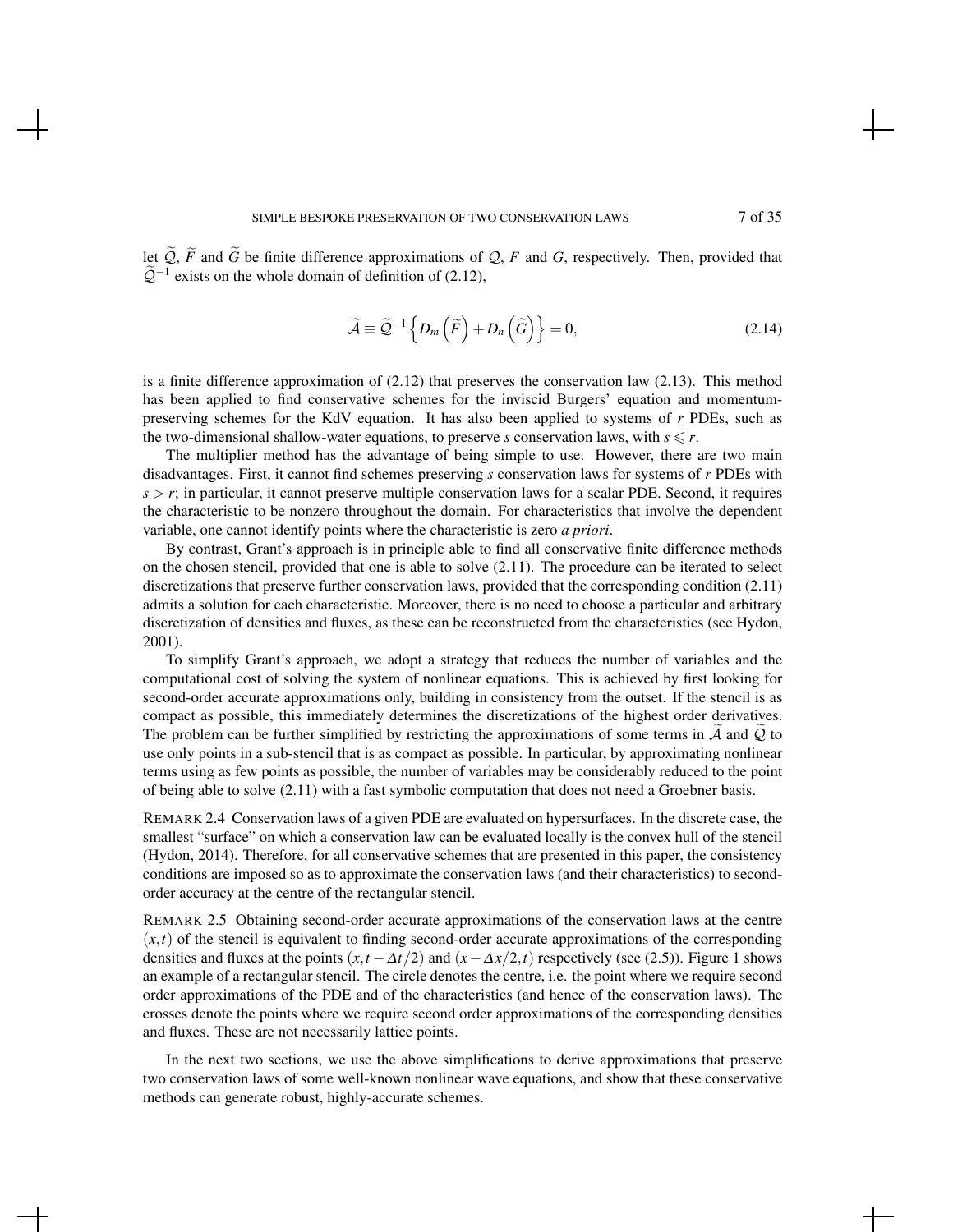let  $\widetilde{Q}$ ,  $\widetilde{F}$  and  $\widetilde{G}$  be finite difference approximations of  $Q$ ,  $F$  and  $G$ , respectively. Then, provided that  $\tilde{Q}^{-1}$  exists on the whole domain of definition of (2.12),

$$
\widetilde{\mathcal{A}} \equiv \widetilde{\mathcal{Q}}^{-1} \left\{ D_m \left( \widetilde{F} \right) + D_n \left( \widetilde{G} \right) \right\} = 0, \tag{2.14}
$$

is a finite difference approximation of (2.12) that preserves the conservation law (2.13). This method has been applied to find conservative schemes for the inviscid Burgers' equation and momentumpreserving schemes for the KdV equation. It has also been applied to systems of *r* PDEs, such as the two-dimensional shallow-water equations, to preserve *s* conservation laws, with  $s \leq r$ .

The multiplier method has the advantage of being simple to use. However, there are two main disadvantages. First, it cannot find schemes preserving *s* conservation laws for systems of *r* PDEs with  $s > r$ ; in particular, it cannot preserve multiple conservation laws for a scalar PDE. Second, it requires the characteristic to be nonzero throughout the domain. For characteristics that involve the dependent variable, one cannot identify points where the characteristic is zero *a priori*.

By contrast, Grant's approach is in principle able to find all conservative finite difference methods on the chosen stencil, provided that one is able to solve (2.11). The procedure can be iterated to select discretizations that preserve further conservation laws, provided that the corresponding condition (2.11) admits a solution for each characteristic. Moreover, there is no need to choose a particular and arbitrary discretization of densities and fluxes, as these can be reconstructed from the characteristics (see Hydon, 2001).

To simplify Grant's approach, we adopt a strategy that reduces the number of variables and the computational cost of solving the system of nonlinear equations. This is achieved by first looking for second-order accurate approximations only, building in consistency from the outset. If the stencil is as compact as possible, this immediately determines the discretizations of the highest order derivatives. The problem can be further simplified by restricting the approximations of some terms in  $\mathcal A$  and  $\mathcal Q$  to use only points in a sub-stencil that is as compact as possible. In particular, by approximating nonlinear terms using as few points as possible, the number of variables may be considerably reduced to the point of being able to solve (2.11) with a fast symbolic computation that does not need a Groebner basis.

REMARK 2.4 Conservation laws of a given PDE are evaluated on hypersurfaces. In the discrete case, the smallest "surface" on which a conservation law can be evaluated locally is the convex hull of the stencil (Hydon, 2014). Therefore, for all conservative schemes that are presented in this paper, the consistency conditions are imposed so as to approximate the conservation laws (and their characteristics) to secondorder accuracy at the centre of the rectangular stencil.

REMARK 2.5 Obtaining second-order accurate approximations of the conservation laws at the centre  $(x,t)$  of the stencil is equivalent to finding second-order accurate approximations of the corresponding densities and fluxes at the points  $(x, t - \Delta t/2)$  and  $(x - \Delta x/2, t)$  respectively (see (2.5)). Figure 1 shows an example of a rectangular stencil. The circle denotes the centre, i.e. the point where we require second order approximations of the PDE and of the characteristics (and hence of the conservation laws). The crosses denote the points where we require second order approximations of the corresponding densities and fluxes. These are not necessarily lattice points.

In the next two sections, we use the above simplifications to derive approximations that preserve two conservation laws of some well-known nonlinear wave equations, and show that these conservative methods can generate robust, highly-accurate schemes.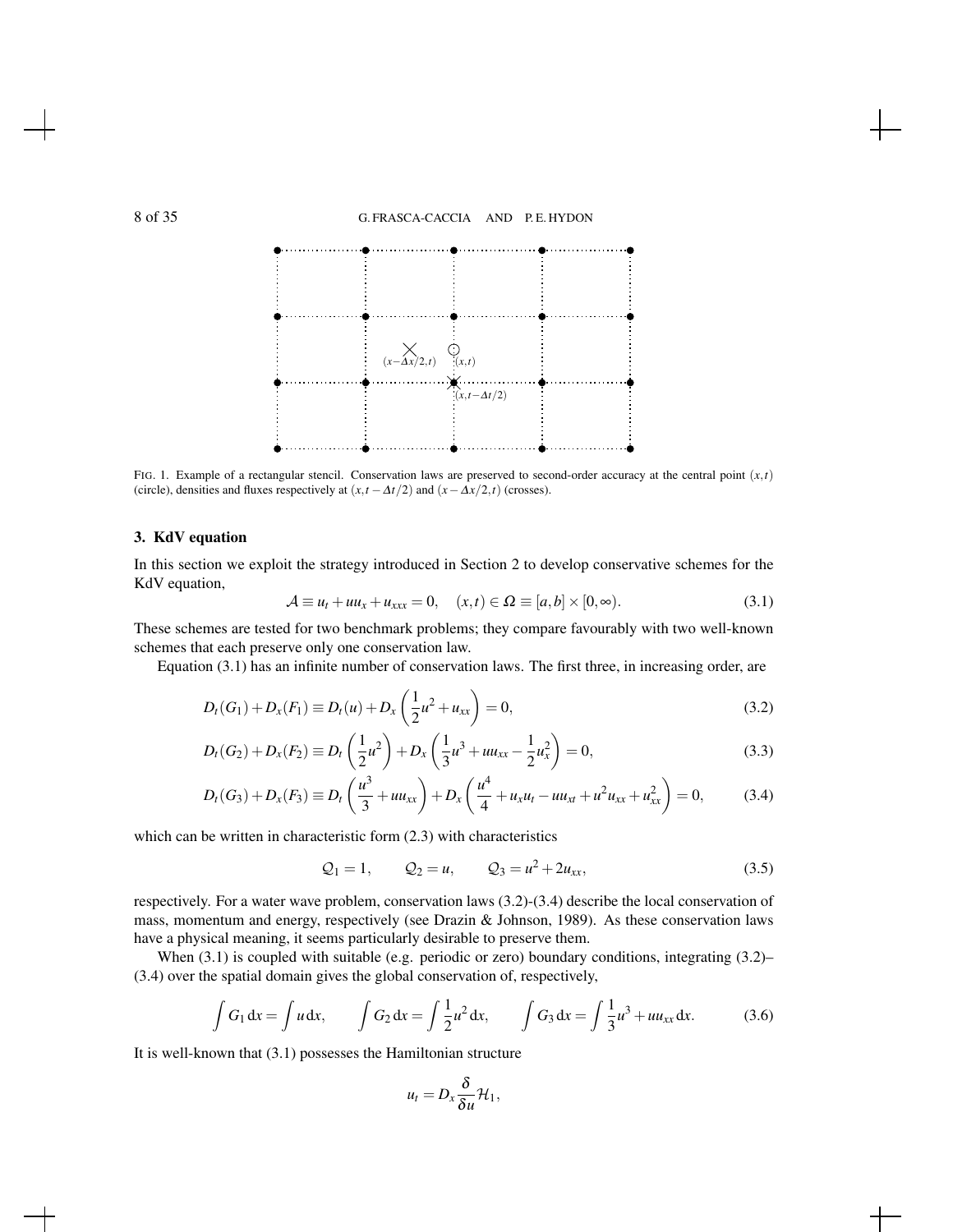

FIG. 1. Example of a rectangular stencil. Conservation laws are preserved to second-order accuracy at the central point (*x*,*t*) (circle), densities and fluxes respectively at  $(x,t - \Delta t/2)$  and  $(x - \Delta x/2,t)$  (crosses).

#### 3. KdV equation

In this section we exploit the strategy introduced in Section 2 to develop conservative schemes for the KdV equation,

$$
\mathcal{A} \equiv u_t + uu_x + u_{xxx} = 0, \quad (x, t) \in \Omega \equiv [a, b] \times [0, \infty). \tag{3.1}
$$

These schemes are tested for two benchmark problems; they compare favourably with two well-known schemes that each preserve only one conservation law.

Equation (3.1) has an infinite number of conservation laws. The first three, in increasing order, are

$$
D_t(G_1) + D_x(F_1) \equiv D_t(u) + D_x\left(\frac{1}{2}u^2 + u_{xx}\right) = 0,
$$
\n(3.2)

$$
D_t(G_2) + D_x(F_2) \equiv D_t\left(\frac{1}{2}u^2\right) + D_x\left(\frac{1}{3}u^3 + uu_{xx} - \frac{1}{2}u_x^2\right) = 0,
$$
\n(3.3)

$$
D_t(G_3) + D_x(F_3) \equiv D_t\left(\frac{u^3}{3} + uu_{xx}\right) + D_x\left(\frac{u^4}{4} + u_xu_t - uu_{xt} + u^2u_{xx} + u^2_{xx}\right) = 0, \tag{3.4}
$$

which can be written in characteristic form  $(2.3)$  with characteristics

$$
Q_1 = 1,
$$
  $Q_2 = u,$   $Q_3 = u^2 + 2u_{xx},$  (3.5)

respectively. For a water wave problem, conservation laws (3.2)-(3.4) describe the local conservation of mass, momentum and energy, respectively (see Drazin & Johnson, 1989). As these conservation laws have a physical meaning, it seems particularly desirable to preserve them.

When (3.1) is coupled with suitable (e.g. periodic or zero) boundary conditions, integrating (3.2)-(3.4) over the spatial domain gives the global conservation of, respectively,

$$
\int G_1 dx = \int u dx
$$
,  $\int G_2 dx = \int \frac{1}{2} u^2 dx$ ,  $\int G_3 dx = \int \frac{1}{3} u^3 + u u_{xx} dx$ . (3.6)

It is well-known that (3.1) possesses the Hamiltonian structure

$$
u_t=D_x\frac{\delta}{\delta u}\mathcal{H}_1,
$$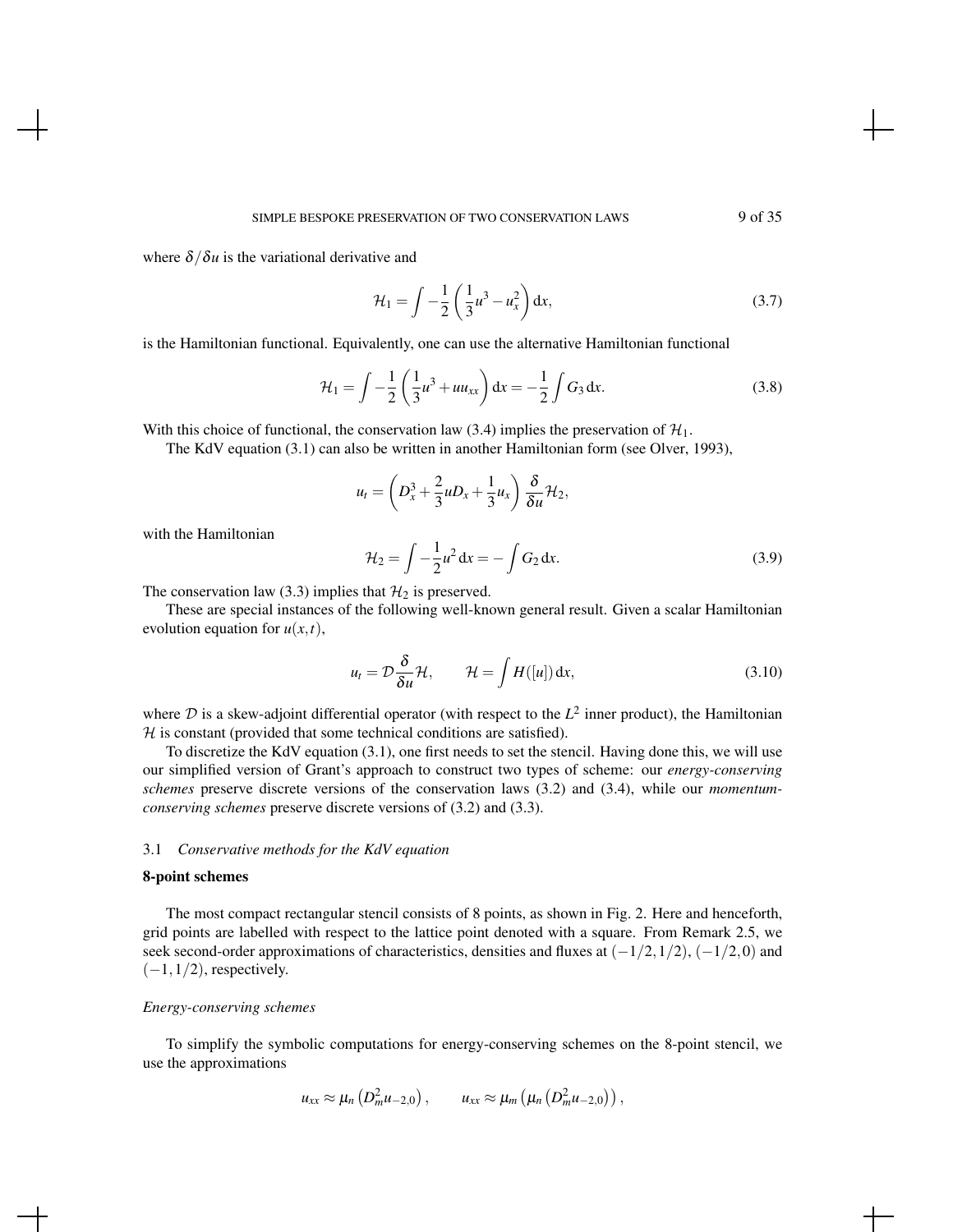where  $\delta/\delta u$  is the variational derivative and

$$
\mathcal{H}_1 = \int -\frac{1}{2} \left( \frac{1}{3} u^3 - u_x^2 \right) dx,\tag{3.7}
$$

is the Hamiltonian functional. Equivalently, one can use the alternative Hamiltonian functional

$$
\mathcal{H}_1 = \int -\frac{1}{2} \left( \frac{1}{3} u^3 + u u_{xx} \right) dx = -\frac{1}{2} \int G_3 dx.
$$
 (3.8)

With this choice of functional, the conservation law (3.4) implies the preservation of  $\mathcal{H}_1$ .

The KdV equation (3.1) can also be written in another Hamiltonian form (see Olver, 1993),

$$
u_t = \left(D_x^3 + \frac{2}{3}uD_x + \frac{1}{3}u_x\right)\frac{\delta}{\delta u}\mathcal{H}_2,
$$

with the Hamiltonian

$$
\mathcal{H}_2 = \int -\frac{1}{2}u^2 dx = -\int G_2 dx.
$$
 (3.9)

The conservation law (3.3) implies that  $\mathcal{H}_2$  is preserved.

These are special instances of the following well-known general result. Given a scalar Hamiltonian evolution equation for  $u(x,t)$ ,

$$
u_t = \mathcal{D}\frac{\delta}{\delta u}\mathcal{H}, \qquad \mathcal{H} = \int H([u]) dx,
$$
\n(3.10)

where  $D$  is a skew-adjoint differential operator (with respect to the  $L^2$  inner product), the Hamiltonian  $H$  is constant (provided that some technical conditions are satisfied).

To discretize the KdV equation (3.1), one first needs to set the stencil. Having done this, we will use our simplified version of Grant's approach to construct two types of scheme: our *energy-conserving schemes* preserve discrete versions of the conservation laws (3.2) and (3.4), while our *momentumconserving schemes* preserve discrete versions of (3.2) and (3.3).

#### 3.1 *Conservative methods for the KdV equation*

#### 8-point schemes

The most compact rectangular stencil consists of 8 points, as shown in Fig. 2. Here and henceforth, grid points are labelled with respect to the lattice point denoted with a square. From Remark 2.5, we seek second-order approximations of characteristics, densities and fluxes at  $(-1/2,1/2)$ ,  $(-1/2,0)$  and  $(-1,1/2)$ , respectively.

#### *Energy-conserving schemes*

To simplify the symbolic computations for energy-conserving schemes on the 8-point stencil, we use the approximations

$$
u_{xx} \approx \mu_n\left(D_m^2 u_{-2,0}\right), \qquad u_{xx} \approx \mu_m\left(\mu_n\left(D_m^2 u_{-2,0}\right)\right),
$$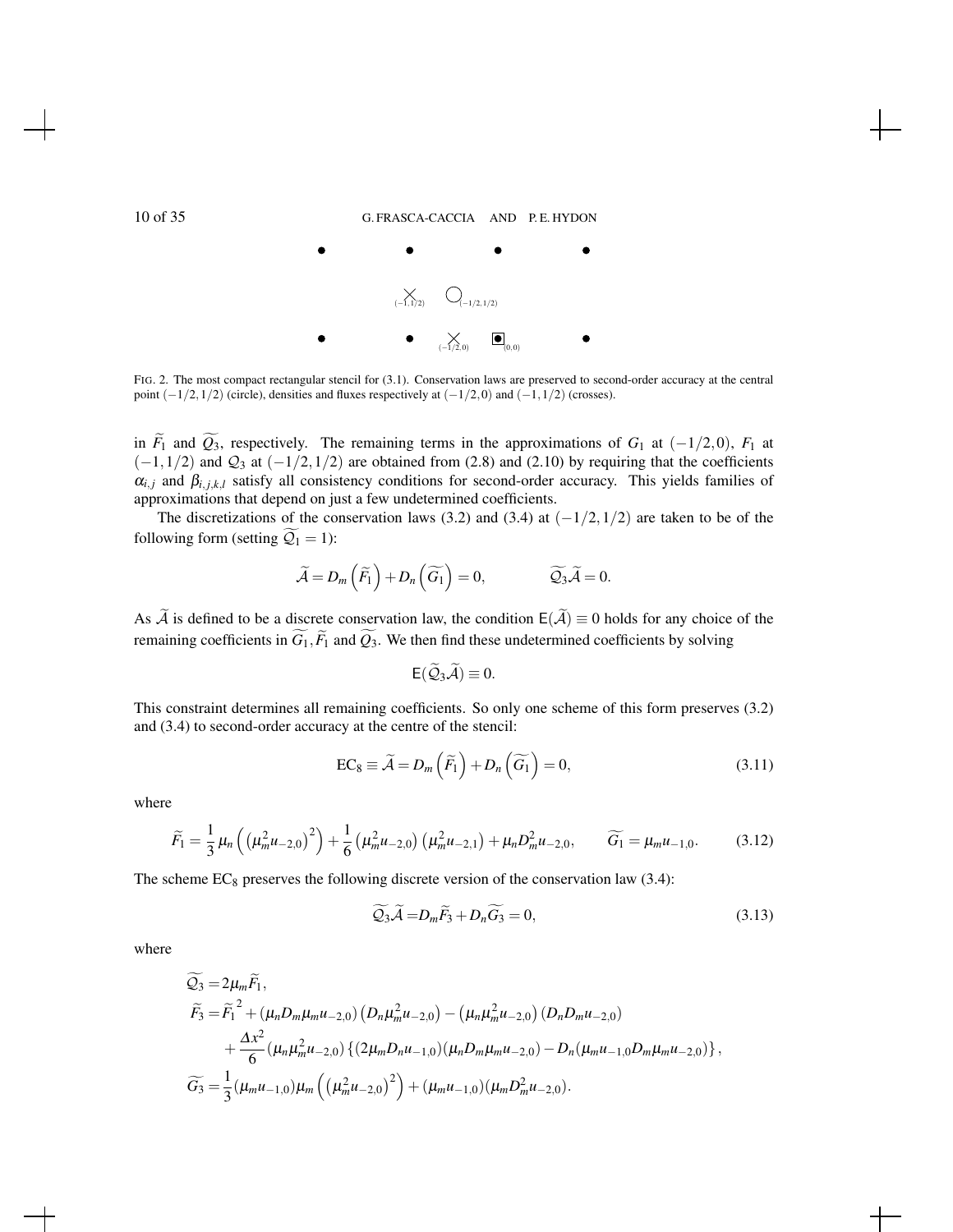

FIG. 2. The most compact rectangular stencil for (3.1). Conservation laws are preserved to second-order accuracy at the central point  $(-1/2,1/2)$  (circle), densities and fluxes respectively at  $(-1/2,0)$  and  $(-1,1/2)$  (crosses).

in  $\widetilde{F}_1$  and  $\widetilde{Q}_3$ , respectively. The remaining terms in the approximations of  $G_1$  at (−1/2,0),  $F_1$  at  $(-1,1/2)$  and  $\mathcal{Q}_3$  at  $(-1/2,1/2)$  are obtained from (2.8) and (2.10) by requiring that the coefficients  $\alpha_{i,j}$  and  $\beta_{i,j,k,l}$  satisfy all consistency conditions for second-order accuracy. This yields families of approximations that depend on just a few undetermined coefficients.

The discretizations of the conservation laws (3.2) and (3.4) at  $(-1/2,1/2)$  are taken to be of the following form (setting  $\widetilde{Q}_1 = 1$ ):

$$
\widetilde{\mathcal{A}} = D_m\left(\widetilde{F}_1\right) + D_n\left(\widetilde{G}_1\right) = 0, \qquad \widetilde{\mathcal{Q}}_3\widetilde{\mathcal{A}} = 0.
$$

As  $\widetilde{A}$  is defined to be a discrete conservation law, the condition  $E(\widetilde{A})\equiv 0$  holds for any choice of the remaining coefficients in  $\widetilde{G}_1$ ,  $\widetilde{F}_1$  and  $\widetilde{Q}_3$ . We then find these undetermined coefficients by solving

$$
\mathsf{E}(\widetilde{\mathcal{Q}}_3\widetilde{\mathcal{A}})\equiv 0.
$$

This constraint determines all remaining coefficients. So only one scheme of this form preserves (3.2) and (3.4) to second-order accuracy at the centre of the stencil:

$$
EC_8 \equiv \widetilde{A} = D_m \left( \widetilde{F}_1 \right) + D_n \left( \widetilde{G}_1 \right) = 0, \tag{3.11}
$$

where

$$
\widetilde{F}_1 = \frac{1}{3} \mu_n \left( \left( \mu_m^2 u_{-2,0} \right)^2 \right) + \frac{1}{6} \left( \mu_m^2 u_{-2,0} \right) \left( \mu_m^2 u_{-2,1} \right) + \mu_n D_m^2 u_{-2,0}, \qquad \widetilde{G}_1 = \mu_m u_{-1,0}. \tag{3.12}
$$

The scheme  $EC_8$  preserves the following discrete version of the conservation law (3.4):

$$
\widetilde{Q_3}\widetilde{\mathcal{A}} = D_m\widetilde{F_3} + D_n\widetilde{G_3} = 0, \tag{3.13}
$$

where

$$
\widetilde{Q_3} = 2\mu_m \widetilde{F_1},
$$
\n
$$
\widetilde{F_3} = \widetilde{F_1}^2 + (\mu_n D_m \mu_m u_{-2,0}) (D_n \mu_m^2 u_{-2,0}) - (\mu_n \mu_m^2 u_{-2,0}) (D_n D_m u_{-2,0})
$$
\n
$$
+ \frac{\Delta x^2}{6} (\mu_n \mu_m^2 u_{-2,0}) \{ (2\mu_m D_n u_{-1,0}) (\mu_n D_m \mu_m u_{-2,0}) - D_n (\mu_m u_{-1,0} D_m \mu_m u_{-2,0}) \},
$$
\n
$$
\widetilde{G_3} = \frac{1}{3} (\mu_m u_{-1,0}) \mu_m \left( (\mu_m^2 u_{-2,0})^2 \right) + (\mu_m u_{-1,0}) (\mu_m D_m^2 u_{-2,0}).
$$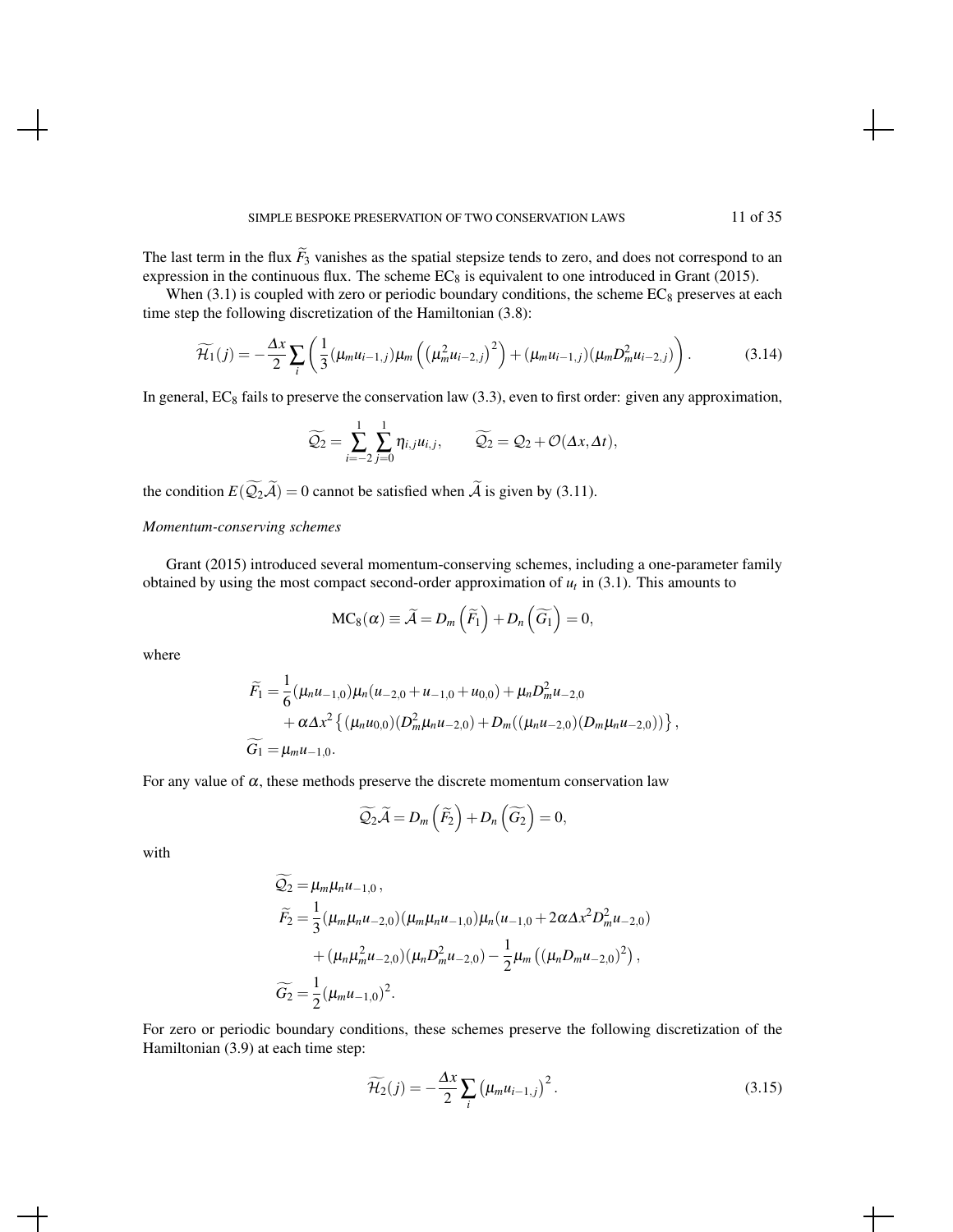The last term in the flux  $\tilde{F}_3$  vanishes as the spatial stepsize tends to zero, and does not correspond to an expression in the continuous flux. The scheme  $EC_8$  is equivalent to one introduced in Grant (2015).

When (3.1) is coupled with zero or periodic boundary conditions, the scheme  $EC_8$  preserves at each time step the following discretization of the Hamiltonian (3.8):

$$
\widetilde{\mathcal{H}}_1(j) = -\frac{\Delta x}{2} \sum_i \left( \frac{1}{3} (\mu_m u_{i-1,j}) \mu_m \left( \left( \mu_m^2 u_{i-2,j} \right)^2 \right) + (\mu_m u_{i-1,j}) (\mu_m D_m^2 u_{i-2,j}) \right). \tag{3.14}
$$

In general,  $EC_8$  fails to preserve the conservation law (3.3), even to first order: given any approximation,

$$
\widetilde{Q_2} = \sum_{i=-2}^{1} \sum_{j=0}^{1} \eta_{i,j} u_{i,j}, \qquad \widetilde{Q_2} = Q_2 + \mathcal{O}(\Delta x, \Delta t),
$$

the condition  $E(\widetilde{Q}_2\widetilde{A})=0$  cannot be satisfied when  $\widetilde{A}$  is given by (3.11).

#### *Momentum-conserving schemes*

Grant (2015) introduced several momentum-conserving schemes, including a one-parameter family obtained by using the most compact second-order approximation of  $u_t$  in (3.1). This amounts to

$$
MC_8(\alpha) \equiv \widetilde{A} = D_m\left(\widetilde{F}_1\right) + D_n\left(\widetilde{G}_1\right) = 0,
$$

where

$$
\widetilde{F}_1 = \frac{1}{6} (\mu_n u_{-1,0}) \mu_n (u_{-2,0} + u_{-1,0} + u_{0,0}) + \mu_n D_m^2 u_{-2,0} \n+ \alpha \Delta x^2 \{ (\mu_n u_{0,0}) (D_m^2 \mu_n u_{-2,0}) + D_m ((\mu_n u_{-2,0}) (D_m \mu_n u_{-2,0})) \},
$$
\n
$$
\widetilde{G}_1 = \mu_m u_{-1,0}.
$$

For any value of  $\alpha$ , these methods preserve the discrete momentum conservation law

$$
\widetilde{Q_2}\widetilde{\mathcal{A}} = D_m\left(\widetilde{F_2}\right) + D_n\left(\widetilde{G_2}\right) = 0,
$$

with

$$
\begin{aligned}\n\widetilde{Q_2} &= \mu_m \mu_n u_{-1,0}, \\
\widetilde{F_2} &= \frac{1}{3} (\mu_m \mu_n u_{-2,0}) (\mu_m \mu_n u_{-1,0}) \mu_n (u_{-1,0} + 2 \alpha \Delta x^2 D_m^2 u_{-2,0}) \\
&\quad + (\mu_n \mu_m^2 u_{-2,0}) (\mu_n D_m^2 u_{-2,0}) - \frac{1}{2} \mu_m \left( (\mu_n D_m u_{-2,0})^2 \right), \\
\widetilde{G_2} &= \frac{1}{2} (\mu_m u_{-1,0})^2.\n\end{aligned}
$$

For zero or periodic boundary conditions, these schemes preserve the following discretization of the Hamiltonian (3.9) at each time step:

$$
\widetilde{\mathcal{H}_2}(j) = -\frac{\Delta x}{2} \sum_i \left( \mu_m u_{i-1,j} \right)^2.
$$
\n(3.15)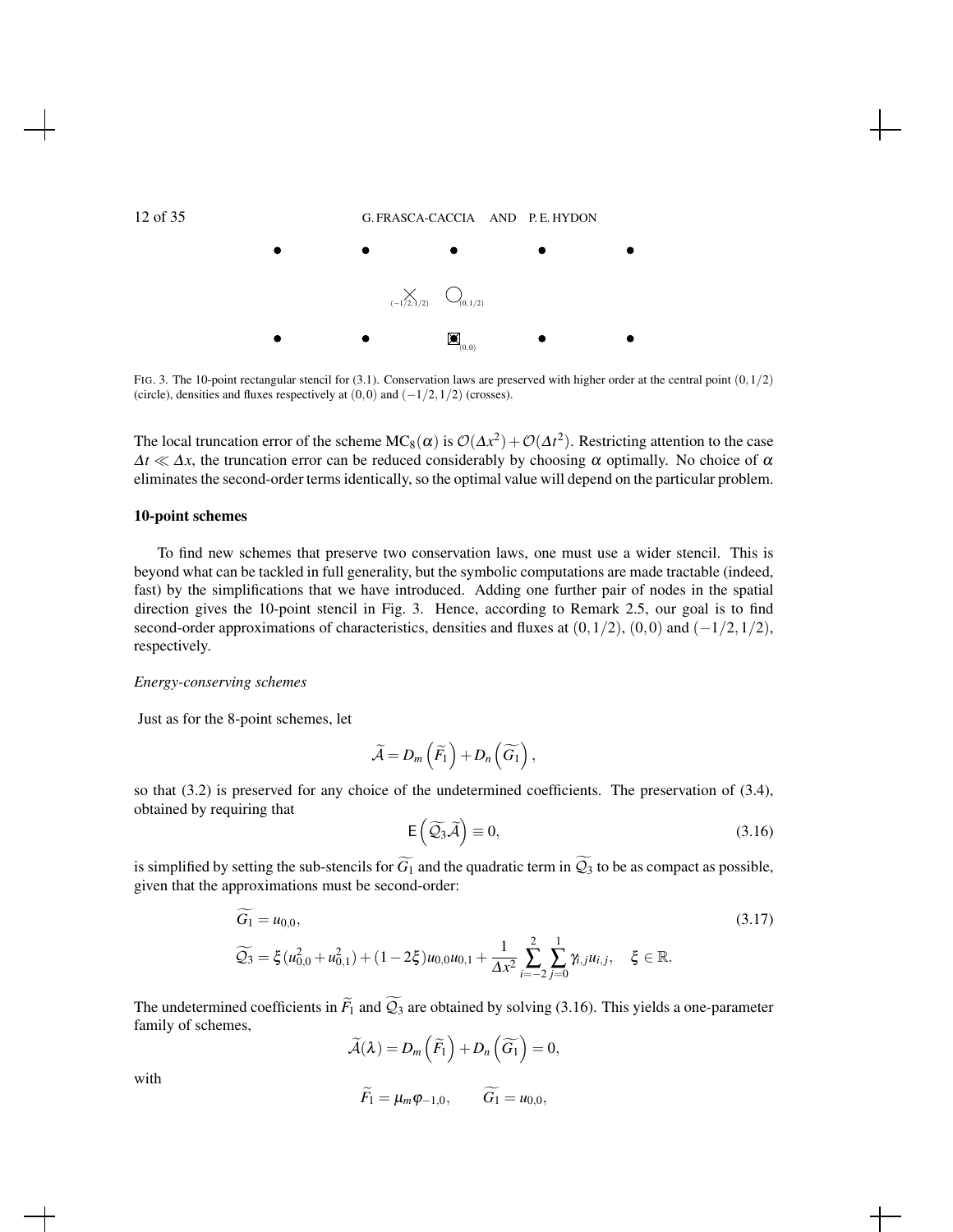



FIG. 3. The 10-point rectangular stencil for (3.1). Conservation laws are preserved with higher order at the central point  $(0,1/2)$ (circle), densities and fluxes respectively at  $(0,0)$  and  $(-1/2,1/2)$  (crosses).

The local truncation error of the scheme  $MC_8(\alpha)$  is  $\mathcal{O}(\Delta x^2) + \mathcal{O}(\Delta t^2)$ . Restricting attention to the case  $\Delta t \ll \Delta x$ , the truncation error can be reduced considerably by choosing  $\alpha$  optimally. No choice of  $\alpha$ eliminates the second-order terms identically, so the optimal value will depend on the particular problem.

#### 10-point schemes

To find new schemes that preserve two conservation laws, one must use a wider stencil. This is beyond what can be tackled in full generality, but the symbolic computations are made tractable (indeed, fast) by the simplifications that we have introduced. Adding one further pair of nodes in the spatial direction gives the 10-point stencil in Fig. 3. Hence, according to Remark 2.5, our goal is to find second-order approximations of characteristics, densities and fluxes at  $(0,1/2)$ ,  $(0,0)$  and  $(-1/2,1/2)$ , respectively.

#### *Energy-conserving schemes*

Just as for the 8-point schemes, let

$$
\widetilde{\mathcal{A}}=D_m\left(\widetilde{F}_1\right)+D_n\left(\widetilde{G}_1\right),
$$

so that (3.2) is preserved for any choice of the undetermined coefficients. The preservation of (3.4), obtained by requiring that

$$
E(\widetilde{Q_3}\widetilde{\mathcal{A}}) \equiv 0, \tag{3.16}
$$

is simplified by setting the sub-stencils for  $\widetilde{G_1}$  and the quadratic term in  $\widetilde{Q_3}$  to be as compact as possible, given that the approximations must be second-order:

$$
G_1 = u_{0,0},\tag{3.17}
$$

$$
\widetilde{Q_3} = \xi (u_{0,0}^2 + u_{0,1}^2) + (1 - 2\xi)u_{0,0}u_{0,1} + \frac{1}{\Delta x^2} \sum_{i=-2}^2 \sum_{j=0}^1 \gamma_{i,j}u_{i,j}, \quad \xi \in \mathbb{R}.
$$

The undetermined coefficients in  $\widetilde{F}_1$  and  $\widetilde{Q}_3$  are obtained by solving (3.16). This yields a one-parameter family of schemes,

 $\widetilde{\mathcal{A}}(\lambda)=D_{m}\left(\widetilde{F}_{1}\right)+D_{n}\left(\widetilde{G_{1}}\right)=0,$  $\widetilde{F}_1 = \mu_m \varphi_{-1,0}, \qquad \widetilde{G}_1 = u_{0,0},$ 

with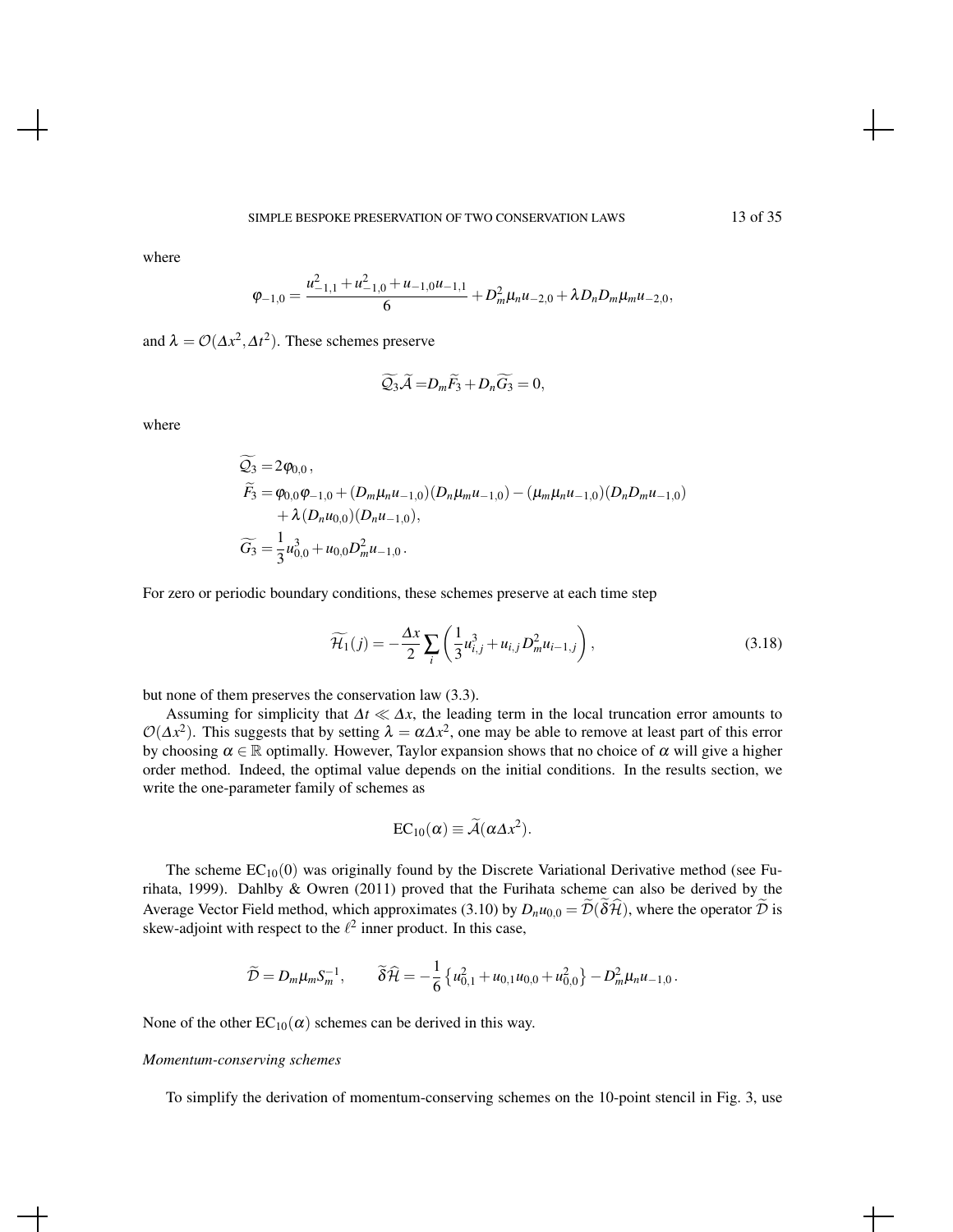where

$$
\varphi_{-1,0} = \frac{u_{-1,1}^2 + u_{-1,0}^2 + u_{-1,0}u_{-1,1}}{6} + D_m^2 \mu_n u_{-2,0} + \lambda D_n D_m \mu_m u_{-2,0},
$$

and  $\lambda = O(\Delta x^2, \Delta t^2)$ . These schemes preserve

$$
\widetilde{Q_3}\widetilde{\mathcal{A}} = D_m\widetilde{F_3} + D_n\widetilde{G_3} = 0,
$$

where

$$
\widetilde{Q_3} = 2\varphi_{0,0}, \n\widetilde{F_3} = \varphi_{0,0}\varphi_{-1,0} + (D_m\mu_n u_{-1,0})(D_n\mu_m u_{-1,0}) - (\mu_m\mu_n u_{-1,0})(D_nD_m u_{-1,0}) \n+ \lambda (D_n u_{0,0})(D_n u_{-1,0}), \n\widetilde{G_3} = \frac{1}{3}u_{0,0}^3 + u_{0,0}D_m^2 u_{-1,0}.
$$

For zero or periodic boundary conditions, these schemes preserve at each time step

$$
\widetilde{\mathcal{H}}_1(j) = -\frac{\Delta x}{2} \sum_i \left( \frac{1}{3} u_{i,j}^3 + u_{i,j} D_m^2 u_{i-1,j} \right),\tag{3.18}
$$

but none of them preserves the conservation law (3.3).

Assuming for simplicity that  $\Delta t \ll \Delta x$ , the leading term in the local truncation error amounts to  $\mathcal{O}(\Delta x^2)$ . This suggests that by setting  $\lambda = \alpha \Delta x^2$ , one may be able to remove at least part of this error by choosing  $\alpha \in \mathbb{R}$  optimally. However, Taylor expansion shows that no choice of  $\alpha$  will give a higher order method. Indeed, the optimal value depends on the initial conditions. In the results section, we write the one-parameter family of schemes as

$$
EC_{10}(\alpha) \equiv \widetilde{\mathcal{A}}(\alpha \Delta x^2).
$$

The scheme  $EC_{10}(0)$  was originally found by the Discrete Variational Derivative method (see Furihata, 1999). Dahlby & Owren (2011) proved that the Furihata scheme can also be derived by the Average Vector Field method, which approximates (3.10) by  $D_n u_{0,0} = \mathcal{D}(\delta \mathcal{H})$ , where the operator  $\mathcal D$  is skew-adjoint with respect to the  $\ell^2$  inner product. In this case,

$$
\widetilde{\mathcal{D}} = D_m \mu_m S_m^{-1}, \qquad \widetilde{\delta} \widehat{\mathcal{H}} = -\frac{1}{6} \left\{ u_{0,1}^2 + u_{0,1} u_{0,0} + u_{0,0}^2 \right\} - D_m^2 \mu_n u_{-1,0}.
$$

None of the other  $EC_{10}(\alpha)$  schemes can be derived in this way.

#### *Momentum-conserving schemes*

To simplify the derivation of momentum-conserving schemes on the 10-point stencil in Fig. 3, use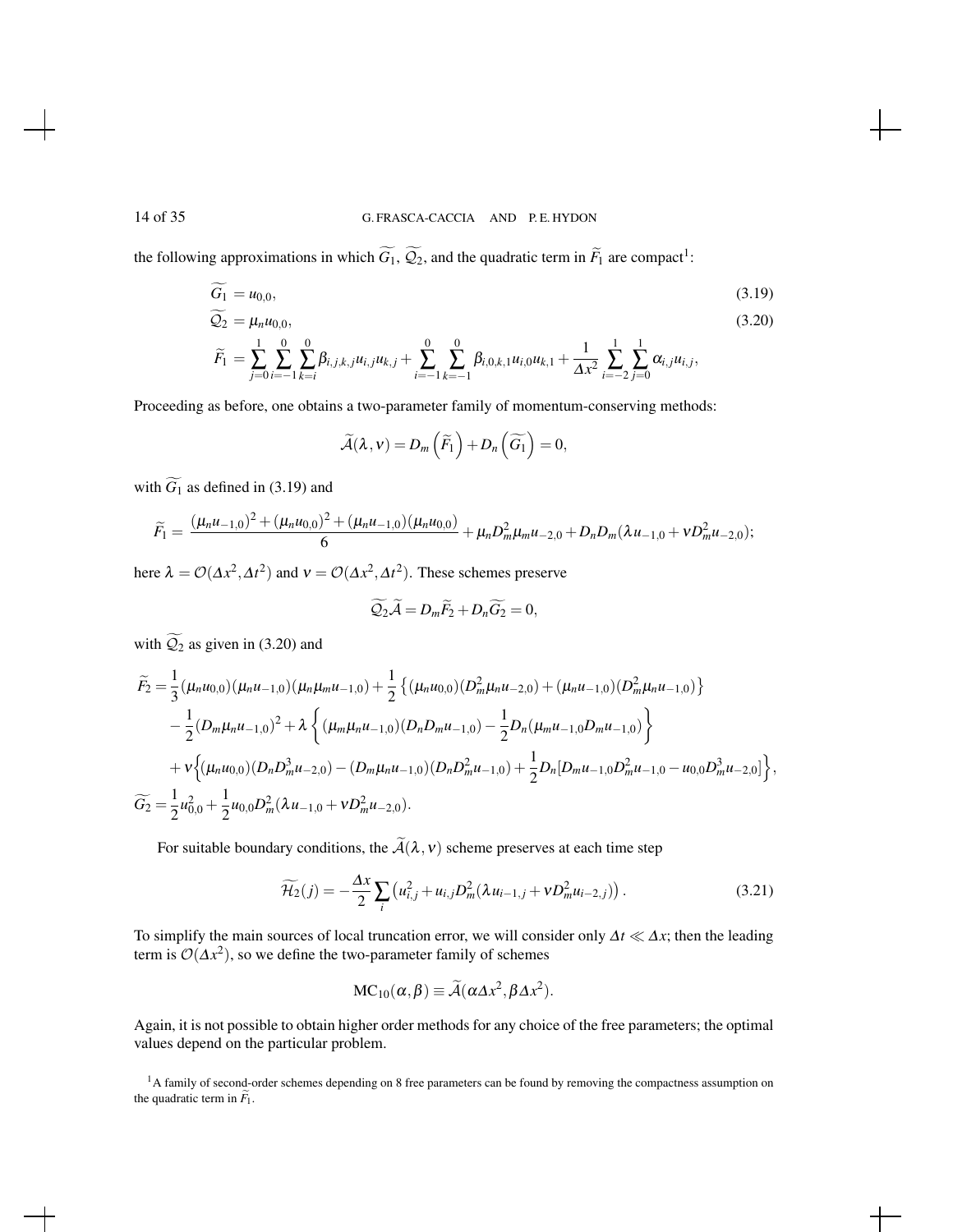the following approximations in which  $G_1$ ,  $\mathcal{Q}_2$ , and the quadratic term in  $\tilde{F}_1$  are compact<sup>1</sup>:

$$
G_1 = u_{0,0}, \tag{3.19}
$$

$$
\widetilde{Q}_2 = \mu_n u_{0,0},\tag{3.20}
$$
\n
$$
\widetilde{F}_1 = \sum_{i=1}^1 \sum_{j=1}^0 \sum_{j=1}^0 \beta_{i,j,k,j} u_{i,j} u_{k,j} + \sum_{i=1}^0 \sum_{j=1}^0 \beta_{i,0,k,j} u_{i,0} u_{k,j} + \frac{1}{1 - \sum_{j=1}^1 \sum_{j=1}^1 \alpha_{i,j} u_{i,j}}
$$

$$
\widetilde{F}_1 = \sum_{j=0}^{I} \sum_{i=-1}^{I} \sum_{k=i}^{\beta} \beta_{i,j,k,j} u_{i,j} u_{k,j} + \sum_{i=-1}^{I} \sum_{k=-1}^{I} \beta_{i,0,k,1} u_{i,0} u_{k,1} + \frac{1}{\Delta x^2} \sum_{i=-2}^{I} \sum_{j=0}^{\gamma} \alpha_{i,j} u_{i,j},
$$

Proceeding as before, one obtains a two-parameter family of momentum-conserving methods:

$$
\widetilde{\mathcal{A}}(\lambda, v) = D_m\left(\widetilde{F}_1\right) + D_n\left(\widetilde{G}_1\right) = 0,
$$

with  $\widetilde{G}_1$  as defined in (3.19) and

$$
\widetilde{F}_1=\frac{(\mu_n u_{-1,0})^2+(\mu_n u_{0,0})^2+(\mu_n u_{-1,0})(\mu_n u_{0,0})}{6}+\mu_n D_m^2\mu_m u_{-2,0}+D_nD_m(\lambda u_{-1,0}+v D_m^2 u_{-2,0});
$$

here  $\lambda = O(\Delta x^2, \Delta t^2)$  and  $v = O(\Delta x^2, \Delta t^2)$ . These schemes preserve

$$
\widetilde{Q_2}\widetilde{\mathcal{A}}=D_m\widetilde{F_2}+D_n\widetilde{G_2}=0,
$$

with  $\widetilde{Q}_2$  as given in (3.20) and

$$
\widetilde{F}_2 = \frac{1}{3} (\mu_n u_{0,0}) (\mu_n u_{-1,0}) (\mu_n \mu_m u_{-1,0}) + \frac{1}{2} \{ (\mu_n u_{0,0}) (D_m^2 \mu_n u_{-2,0}) + (\mu_n u_{-1,0}) (D_m^2 \mu_n u_{-1,0}) \} \n- \frac{1}{2} (D_m \mu_n u_{-1,0})^2 + \lambda \left\{ (\mu_m \mu_n u_{-1,0}) (D_n D_m u_{-1,0}) - \frac{1}{2} D_n (\mu_m u_{-1,0} D_m u_{-1,0}) \right\} \n+ v \left\{ (\mu_n u_{0,0}) (D_n D_m^3 u_{-2,0}) - (D_m \mu_n u_{-1,0}) (D_n D_m^2 u_{-1,0}) + \frac{1}{2} D_n [D_m u_{-1,0} D_m^2 u_{-1,0} - u_{0,0} D_m^3 u_{-2,0}] \right\},
$$
\n
$$
\widetilde{G}_2 = \frac{1}{2} u_{0,0}^2 + \frac{1}{2} u_{0,0} D_m^2 (\lambda u_{-1,0} + \nu D_m^2 u_{-2,0}).
$$

For suitable boundary conditions, the  $\tilde{A}(\lambda, v)$  scheme preserves at each time step

$$
\widetilde{\mathcal{H}_2}(j) = -\frac{\Delta x}{2} \sum_{i} \left( u_{i,j}^2 + u_{i,j} D_m^2 (\lambda u_{i-1,j} + v D_m^2 u_{i-2,j}) \right). \tag{3.21}
$$

To simplify the main sources of local truncation error, we will consider only ∆*t* ≪ ∆*x*; then the leading term is  $\mathcal{O}(\Delta x^2)$ , so we define the two-parameter family of schemes

$$
MC_{10}(\alpha, \beta) \equiv \widetilde{\mathcal{A}}(\alpha \Delta x^2, \beta \Delta x^2).
$$

Again, it is not possible to obtain higher order methods for any choice of the free parameters; the optimal values depend on the particular problem.

<sup>1</sup>A family of second-order schemes depending on 8 free parameters can be found by removing the compactness assumption on the quadratic term in  $\widetilde{F}_1$ .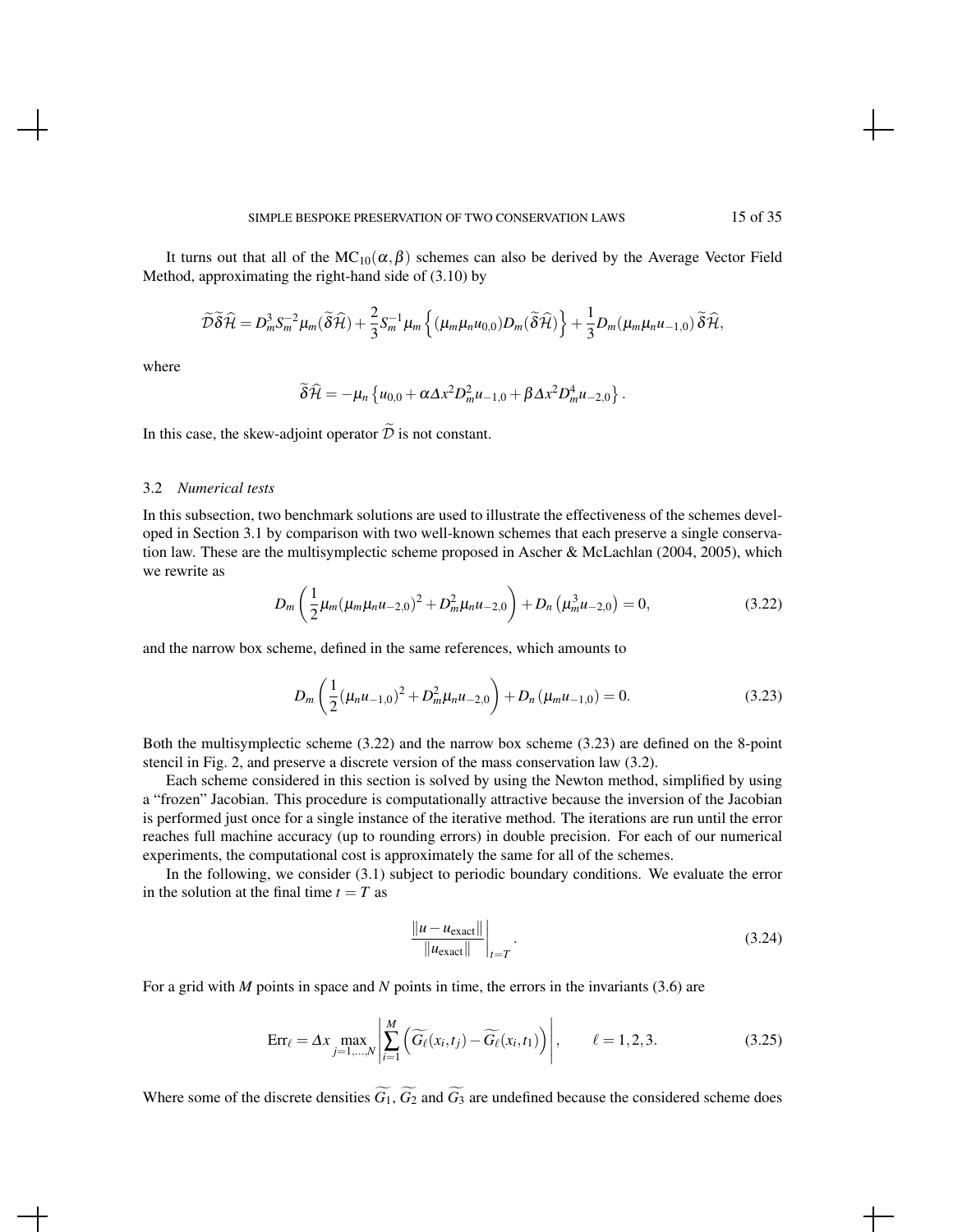It turns out that all of the  $MC_{10}(\alpha, \beta)$  schemes can also be derived by the Average Vector Field Method, approximating the right-hand side of (3.10) by

$$
\widetilde{\mathcal{D}}\widetilde{\delta}\widehat{\mathcal{H}}=D_m^3S_m^{-2}\mu_m(\widetilde{\delta}\widehat{\mathcal{H}})+\frac{2}{3}S_m^{-1}\mu_m\left\{(\mu_m\mu_nu_{0,0})D_m(\widetilde{\delta}\widehat{\mathcal{H}})\right\}+\frac{1}{3}D_m(\mu_m\mu_nu_{-1,0})\widetilde{\delta}\widehat{\mathcal{H}},
$$

where

$$
\widetilde{\delta}\widehat{\mathcal{H}}=-\mu_n\left\{u_{0,0}+\alpha\Delta x^2D_m^2u_{-1,0}+\beta\Delta x^2D_m^4u_{-2,0}\right\}.
$$

In this case, the skew-adjoint operator  $\widetilde{\mathcal{D}}$  is not constant.

#### 3.2 *Numerical tests*

In this subsection, two benchmark solutions are used to illustrate the effectiveness of the schemes developed in Section 3.1 by comparison with two well-known schemes that each preserve a single conservation law. These are the multisymplectic scheme proposed in Ascher & McLachlan (2004, 2005), which we rewrite as

$$
D_m\left(\frac{1}{2}\mu_m(\mu_m\mu_n u_{-2,0})^2 + D_m^2\mu_n u_{-2,0}\right) + D_n\left(\mu_m^3 u_{-2,0}\right) = 0,
$$
\n(3.22)

and the narrow box scheme, defined in the same references, which amounts to

$$
D_m\left(\frac{1}{2}(\mu_n u_{-1,0})^2 + D_m^2 \mu_n u_{-2,0}\right) + D_n\left(\mu_m u_{-1,0}\right) = 0.
$$
 (3.23)

Both the multisymplectic scheme (3.22) and the narrow box scheme (3.23) are defined on the 8-point stencil in Fig. 2, and preserve a discrete version of the mass conservation law (3.2).

Each scheme considered in this section is solved by using the Newton method, simplified by using a "frozen" Jacobian. This procedure is computationally attractive because the inversion of the Jacobian is performed just once for a single instance of the iterative method. The iterations are run until the error reaches full machine accuracy (up to rounding errors) in double precision. For each of our numerical experiments, the computational cost is approximately the same for all of the schemes.

In the following, we consider (3.1) subject to periodic boundary conditions. We evaluate the error in the solution at the final time  $t = T$  as

$$
\frac{\|u - u_{\text{exact}}\|}{\|u_{\text{exact}}\|}\bigg|_{t=T}.
$$
\n(3.24)

For a grid with *M* points in space and *N* points in time, the errors in the invariants (3.6) are

$$
\text{Err}_{\ell} = \Delta x \max_{j=1,\dots,N} \left| \sum_{i=1}^{M} \left( \widetilde{G_{\ell}}(x_i, t_j) - \widetilde{G_{\ell}}(x_i, t_1) \right) \right|, \qquad \ell = 1, 2, 3. \tag{3.25}
$$

Where some of the discrete densities  $\widetilde{G}_1$ ,  $\widetilde{G}_2$  and  $\widetilde{G}_3$  are undefined because the considered scheme does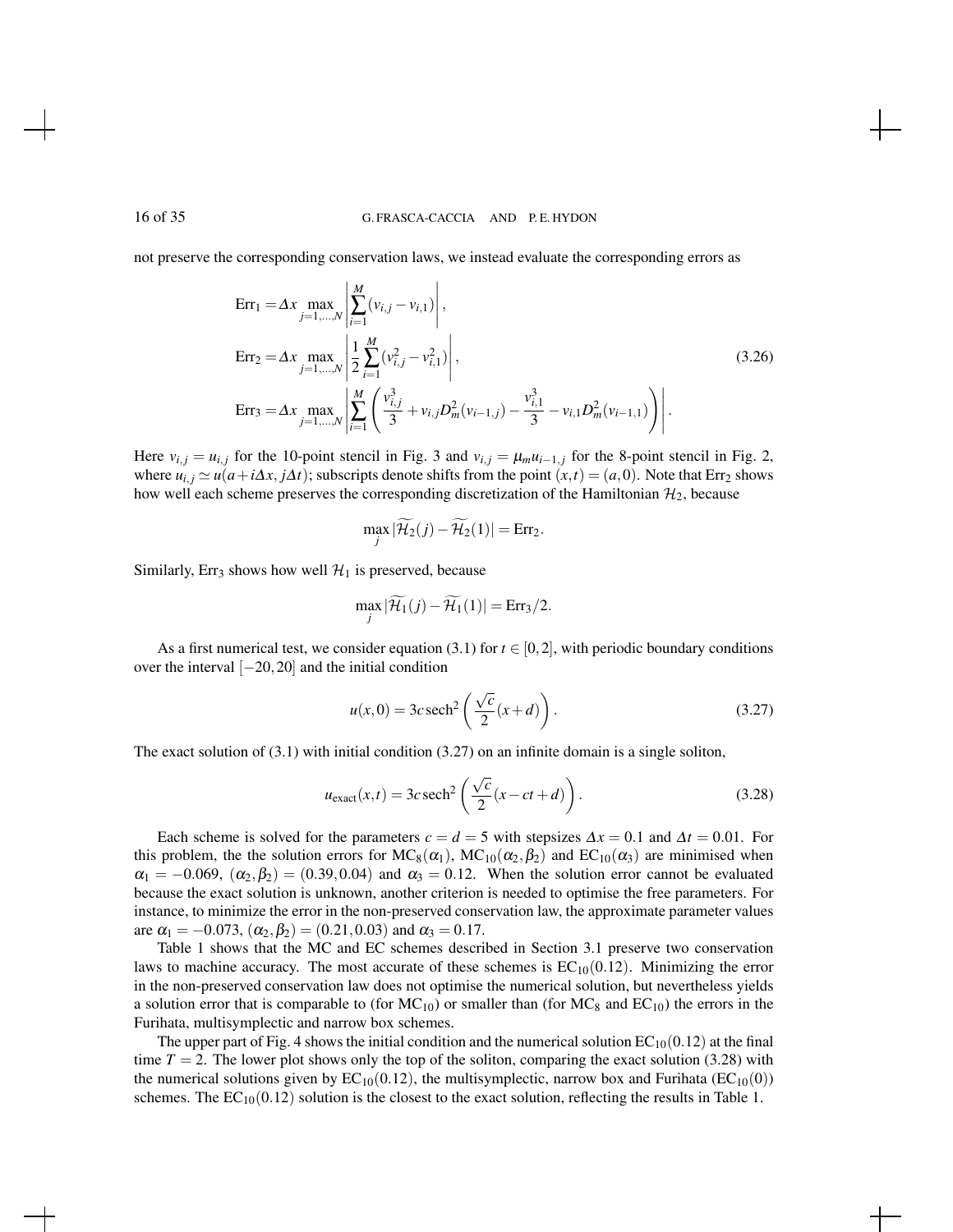not preserve the corresponding conservation laws, we instead evaluate the corresponding errors as

$$
\begin{split}\n\text{Err}_1 &= \Delta x \max_{j=1,\dots,N} \left| \sum_{i=1}^{M} (v_{i,j} - v_{i,1}) \right|, \\
\text{Err}_2 &= \Delta x \max_{j=1,\dots,N} \left| \frac{1}{2} \sum_{i=1}^{M} (v_{i,j}^2 - v_{i,1}^2) \right|, \\
\text{Err}_3 &= \Delta x \max_{j=1,\dots,N} \left| \sum_{i=1}^{M} \left( \frac{v_{i,j}^3}{3} + v_{i,j} D_m^2 (v_{i-1,j}) - \frac{v_{i,1}^3}{3} - v_{i,1} D_m^2 (v_{i-1,1}) \right) \right|. \n\end{split} \tag{3.26}
$$

Here  $v_{i,j} = u_{i,j}$  for the 10-point stencil in Fig. 3 and  $v_{i,j} = \mu_m u_{i-1,j}$  for the 8-point stencil in Fig. 2, where  $u_{i,j} \simeq u(a+i\Delta x, j\Delta t)$ ; subscripts denote shifts from the point  $(x,t) = (a,0)$ . Note that Err<sub>2</sub> shows how well each scheme preserves the corresponding discretization of the Hamiltonian  $\mathcal{H}_2$ , because

$$
\max_{j} |\widetilde{\mathcal{H}_2}(j) - \widetilde{\mathcal{H}_2}(1)| = Err_2.
$$

Similarly, Err<sub>3</sub> shows how well  $\mathcal{H}_1$  is preserved, because

$$
\max_{j} |\widetilde{\mathcal{H}}_1(j) - \widetilde{\mathcal{H}}_1(1)| = \text{Err}_3/2.
$$

As a first numerical test, we consider equation (3.1) for  $t \in [0,2]$ , with periodic boundary conditions over the interval [−20,20] and the initial condition

$$
u(x,0) = 3c \operatorname{sech}^2\left(\frac{\sqrt{c}}{2}(x+d)\right). \tag{3.27}
$$

The exact solution of (3.1) with initial condition (3.27) on an infinite domain is a single soliton,

$$
u_{\text{exact}}(x,t) = 3c \operatorname{sech}^2\left(\frac{\sqrt{c}}{2}(x - ct + d)\right). \tag{3.28}
$$

Each scheme is solved for the parameters  $c = d = 5$  with stepsizes  $\Delta x = 0.1$  and  $\Delta t = 0.01$ . For this problem, the the solution errors for  $MC_8(\alpha_1)$ ,  $MC_{10}(\alpha_2,\beta_2)$  and  $EC_{10}(\alpha_3)$  are minimised when  $\alpha_1 = -0.069, \; (\alpha_2, \beta_2) = (0.39, 0.04)$  and  $\alpha_3 = 0.12$ . When the solution error cannot be evaluated because the exact solution is unknown, another criterion is needed to optimise the free parameters. For instance, to minimize the error in the non-preserved conservation law, the approximate parameter values are  $\alpha_1 = -0.073$ ,  $(\alpha_2, \beta_2) = (0.21, 0.03)$  and  $\alpha_3 = 0.17$ .

Table 1 shows that the MC and EC schemes described in Section 3.1 preserve two conservation laws to machine accuracy. The most accurate of these schemes is  $EC_{10}(0.12)$ . Minimizing the error in the non-preserved conservation law does not optimise the numerical solution, but nevertheless yields a solution error that is comparable to (for  $MC_{10}$ ) or smaller than (for  $MC_8$  and  $EC_{10}$ ) the errors in the Furihata, multisymplectic and narrow box schemes.

The upper part of Fig. 4 shows the initial condition and the numerical solution  $EC_{10}(0.12)$  at the final time  $T = 2$ . The lower plot shows only the top of the soliton, comparing the exact solution (3.28) with the numerical solutions given by  $EC_{10}(0.12)$ , the multisymplectic, narrow box and Furihata ( $EC_{10}(0)$ ) schemes. The  $EC_{10}(0.12)$  solution is the closest to the exact solution, reflecting the results in Table 1.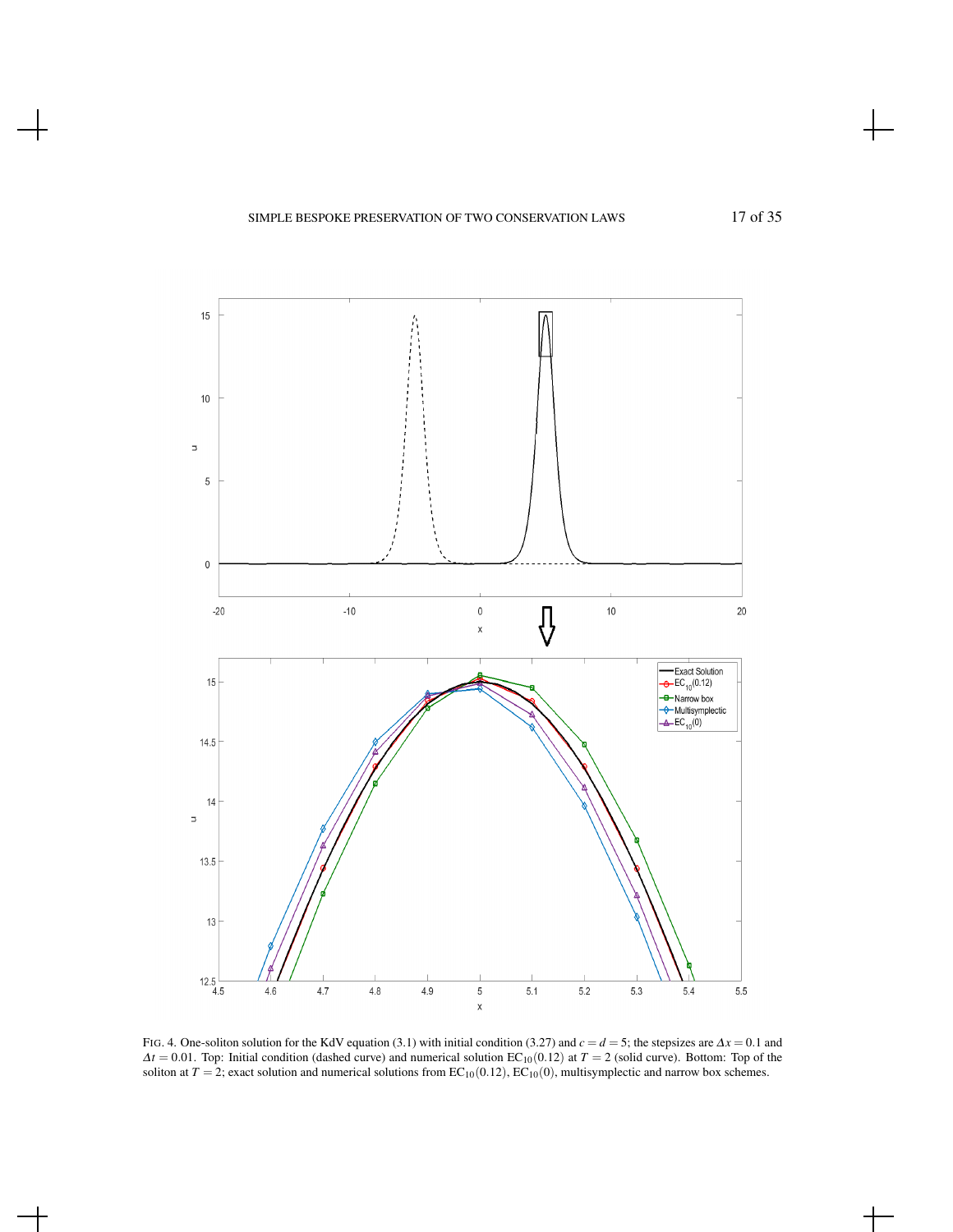

FIG. 4. One-soliton solution for the KdV equation (3.1) with initial condition (3.27) and *c* = *d* = 5; the stepsizes are <sup>∆</sup>*x* = 0.1 and  $\Delta t = 0.01$ . Top: Initial condition (dashed curve) and numerical solution EC<sub>10</sub>(0.12) at *T* = 2 (solid curve). Bottom: Top of the soliton at  $T = 2$ ; exact solution and numerical solutions from  $EC_{10}(0.12)$ ,  $EC_{10}(0)$ , multisymplectic and narrow box schemes.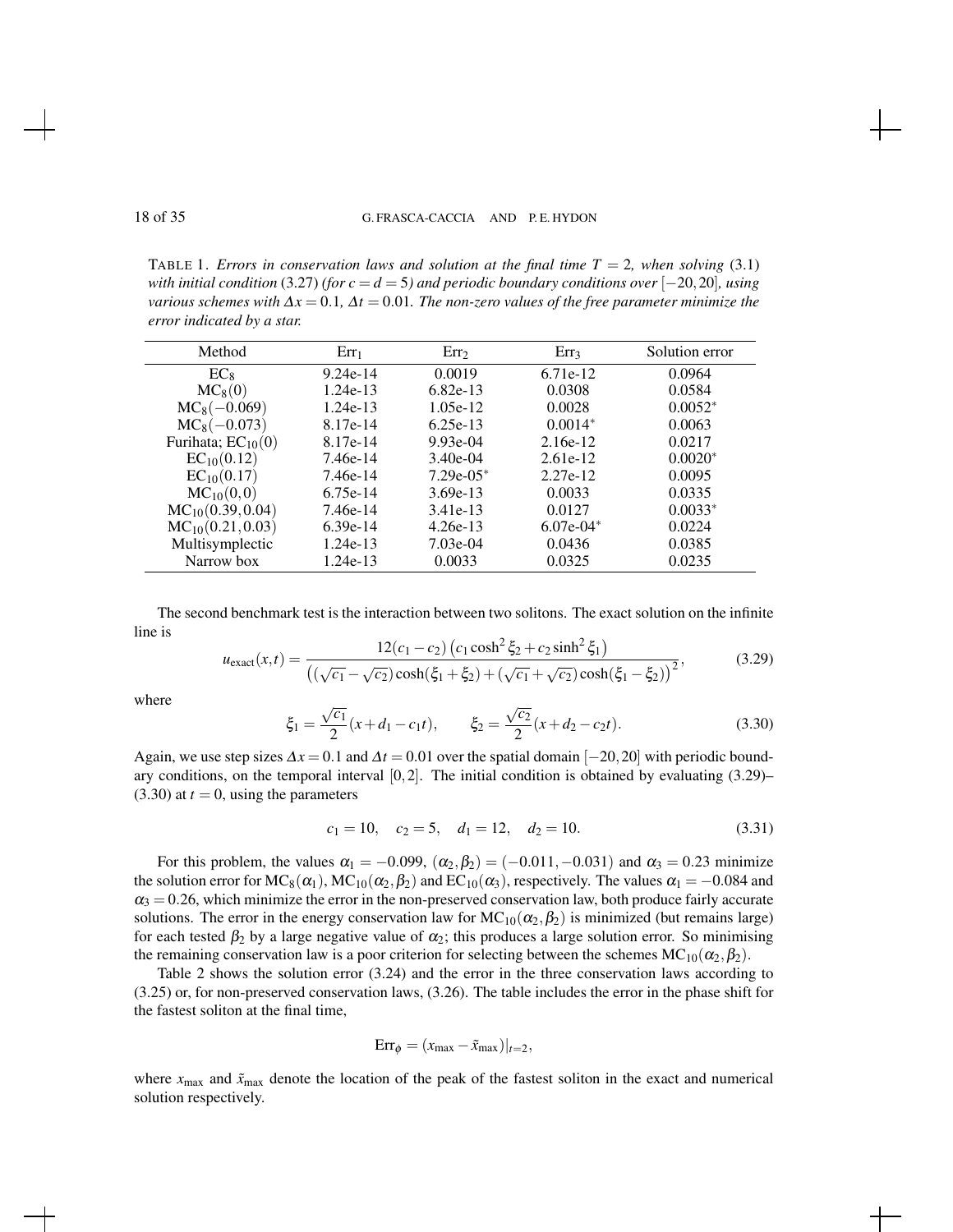TABLE 1. *Errors in conservation laws and solution at the final time*  $T = 2$ *, when solving* (3.1) *with initial condition* (3.27) *(for c* =  $d$  = 5*)* and periodic boundary conditions over  $[-20, 20]$ *, using various schemes with*  $\Delta x = 0.1$ ,  $\Delta t = 0.01$ . The non-zero values of the free parameter minimize the *error indicated by a star.*

| Method                 | $Err_1$    | Err <sub>2</sub> | $Err_3$     | Solution error |
|------------------------|------------|------------------|-------------|----------------|
| $EC_8$                 | $9.24e-14$ | 0.0019           | 6.71e-12    | 0.0964         |
| $MC_8(0)$              | $1.24e-13$ | $6.82e-13$       | 0.0308      | 0.0584         |
| $MC_8(-0.069)$         | $1.24e-13$ | $1.05e-12$       | 0.0028      | $0.0052*$      |
| $MC_8(-0.073)$         | 8.17e-14   | $6.25e-13$       | $0.0014*$   | 0.0063         |
| Furihata; $EC_{10}(0)$ | 8.17e-14   | $9.93e-04$       | $2.16e-12$  | 0.0217         |
| $EC_{10}(0.12)$        | 7.46e-14   | $3.40e-04$       | $2.61e-12$  | $0.0020*$      |
| $EC_{10}(0.17)$        | 7.46e-14   | $7.29e-05*$      | 2.27e-12    | 0.0095         |
| $MC_{10}(0,0)$         | $6.75e-14$ | $3.69e-13$       | 0.0033      | 0.0335         |
| $MC_{10}(0.39, 0.04)$  | 7.46e-14   | 3.41e-13         | 0.0127      | $0.0033*$      |
| $MC_{10}(0.21, 0.03)$  | $6.39e-14$ | $4.26e-13$       | $6.07e-04*$ | 0.0224         |
| Multisymplectic        | $1.24e-13$ | $7.03e-04$       | 0.0436      | 0.0385         |
| Narrow box             | $1.24e-13$ | 0.0033           | 0.0325      | 0.0235         |

The second benchmark test is the interaction between two solitons. The exact solution on the infinite line is

$$
u_{\text{exact}}(x,t) = \frac{12(c_1 - c_2) (c_1 \cosh^2 \xi_2 + c_2 \sinh^2 \xi_1)}{((\sqrt{c_1} - \sqrt{c_2}) \cosh(\xi_1 + \xi_2) + (\sqrt{c_1} + \sqrt{c_2}) \cosh(\xi_1 - \xi_2))^2},
$$
(3.29)

where

$$
\xi_1 = \frac{\sqrt{c_1}}{2} (x + d_1 - c_1 t), \qquad \xi_2 = \frac{\sqrt{c_2}}{2} (x + d_2 - c_2 t). \tag{3.30}
$$

Again, we use step sizes  $\Delta x = 0.1$  and  $\Delta t = 0.01$  over the spatial domain [−20,20] with periodic boundary conditions, on the temporal interval  $[0,2]$ . The initial condition is obtained by evaluating  $(3.29)$ –  $(3.30)$  at  $t = 0$ , using the parameters

$$
c_1 = 10, \quad c_2 = 5, \quad d_1 = 12, \quad d_2 = 10. \tag{3.31}
$$

For this problem, the values  $\alpha_1 = -0.099$ ,  $(\alpha_2, \beta_2) = (-0.011, -0.031)$  and  $\alpha_3 = 0.23$  minimize the solution error for  $MC_8(\alpha_1)$ ,  $MC_{10}(\alpha_2,\beta_2)$  and  $EC_{10}(\alpha_3)$ , respectively. The values  $\alpha_1 = -0.084$  and  $\alpha_3 = 0.26$ , which minimize the error in the non-preserved conservation law, both produce fairly accurate solutions. The error in the energy conservation law for  $MC_{10}(\alpha_2,\beta_2)$  is minimized (but remains large) for each tested  $\beta_2$  by a large negative value of  $\alpha_2$ ; this produces a large solution error. So minimising the remaining conservation law is a poor criterion for selecting between the schemes  $MC_{10}(\alpha_2,\beta_2)$ .

Table 2 shows the solution error (3.24) and the error in the three conservation laws according to (3.25) or, for non-preserved conservation laws, (3.26). The table includes the error in the phase shift for the fastest soliton at the final time,

$$
Err_{\phi} = (x_{\text{max}} - \tilde{x}_{\text{max}})|_{t=2},
$$

where  $x_{\text{max}}$  and  $\tilde{x}_{\text{max}}$  denote the location of the peak of the fastest soliton in the exact and numerical solution respectively.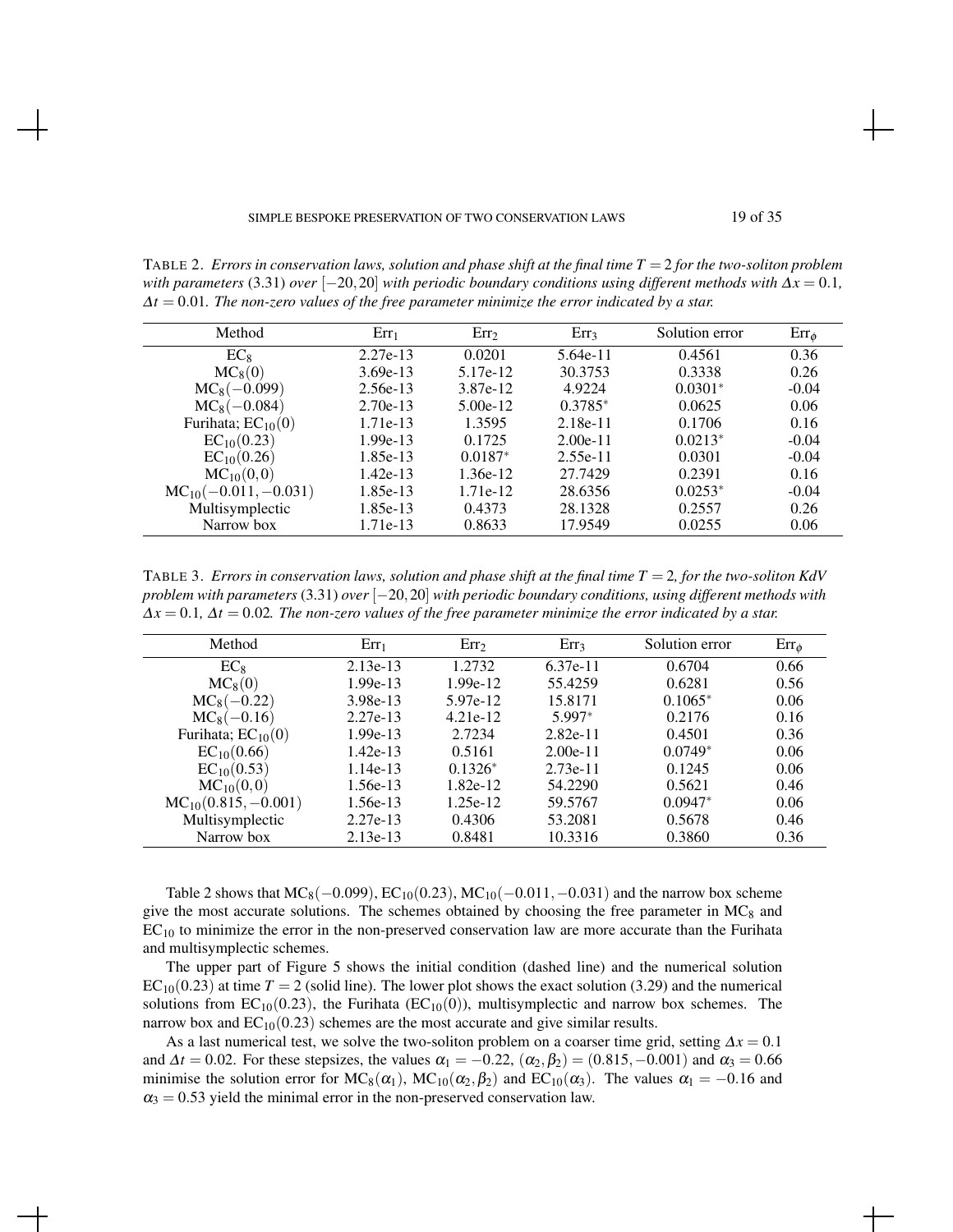TABLE 2. *Errors in conservation laws, solution and phase shift at the final time T* = 2 *for the two-soliton problem with parameters* (3.31) *over*  $[-20, 20]$  *with periodic boundary conditions using different methods with*  $\Delta x = 0.1$ *,* ∆*t* = 0.01*. The non-zero values of the free parameter minimize the error indicated by a star.*

| Method                   | $Err_1$    | Err <sub>2</sub> | Err <sub>3</sub> | Solution error | $Err_{\phi}$ |
|--------------------------|------------|------------------|------------------|----------------|--------------|
| $EC_8$                   | 2.27e-13   | 0.0201           | 5.64e-11         | 0.4561         | 0.36         |
| $MC_8(0)$                | $3.69e-13$ | 5.17e-12         | 30.3753          | 0.3338         | 0.26         |
| $MC_8(-0.099)$           | $2.56e-13$ | 3.87e-12         | 4.9224           | $0.0301*$      | $-0.04$      |
| $MC_8(-0.084)$           | $2.70e-13$ | $5.00e-12$       | $0.3785*$        | 0.0625         | 0.06         |
| Furihata; $EC_{10}(0)$   | 1.71e-13   | 1.3595           | $2.18e-11$       | 0.1706         | 0.16         |
| $EC_{10}(0.23)$          | 1.99e-13   | 0.1725           | $2.00e-11$       | $0.0213*$      | $-0.04$      |
| $EC_{10}(0.26)$          | 1.85e-13   | $0.0187*$        | $2.55e-11$       | 0.0301         | $-0.04$      |
| $MC_{10}(0,0)$           | $1.42e-13$ | 1.36e-12         | 27.7429          | 0.2391         | 0.16         |
| $MC_{10}(-0.011,-0.031)$ | 1.85e-13   | 1.71e-12         | 28.6356          | $0.0253*$      | $-0.04$      |
| Multisymplectic          | 1.85e-13   | 0.4373           | 28.1328          | 0.2557         | 0.26         |
| Narrow box               | 1.71e-13   | 0.8633           | 17.9549          | 0.0255         | 0.06         |

TABLE 3. *Errors in conservation laws, solution and phase shift at the final time T* = 2*, for the two-soliton KdV problem with parameters* (3.31) *over* [−20,20] *with periodic boundary conditions, using different methods with* ∆*x* = 0.1*,* ∆*t* = 0.02*. The non-zero values of the free parameter minimize the error indicated by a star.*

| Method                   | $Err_1$    | Err <sub>2</sub> | Err <sub>3</sub> | Solution error | $Err_{\phi}$ |
|--------------------------|------------|------------------|------------------|----------------|--------------|
| $EC_8$                   | $2.13e-13$ | 1.2732           | $6.37e-11$       | 0.6704         | 0.66         |
| $MC_8(0)$                | $1.99e-13$ | $1.99e-12$       | 55.4259          | 0.6281         | 0.56         |
| $MC_8(-0.22)$            | 3.98e-13   | 5.97e-12         | 15.8171          | $0.1065*$      | 0.06         |
| $MC_8(-0.16)$            | $2.27e-13$ | $4.21e-12$       | 5.997*           | 0.2176         | 0.16         |
| Furihata; $EC_{10}(0)$   | $1.99e-13$ | 2.7234           | $2.82e-11$       | 0.4501         | 0.36         |
| $EC_{10}(0.66)$          | $1.42e-13$ | 0.5161           | $2.00e-11$       | $0.0749*$      | 0.06         |
| $EC_{10}(0.53)$          | $1.14e-13$ | $0.1326*$        | $2.73e-11$       | 0.1245         | 0.06         |
| $MC_{10}(0,0)$           | 1.56e-13   | 1.82e-12         | 54.2290          | 0.5621         | 0.46         |
| $MC_{10}(0.815, -0.001)$ | 1.56e-13   | 1.25e-12         | 59.5767          | $0.0947*$      | 0.06         |
| Multisymplectic          | $2.27e-13$ | 0.4306           | 53.2081          | 0.5678         | 0.46         |
| Narrow box               | $2.13e-13$ | 0.8481           | 10.3316          | 0.3860         | 0.36         |

Table 2 shows that  $MC_8(-0.099)$ ,  $EC_{10}(0.23)$ ,  $MC_{10}(-0.011, -0.031)$  and the narrow box scheme give the most accurate solutions. The schemes obtained by choosing the free parameter in  $MC<sub>8</sub>$  and  $EC<sub>10</sub>$  to minimize the error in the non-preserved conservation law are more accurate than the Furihata and multisymplectic schemes.

The upper part of Figure 5 shows the initial condition (dashed line) and the numerical solution  $EC_{10}(0.23)$  at time  $T = 2$  (solid line). The lower plot shows the exact solution (3.29) and the numerical solutions from  $EC_{10}(0.23)$ , the Furihata ( $EC_{10}(0)$ ), multisymplectic and narrow box schemes. The narrow box and  $EC_{10}(0.23)$  schemes are the most accurate and give similar results.

As a last numerical test, we solve the two-soliton problem on a coarser time grid, setting  $\Delta x = 0.1$ and  $\Delta t = 0.02$ . For these stepsizes, the values  $\alpha_1 = -0.22$ ,  $(\alpha_2, \beta_2) = (0.815, -0.001)$  and  $\alpha_3 = 0.66$ minimise the solution error for  $MC_8(\alpha_1)$ ,  $MC_{10}(\alpha_2,\beta_2)$  and  $EC_{10}(\alpha_3)$ . The values  $\alpha_1 = -0.16$  and  $\alpha_3 = 0.53$  yield the minimal error in the non-preserved conservation law.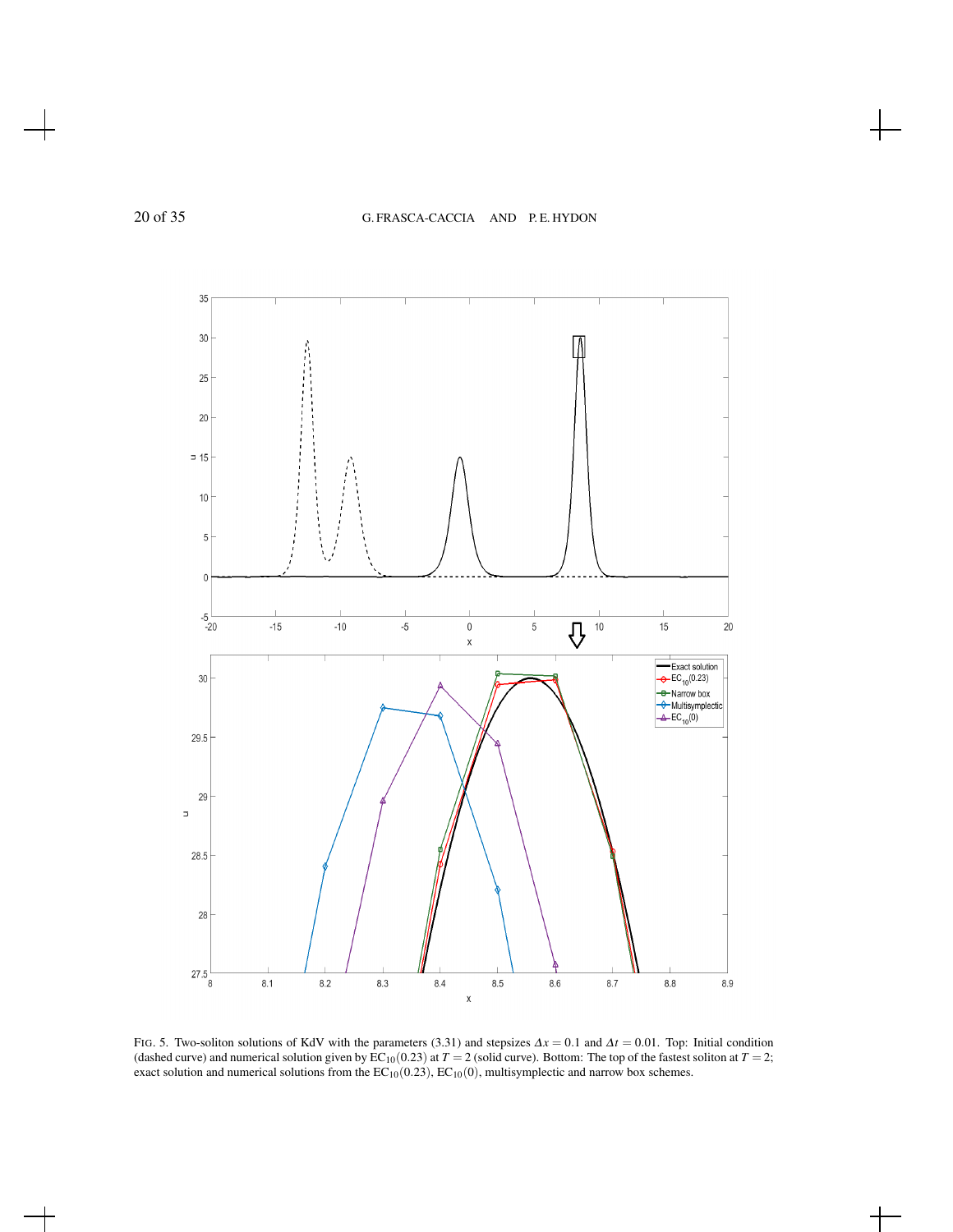

FIG. 5. Two-soliton solutions of KdV with the parameters (3.31) and stepsizes <sup>∆</sup>*x* = 0.1 and <sup>∆</sup>*t* = 0.01. Top: Initial condition (dashed curve) and numerical solution given by  $\text{EC}_{10}(0.23)$  at  $T = 2$  (solid curve). Bottom: The top of the fastest soliton at  $T = 2$ ; exact solution and numerical solutions from the  $EC_{10}(0.23)$ ,  $EC_{10}(0)$ , multisymplectic and narrow box schemes.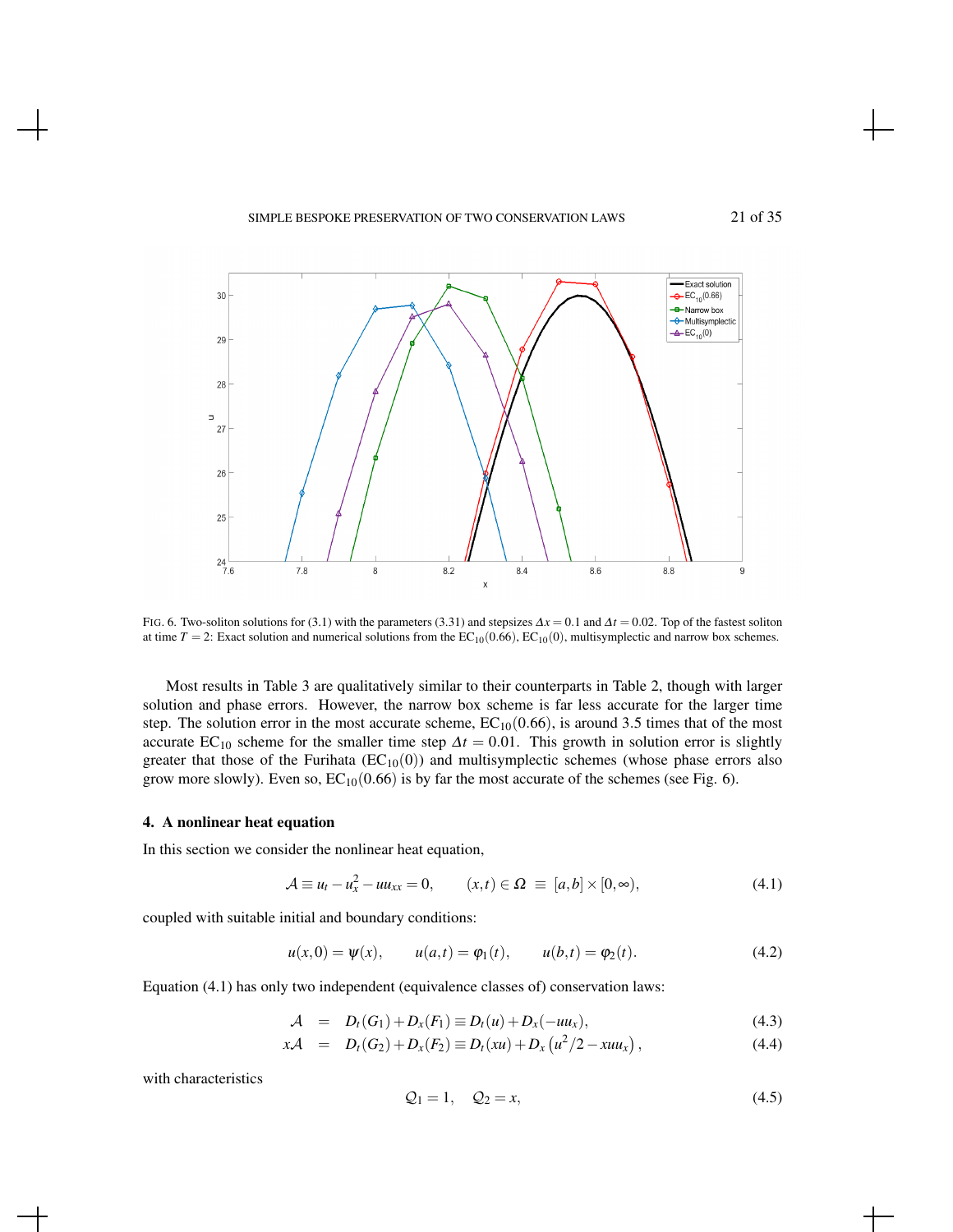#### SIMPLE BESPOKE PRESERVATION OF TWO CONSERVATION LAWS 21 of 35



FIG. 6. Two-soliton solutions for (3.1) with the parameters (3.31) and stepsizes <sup>∆</sup>*x* = 0.1 and <sup>∆</sup>*t* = 0.02. Top of the fastest soliton at time  $T = 2$ : Exact solution and numerical solutions from the  $EC_{10}(0.66)$ ,  $EC_{10}(0)$ , multisymplectic and narrow box schemes.

Most results in Table 3 are qualitatively similar to their counterparts in Table 2, though with larger solution and phase errors. However, the narrow box scheme is far less accurate for the larger time step. The solution error in the most accurate scheme,  $EC_{10}(0.66)$ , is around 3.5 times that of the most accurate EC<sub>10</sub> scheme for the smaller time step  $\Delta t = 0.01$ . This growth in solution error is slightly greater that those of the Furihata  $(EC_{10}(0))$  and multisymplectic schemes (whose phase errors also grow more slowly). Even so,  $EC_{10}(0.66)$  is by far the most accurate of the schemes (see Fig. 6).

#### 4. A nonlinear heat equation

In this section we consider the nonlinear heat equation,

$$
\mathcal{A} \equiv u_t - u_x^2 - uu_{xx} = 0, \qquad (x, t) \in \Omega \equiv [a, b] \times [0, \infty), \tag{4.1}
$$

coupled with suitable initial and boundary conditions:

$$
u(x,0) = \psi(x),
$$
  $u(a,t) = \varphi_1(t),$   $u(b,t) = \varphi_2(t).$  (4.2)

Equation (4.1) has only two independent (equivalence classes of) conservation laws:

$$
A = D_t(G_1) + D_x(F_1) \equiv D_t(u) + D_x(-uu_x), \qquad (4.3)
$$

$$
x\mathcal{A} = D_t(G_2) + D_x(F_2) \equiv D_t(xu) + D_x(u^2/2 - xuu_x), \qquad (4.4)
$$

with characteristics

$$
\mathcal{Q}_1 = 1, \quad \mathcal{Q}_2 = x,\tag{4.5}
$$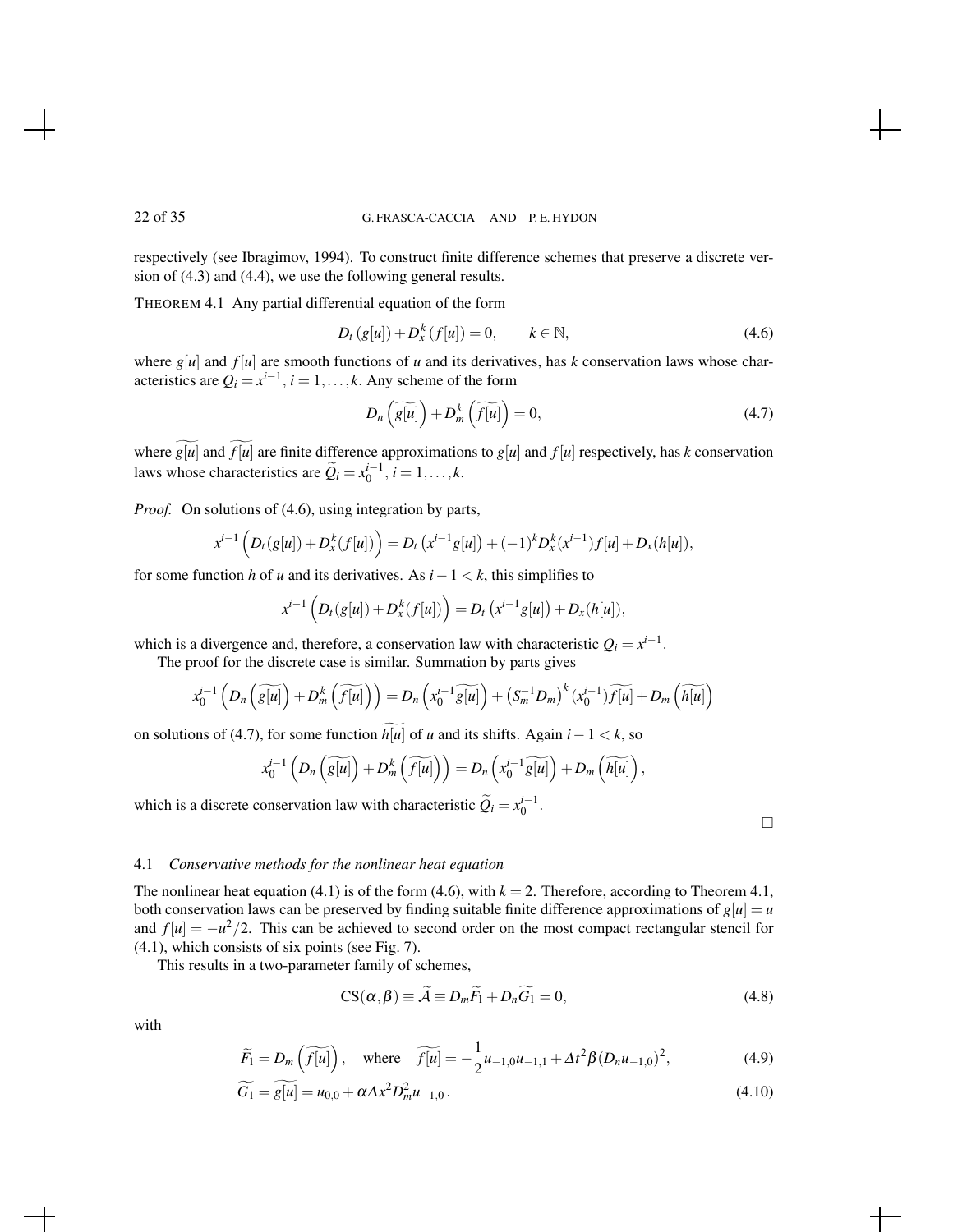respectively (see Ibragimov, 1994). To construct finite difference schemes that preserve a discrete version of (4.3) and (4.4), we use the following general results.

THEOREM 4.1 Any partial differential equation of the form

$$
D_t(g[u]) + D_x^k(f[u]) = 0, \qquad k \in \mathbb{N},
$$
\n(4.6)

where  $g[u]$  and  $f[u]$  are smooth functions of *u* and its derivatives, has *k* conservation laws whose characteristics are  $Q_i = x^{i-1}$ ,  $i = 1, ..., k$ . Any scheme of the form

$$
D_n\left(\widetilde{g[u]}\right) + D_m^k\left(\widetilde{f[u]}\right) = 0,\tag{4.7}
$$

where  $\widetilde{g[u]}$  and  $\widetilde{f[u]}$  are finite difference approximations to  $g[u]$  and  $f[u]$  respectively, has *k* conservation laws whose characteristics are  $\widetilde{Q}_i = x_0^{i-1}, i = 1, \ldots, k$ .

*Proof.* On solutions of (4.6), using integration by parts,

$$
x^{i-1}\left(D_t(g[u]) + D_x^k(f[u])\right) = D_t\left(x^{i-1}g[u]\right) + (-1)^k D_x^k(x^{i-1})f[u] + D_x(h[u]),
$$

for some function *h* of *u* and its derivatives. As *i*−1 < *k*, this simplifies to

$$
x^{i-1}\left(D_t(g[u]) + D_x^k(f[u])\right) = D_t\left(x^{i-1}g[u]\right) + D_x(h[u]),
$$

which is a divergence and, therefore, a conservation law with characteristic  $Q_i = x^{i-1}$ . The proof for the discrete case is similar. Summation by parts gives

$$
x_0^{i-1}\left(D_n\left(\widetilde{s[u]}\right) + D_m^k\left(\widetilde{f[u]}\right)\right) = D_n\left(x_0^{i-1}\widetilde{s[u]}\right) + \left(S_m^{-1}D_m\right)^k\left(x_0^{i-1}\right)\widetilde{f[u]} + D_m\left(\widetilde{h[u]}\right)
$$

on solutions of (4.7), for some function  $h[u]$  of *u* and its shifts. Again  $i-1 < k$ , so

$$
x_0^{i-1}\left(D_n\left(\widetilde{g[u]}\right)+D_m^k\left(\widetilde{f[u]}\right)\right)=D_n\left(x_0^{i-1}\widetilde{g[u]}\right)+D_m\left(\widetilde{h[u]}\right)
$$

which is a discrete conservation law with characteristic  $\widetilde{Q}_i = x_0^{i-1}$ .

 $\Box$ 

,

#### 4.1 *Conservative methods for the nonlinear heat equation*

The nonlinear heat equation (4.1) is of the form (4.6), with  $k = 2$ . Therefore, according to Theorem 4.1, both conservation laws can be preserved by finding suitable finite difference approximations of  $g[u] = u$ and  $f[u] = -u^2/2$ . This can be achieved to second order on the most compact rectangular stencil for (4.1), which consists of six points (see Fig. 7).

This results in a two-parameter family of schemes,

$$
CS(\alpha, \beta) \equiv \tilde{\mathcal{A}} \equiv D_m \tilde{F}_1 + D_n \tilde{G}_1 = 0, \tag{4.8}
$$

with

$$
\widetilde{F}_1 = D_m\left(\widetilde{f[u]}\right)
$$
, where  $\widetilde{f[u]} = -\frac{1}{2}u_{-1,0}u_{-1,1} + \Delta t^2 \beta (D_n u_{-1,0})^2$ , (4.9)

$$
\widetilde{G_1} = g[\overline{u}] = u_{0,0} + \alpha \Delta x^2 D_m^2 u_{-1,0} \,. \tag{4.10}
$$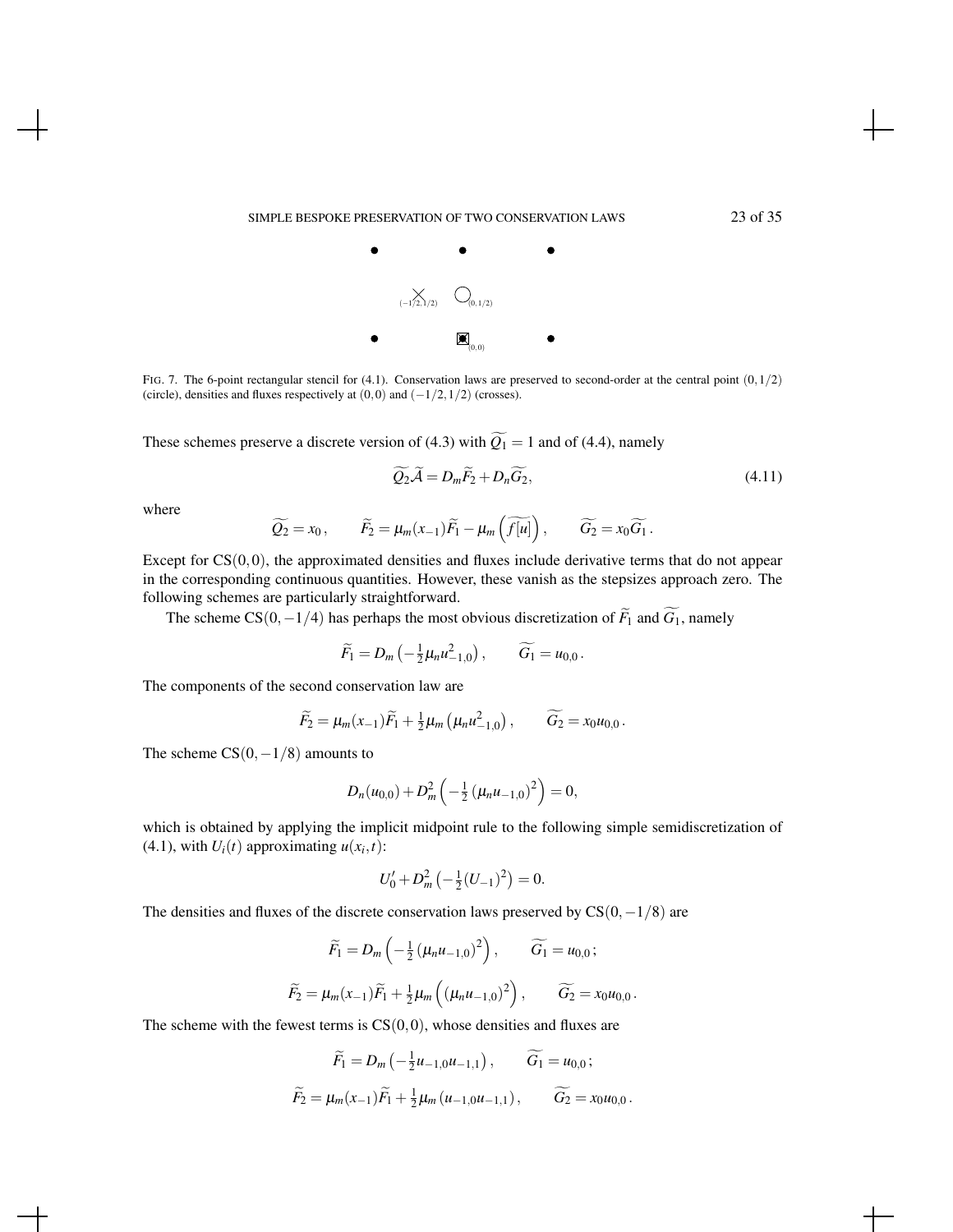

FIG. 7. The 6-point rectangular stencil for (4.1). Conservation laws are preserved to second-order at the central point  $(0,1/2)$ (circle), densities and fluxes respectively at  $(0,0)$  and  $(-1/2,1/2)$  (crosses).

These schemes preserve a discrete version of (4.3) with  $\widetilde{Q_1} = 1$  and of (4.4), namely

$$
\widetilde{Q_2}\widetilde{\mathcal{A}} = D_m\widetilde{F_2} + D_n\widetilde{G_2},\tag{4.11}
$$

where

$$
\widetilde{Q_2} = x_0, \qquad \widetilde{F_2} = \mu_m(x_{-1})\widetilde{F_1} - \mu_m\left(\widetilde{f[u]}\right), \qquad \widetilde{G_2} = x_0\widetilde{G_1}.
$$

Except for  $CS(0,0)$ , the approximated densities and fluxes include derivative terms that do not appear in the corresponding continuous quantities. However, these vanish as the stepsizes approach zero. The following schemes are particularly straightforward.

The scheme CS(0, -1/4) has perhaps the most obvious discretization of  $\widetilde{F}_1$  and  $\widetilde{G}_1$ , namely

$$
\widetilde{F}_1=D_m\left(-\tfrac{1}{2}\mu_n u_{-1,0}^2\right),\qquad \widetilde{G}_1=u_{0,0}.
$$

The components of the second conservation law are

$$
\widetilde{F}_2 = \mu_m(x_{-1})\widetilde{F}_1 + \frac{1}{2}\mu_m\left(\mu_n u_{-1,0}^2\right), \qquad \widetilde{G}_2 = x_0 u_{0,0}.
$$

The scheme  $CS(0, -1/8)$  amounts to

$$
D_n(u_{0,0})+D_m^2\left(-\frac{1}{2}\left(\mu_n u_{-1,0}\right)^2\right)=0,
$$

which is obtained by applying the implicit midpoint rule to the following simple semidiscretization of  $(4.1)$ , with  $U_i(t)$  approximating  $u(x_i, t)$ :

$$
U'_0 + D_m^2 \left(-\frac{1}{2}(U_{-1})^2\right) = 0.
$$

The densities and fluxes of the discrete conservation laws preserved by  $CS(0,−1/8)$  are

$$
\widetilde{F}_1 = D_m \left( -\frac{1}{2} \left( \mu_n u_{-1,0} \right)^2 \right), \qquad \widetilde{G}_1 = u_{0,0};
$$
\n
$$
\widetilde{F}_2 = \mu_m(x_{-1}) \widetilde{F}_1 + \frac{1}{2} \mu_m \left( \left( \mu_n u_{-1,0} \right)^2 \right), \qquad \widetilde{G}_2 = x_0 u_{0,0}.
$$

The scheme with the fewest terms is  $CS(0,0)$ , whose densities and fluxes are

$$
\widetilde{F}_1 = D_m \left( -\frac{1}{2} u_{-1,0} u_{-1,1} \right), \qquad \widetilde{G}_1 = u_{0,0};
$$
  

$$
\widetilde{F}_2 = \mu_m(x_{-1}) \widetilde{F}_1 + \frac{1}{2} \mu_m \left( u_{-1,0} u_{-1,1} \right), \qquad \widetilde{G}_2 = x_0 u_{0,0}.
$$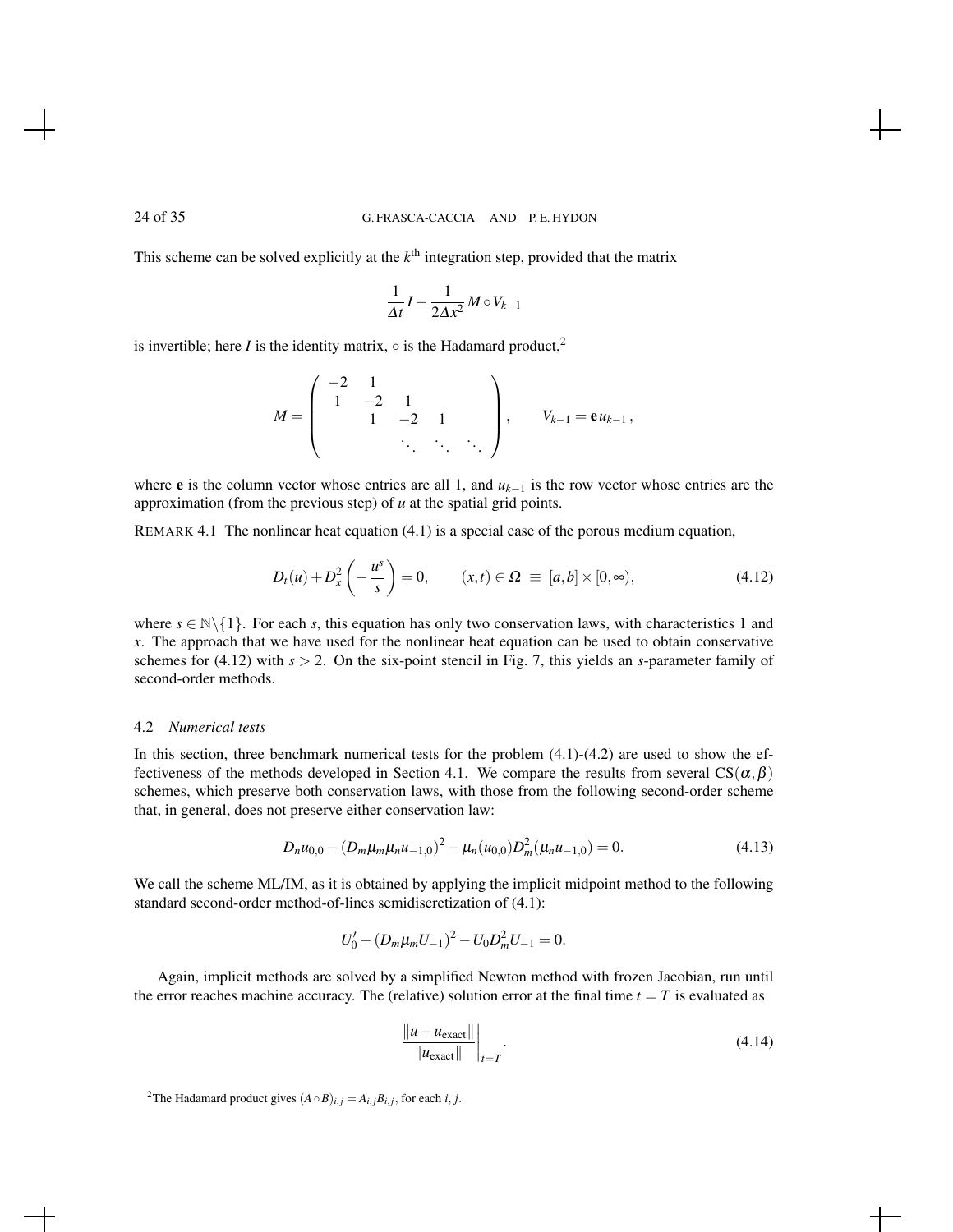This scheme can be solved explicitly at the  $k^{\text{th}}$  integration step, provided that the matrix

$$
\frac{1}{\Delta t}I - \frac{1}{2\Delta x^2}M \circ V_{k-1}
$$

is invertible; here *I* is the identity matrix,  $\circ$  is the Hadamard product,<sup>2</sup>

$$
M = \left( \begin{array}{cccc} -2 & 1 & & & \\ 1 & -2 & 1 & & \\ & 1 & -2 & 1 & \\ & & \ddots & \ddots & \ddots \end{array} \right), \qquad V_{k-1} = \mathbf{e} u_{k-1},
$$

where e is the column vector whose entries are all 1, and *uk*−<sup>1</sup> is the row vector whose entries are the approximation (from the previous step) of *u* at the spatial grid points.

REMARK 4.1 The nonlinear heat equation (4.1) is a special case of the porous medium equation,

$$
D_t(u) + D_x^2\left(-\frac{u^s}{s}\right) = 0, \qquad (x, t) \in \Omega \equiv [a, b] \times [0, \infty), \tag{4.12}
$$

where  $s \in \mathbb{N} \setminus \{1\}$ . For each *s*, this equation has only two conservation laws, with characteristics 1 and *x*. The approach that we have used for the nonlinear heat equation can be used to obtain conservative schemes for (4.12) with  $s > 2$ . On the six-point stencil in Fig. 7, this yields an *s*-parameter family of second-order methods.

#### 4.2 *Numerical tests*

In this section, three benchmark numerical tests for the problem  $(4.1)-(4.2)$  are used to show the effectiveness of the methods developed in Section 4.1. We compare the results from several  $CS(\alpha, \beta)$ schemes, which preserve both conservation laws, with those from the following second-order scheme that, in general, does not preserve either conservation law:

$$
D_n u_{0,0} - (D_m \mu_m \mu_n u_{-1,0})^2 - \mu_n (u_{0,0}) D_m^2(\mu_n u_{-1,0}) = 0.
$$
 (4.13)

We call the scheme ML/IM, as it is obtained by applying the implicit midpoint method to the following standard second-order method-of-lines semidiscretization of (4.1):

$$
U_0' - (D_m \mu_m U_{-1})^2 - U_0 D_m^2 U_{-1} = 0.
$$

Again, implicit methods are solved by a simplified Newton method with frozen Jacobian, run until the error reaches machine accuracy. The (relative) solution error at the final time  $t = T$  is evaluated as

$$
\frac{\|u - u_{\text{exact}}\|}{\|u_{\text{exact}}\|}\bigg|_{t=T}.\tag{4.14}
$$

<sup>2</sup>The Hadamard product gives  $(A \circ B)_{i,j} = A_{i,j}B_{i,j}$ , for each *i*, *j*.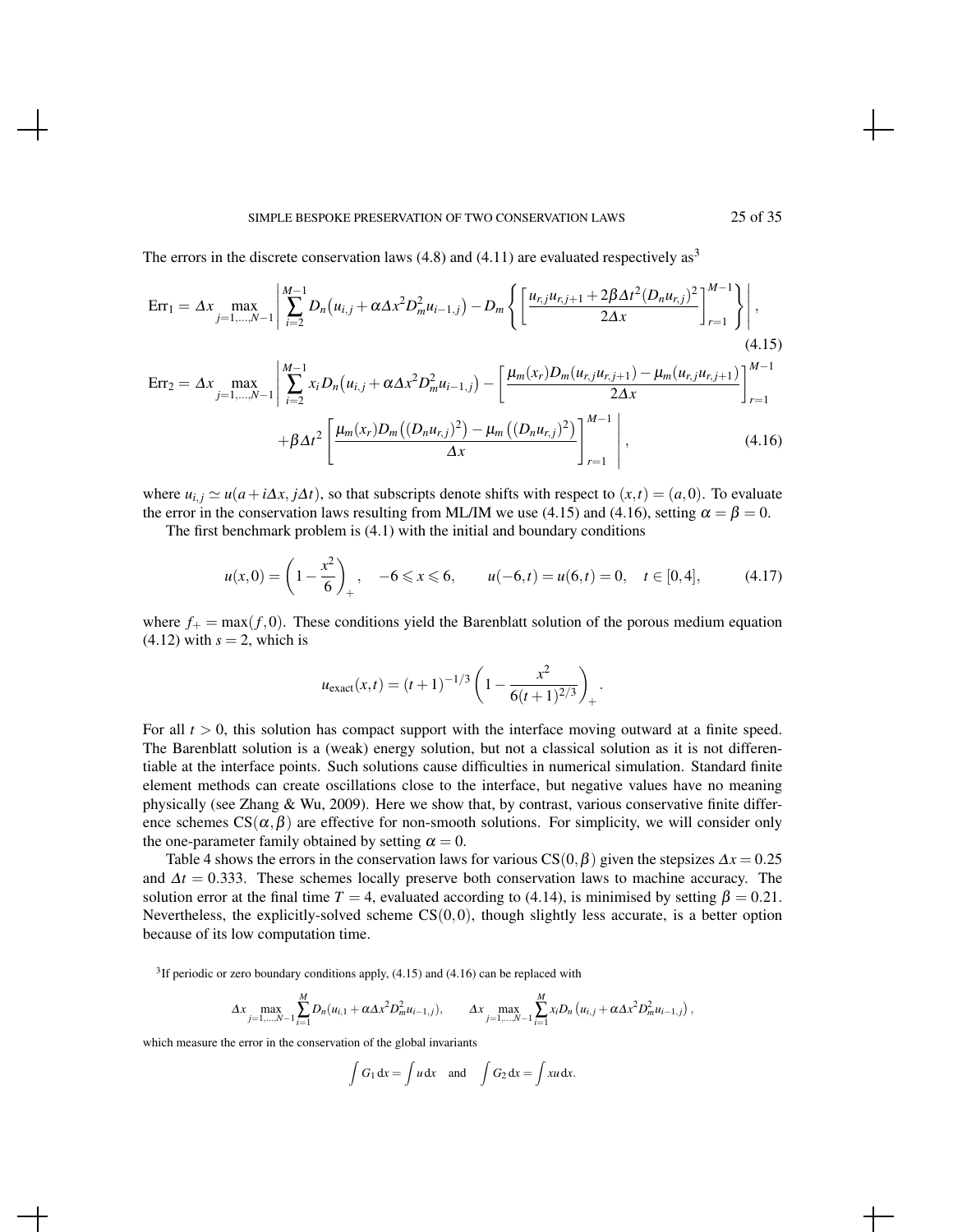#### SIMPLE BESPOKE PRESERVATION OF TWO CONSERVATION LAWS 25 of 35

The errors in the discrete conservation laws  $(4.8)$  and  $(4.11)$  are evaluated respectively as<sup>3</sup>

$$
\text{Err}_1 = \Delta x \max_{j=1,\dots,N-1} \left| \sum_{i=2}^{M-1} D_n \left( u_{i,j} + \alpha \Delta x^2 D_m^2 u_{i-1,j} \right) - D_m \left\{ \left[ \frac{u_{r,j} u_{r,j+1} + 2 \beta \Delta t^2 (D_n u_{r,j})^2}{2 \Delta x} \right]_{r=1}^{M-1} \right\} \right|,
$$
\n(4.15)

$$
Err_2 = \Delta x \max_{j=1,...,N-1} \left| \sum_{i=2}^{M-1} x_i D_n(u_{i,j} + \alpha \Delta x^2 D_m^2 u_{i-1,j}) - \left[ \frac{\mu_m(x_r) D_m(u_{r,j} u_{r,j+1}) - \mu_m(u_{r,j} u_{r,j+1})}{2 \Delta x} \right]_{r=1}^{M-1} + \beta \Delta t^2 \left[ \frac{\mu_m(x_r) D_m((D_n u_{r,j})^2) - \mu_m((D_n u_{r,j})^2)}{\Delta x} \right]_{r=1}^{M-1} \right],
$$
(4.16)

where  $u_{i,j} \simeq u(a + i\Delta x, j\Delta t)$ , so that subscripts denote shifts with respect to  $(x, t) = (a, 0)$ . To evaluate the error in the conservation laws resulting from ML/IM we use (4.15) and (4.16), setting  $\alpha = \beta = 0$ .

The first benchmark problem is (4.1) with the initial and boundary conditions

$$
u(x,0) = \left(1 - \frac{x^2}{6}\right)_+, \quad -6 \le x \le 6, \qquad u(-6,t) = u(6,t) = 0, \quad t \in [0,4], \tag{4.17}
$$

where  $f_+ = \max(f, 0)$ . These conditions yield the Barenblatt solution of the porous medium equation  $(4.12)$  with  $s = 2$ , which is

$$
u_{\text{exact}}(x,t) = (t+1)^{-1/3} \left(1 - \frac{x^2}{6(t+1)^{2/3}}\right)_+.
$$

For all  $t > 0$ , this solution has compact support with the interface moving outward at a finite speed. The Barenblatt solution is a (weak) energy solution, but not a classical solution as it is not differentiable at the interface points. Such solutions cause difficulties in numerical simulation. Standard finite element methods can create oscillations close to the interface, but negative values have no meaning physically (see Zhang & Wu, 2009). Here we show that, by contrast, various conservative finite difference schemes  $CS(\alpha, \beta)$  are effective for non-smooth solutions. For simplicity, we will consider only the one-parameter family obtained by setting  $\alpha = 0$ .

Table 4 shows the errors in the conservation laws for various CS(0, $\beta$ ) given the stepsizes  $\Delta x = 0.25$ and  $\Delta t = 0.333$ . These schemes locally preserve both conservation laws to machine accuracy. The solution error at the final time  $T = 4$ , evaluated according to (4.14), is minimised by setting  $\beta = 0.21$ . Nevertheless, the explicitly-solved scheme  $CS(0,0)$ , though slightly less accurate, is a better option because of its low computation time.

<sup>3</sup>If periodic or zero boundary conditions apply,  $(4.15)$  and  $(4.16)$  can be replaced with

$$
\Delta x \max_{j=1,...,N-1} \sum_{i=1}^{M} D_n(u_{i,1} + \alpha \Delta x^2 D_m^2 u_{i-1,j}), \qquad \Delta x \max_{j=1,...,N-1} \sum_{i=1}^{M} x_i D_n(u_{i,j} + \alpha \Delta x^2 D_m^2 u_{i-1,j}),
$$

which measure the error in the conservation of the global invariants

$$
\int G_1 dx = \int u dx
$$
 and  $\int G_2 dx = \int xu dx$ .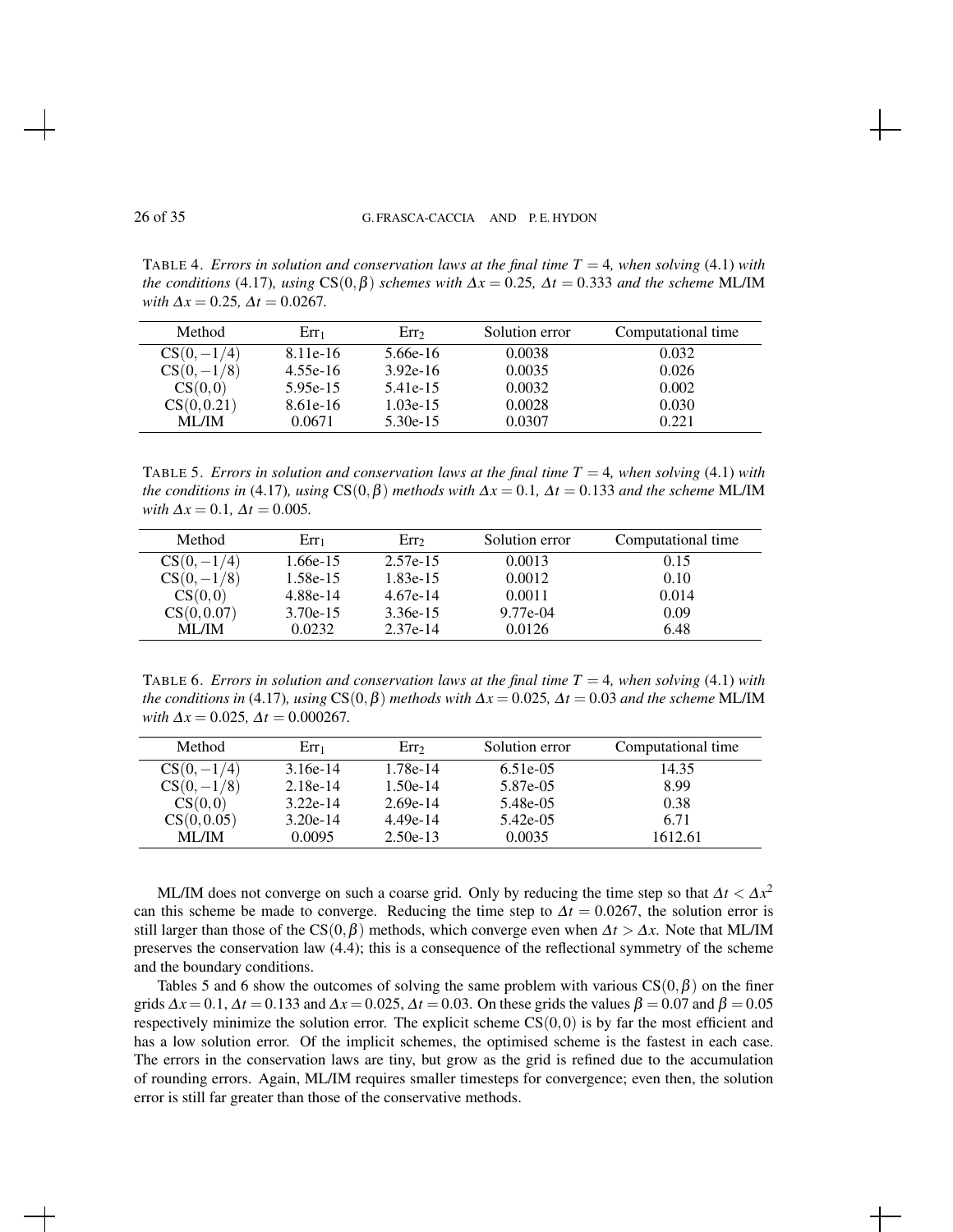TABLE 4. *Errors in solution and conservation laws at the final time*  $T = 4$ *, when solving* (4.1) *with the conditions* (4.17)*, using*  $CS(0, \beta)$  *schemes with*  $\Delta x = 0.25$ ,  $\Delta t = 0.333$  *and the scheme* ML/IM *with*  $\Delta x = 0.25$ ,  $\Delta t = 0.0267$ .

| Method        | $Err_1$    | Err <sub>2</sub> | Solution error | Computational time |
|---------------|------------|------------------|----------------|--------------------|
| $CS(0, -1/4)$ | 8.11e-16   | 5.66e-16         | 0.0038         | 0.032              |
| $CS(0, -1/8)$ | $4.55e-16$ | $3.92e-16$       | 0.0035         | 0.026              |
| CS(0,0)       | $5.95e-15$ | 5.41e-15         | 0.0032         | 0.002              |
| CS(0, 0.21)   | $8.61e-16$ | $1.03e-15$       | 0.0028         | 0.030              |
| <b>ML/IM</b>  | 0.0671     | $5.30e-15$       | 0.0307         | 0.221              |

TABLE 5. *Errors in solution and conservation laws at the final time*  $T = 4$ *, when solving* (4.1) *with the conditions in* (4.17)*, using*  $CS(0, \beta)$  *methods with*  $\Delta x = 0.1$ ,  $\Delta t = 0.133$  *and the scheme* ML/IM  $with \Delta x = 0.1, \Delta t = 0.005.$ 

| Method        | Err1       | Err2       | Solution error | Computational time |
|---------------|------------|------------|----------------|--------------------|
| $CS(0, -1/4)$ | $1.66e-15$ | 2.57e-15   | 0.0013         | 0.15               |
| $CS(0, -1/8)$ | $1.58e-15$ | $1.83e-15$ | 0.0012         | 0.10               |
| CS(0,0)       | 4.88e-14   | $4.67e-14$ | 0.0011         | 0.014              |
| CS(0, 0.07)   | $3.70e-15$ | $3.36e-15$ | 9.77e-04       | 0.09               |
| <b>ML/IM</b>  | 0.0232     | $2.37e-14$ | 0.0126         | 6.48               |

TABLE 6. *Errors in solution and conservation laws at the final time T* = 4*, when solving* (4.1) *with the conditions in* (4.17)*, using*  $CS(0, \beta)$  *methods with*  $\Delta x = 0.025$ *,*  $\Delta t = 0.03$  *and the scheme* ML/IM  $with \Delta x = 0.025, \Delta t = 0.000267.$ 

| Method        | $Err_1$    | Err <sub>2</sub> | Solution error | Computational time |
|---------------|------------|------------------|----------------|--------------------|
| $CS(0, -1/4)$ | $3.16e-14$ | 1.78e-14         | 6.51e-05       | 14.35              |
| $CS(0, -1/8)$ | $2.18e-14$ | $1.50e-14$       | 5.87e-05       | 8.99               |
| CS(0,0)       | $3.22e-14$ | $2.69e-14$       | 5.48e-05       | 0.38               |
| CS(0, 0.05)   | $3.20e-14$ | $4.49e-14$       | 5.42e-05       | 6.71               |
| <b>ML/IM</b>  | 0.0095     | $2.50e-13$       | 0.0035         | 1612.61            |

ML/IM does not converge on such a coarse grid. Only by reducing the time step so that  $\Delta t < \Delta x^2$ can this scheme be made to converge. Reducing the time step to  $\Delta t = 0.0267$ , the solution error is still larger than those of the CS( $0, \beta$ ) methods, which converge even when  $\Delta t > \Delta x$ . Note that ML/IM preserves the conservation law (4.4); this is a consequence of the reflectional symmetry of the scheme and the boundary conditions.

Tables 5 and 6 show the outcomes of solving the same problem with various  $CS(0, \beta)$  on the finer grids  $\Delta x = 0.1$ ,  $\Delta t = 0.133$  and  $\Delta x = 0.025$ ,  $\Delta t = 0.03$ . On these grids the values  $\beta = 0.07$  and  $\beta = 0.05$ respectively minimize the solution error. The explicit scheme  $CS(0,0)$  is by far the most efficient and has a low solution error. Of the implicit schemes, the optimised scheme is the fastest in each case. The errors in the conservation laws are tiny, but grow as the grid is refined due to the accumulation of rounding errors. Again, ML/IM requires smaller timesteps for convergence; even then, the solution error is still far greater than those of the conservative methods.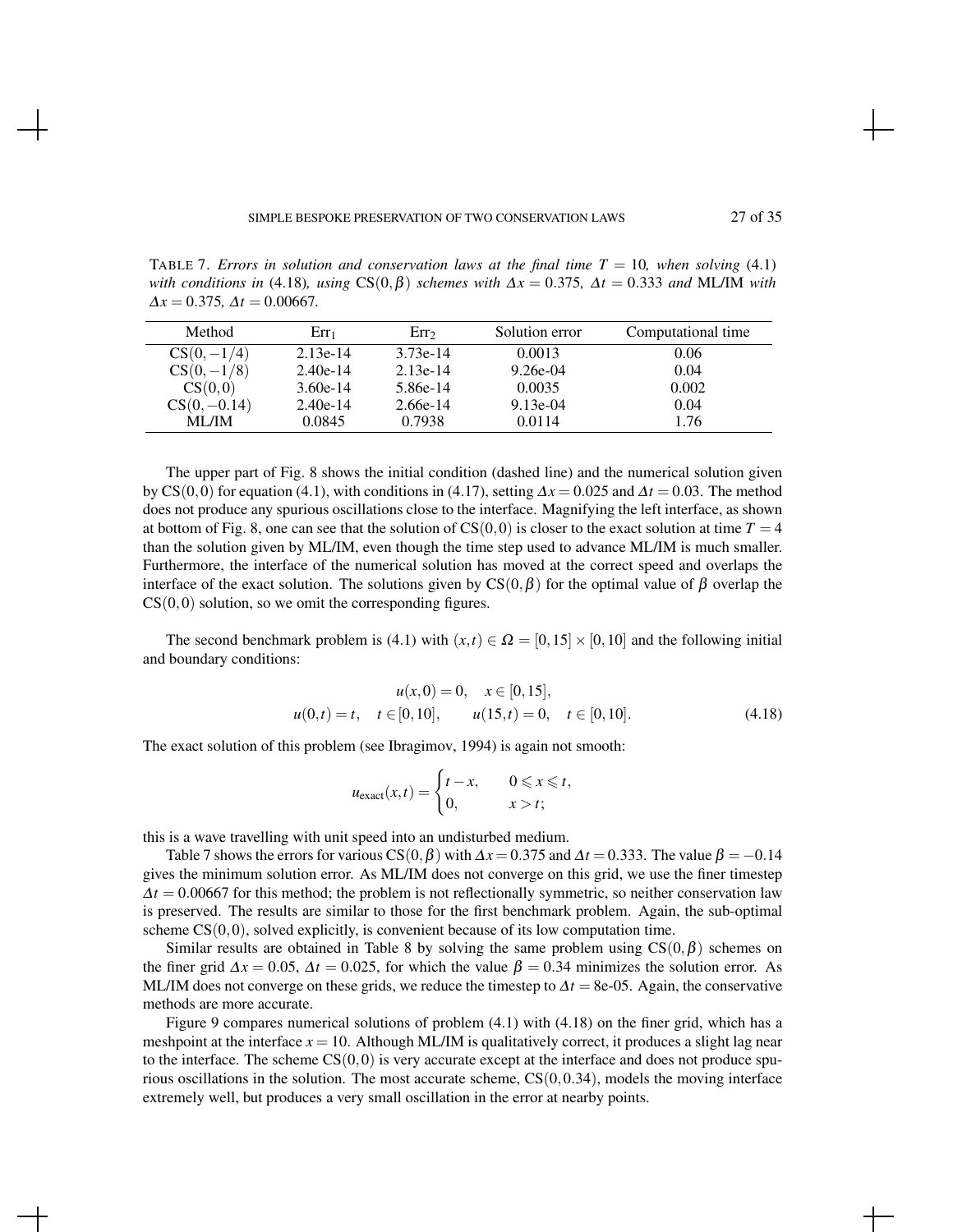TABLE 7. *Errors in solution and conservation laws at the final time*  $T = 10$ *, when solving* (4.1) *with conditions in* (4.18)*, using*  $CS(0, \beta)$  *schemes with*  $\Delta x = 0.375$ ,  $\Delta t = 0.333$  *and* ML/IM *with*  $\Delta x = 0.375$ ,  $\Delta t = 0.00667$ .

| Method         | $Err_1$    | Err <sub>2</sub> | Solution error | Computational time |
|----------------|------------|------------------|----------------|--------------------|
| $CS(0, -1/4)$  | $2.13e-14$ | $3.73e-14$       | 0.0013         | 0.06               |
| $CS(0, -1/8)$  | $2.40e-14$ | $2.13e-14$       | $9.26e-04$     | 0.04               |
| CS(0,0)        | $3.60e-14$ | 5.86e-14         | 0.0035         | 0.002              |
| $CS(0, -0.14)$ | $2.40e-14$ | $2.66e-14$       | $9.13e-04$     | 0.04               |
| ML/IM          | 0.0845     | 0.7938           | 0.0114         | 1.76               |

The upper part of Fig. 8 shows the initial condition (dashed line) and the numerical solution given by CS(0,0) for equation (4.1), with conditions in (4.17), setting  $\Delta x = 0.025$  and  $\Delta t = 0.03$ . The method does not produce any spurious oscillations close to the interface. Magnifying the left interface, as shown at bottom of Fig. 8, one can see that the solution of  $CS(0,0)$  is closer to the exact solution at time  $T = 4$ than the solution given by ML/IM, even though the time step used to advance ML/IM is much smaller. Furthermore, the interface of the numerical solution has moved at the correct speed and overlaps the interface of the exact solution. The solutions given by  $CS(0, \beta)$  for the optimal value of  $\beta$  overlap the  $CS(0,0)$  solution, so we omit the corresponding figures.

The second benchmark problem is (4.1) with  $(x,t) \in \Omega = [0,15] \times [0,10]$  and the following initial and boundary conditions:

$$
u(x,0) = 0, \quad x \in [0,15],
$$
  
 
$$
u(0,t) = t, \quad t \in [0,10], \qquad u(15,t) = 0, \quad t \in [0,10].
$$
 (4.18)

The exact solution of this problem (see Ibragimov, 1994) is again not smooth:

$$
u_{\text{exact}}(x,t) = \begin{cases} t - x, & 0 \leq x \leq t, \\ 0, & x > t; \end{cases}
$$

this is a wave travelling with unit speed into an undisturbed medium.

Table 7 shows the errors for various CS(0, $\beta$ ) with  $\Delta x = 0.375$  and  $\Delta t = 0.333$ . The value  $\beta = -0.14$ gives the minimum solution error. As ML/IM does not converge on this grid, we use the finer timestep  $\Delta t = 0.00667$  for this method; the problem is not reflectionally symmetric, so neither conservation law is preserved. The results are similar to those for the first benchmark problem. Again, the sub-optimal scheme  $CS(0,0)$ , solved explicitly, is convenient because of its low computation time.

Similar results are obtained in Table 8 by solving the same problem using  $CS(0, \beta)$  schemes on the finer grid  $\Delta x = 0.05$ ,  $\Delta t = 0.025$ , for which the value  $\beta = 0.34$  minimizes the solution error. As ML/IM does not converge on these grids, we reduce the timestep to  $\Delta t = 8e-0.5$ . Again, the conservative methods are more accurate.

Figure 9 compares numerical solutions of problem (4.1) with (4.18) on the finer grid, which has a meshpoint at the interface  $x = 10$ . Although ML/IM is qualitatively correct, it produces a slight lag near to the interface. The scheme  $CS(0,0)$  is very accurate except at the interface and does not produce spurious oscillations in the solution. The most accurate scheme,  $CS(0,0.34)$ , models the moving interface extremely well, but produces a very small oscillation in the error at nearby points.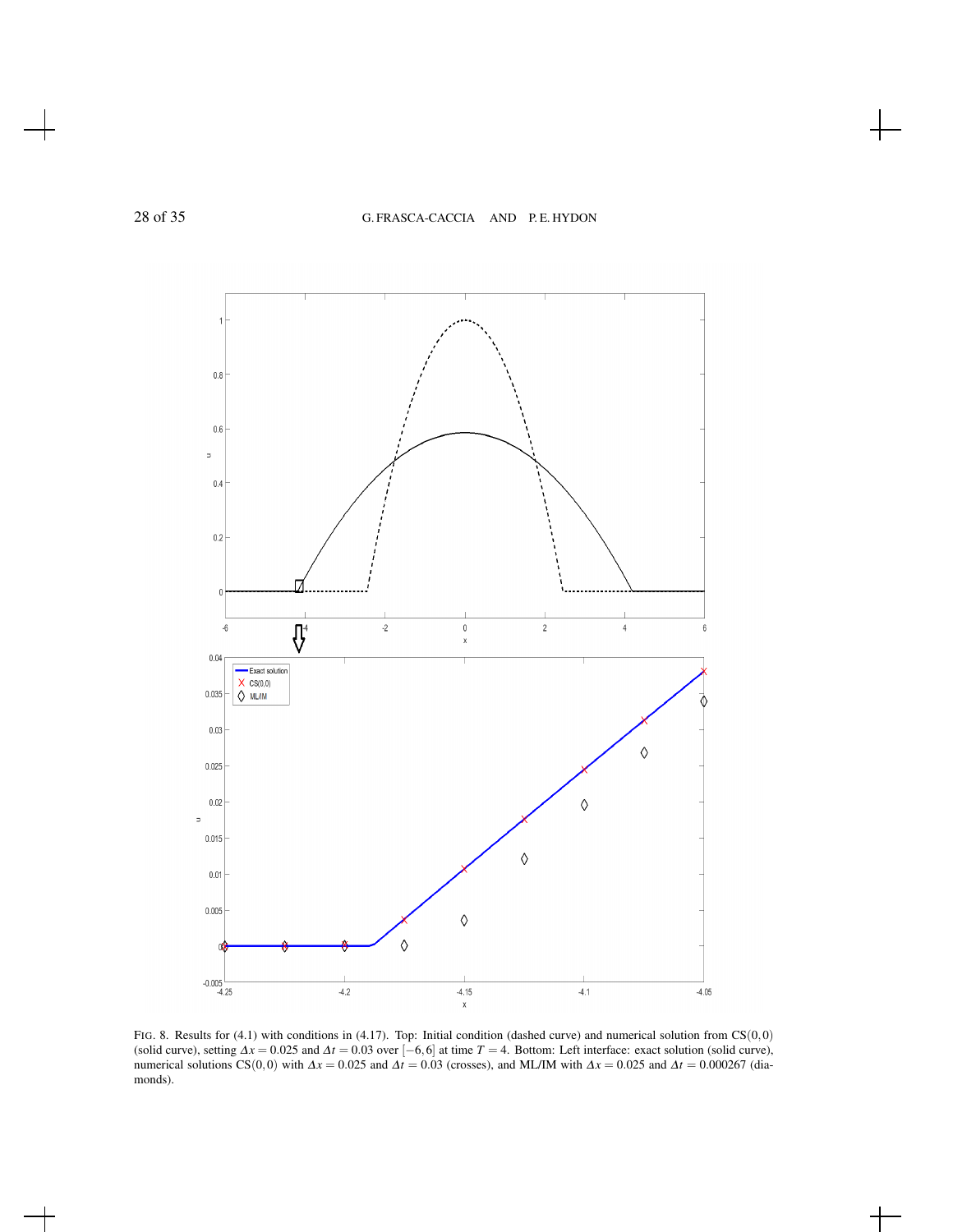

FIG. 8. Results for (4.1) with conditions in (4.17). Top: Initial condition (dashed curve) and numerical solution from CS(0,0) (solid curve), setting  $\Delta x = 0.025$  and  $\Delta t = 0.03$  over  $[-6, 6]$  at time  $T = 4$ . Bottom: Left interface: exact solution (solid curve), numerical solutions CS(0,0) with  $\Delta x = 0.025$  and  $\Delta t = 0.03$  (crosses), and ML/IM wi monds).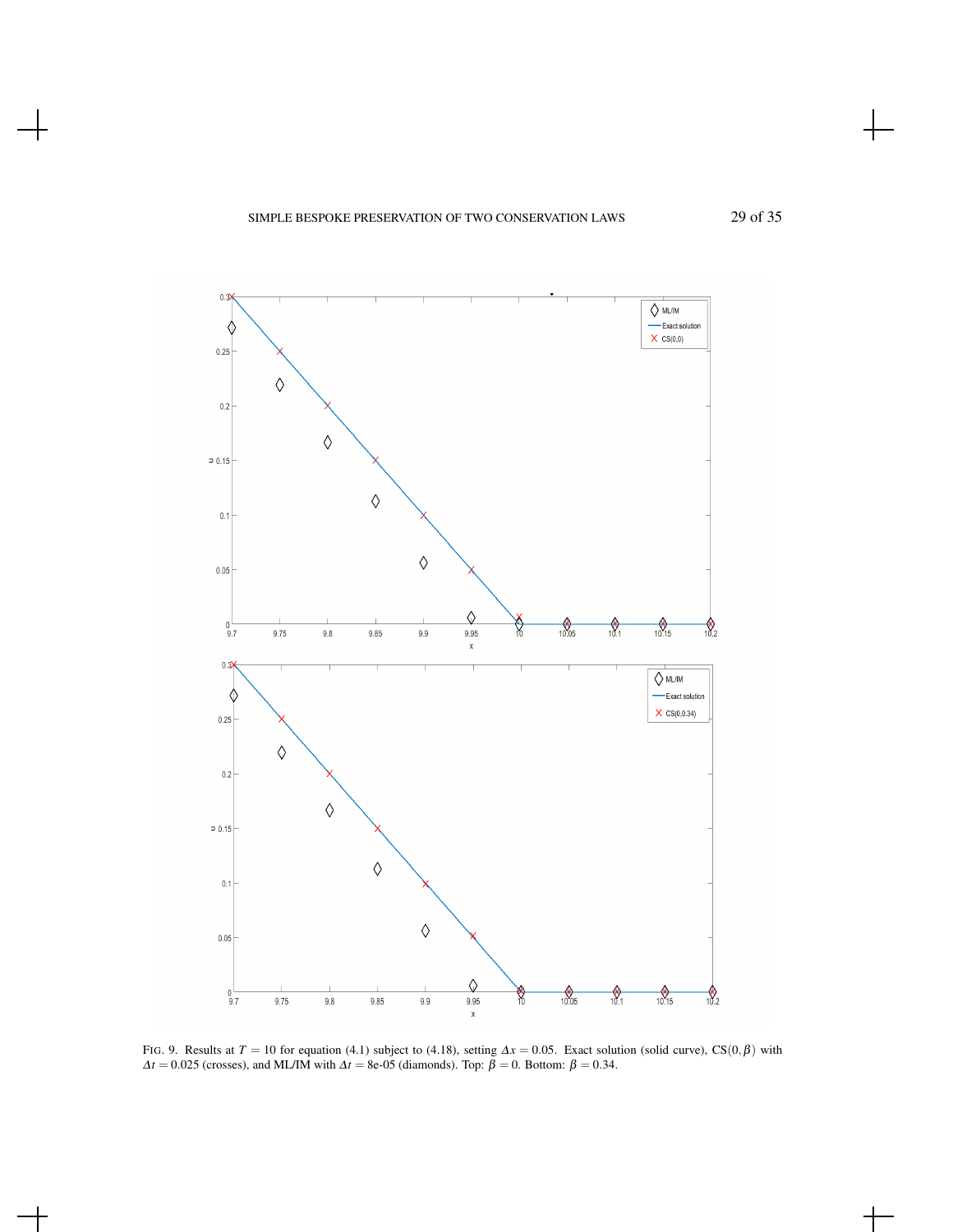



FIG. 9. Results at *T* = 10 for equation (4.1) subject to (4.18), setting  $\Delta x = 0.05$ . Exact solution (solid curve), CS(0, $\beta$ ) with  $\Delta t = 0.025$  (crosses), and ML/IM with  $\Delta t = 8e-05$  (diamonds). Top:  $\tilde{\beta} = 0$ . Bottom:  $\beta = 0.34$ .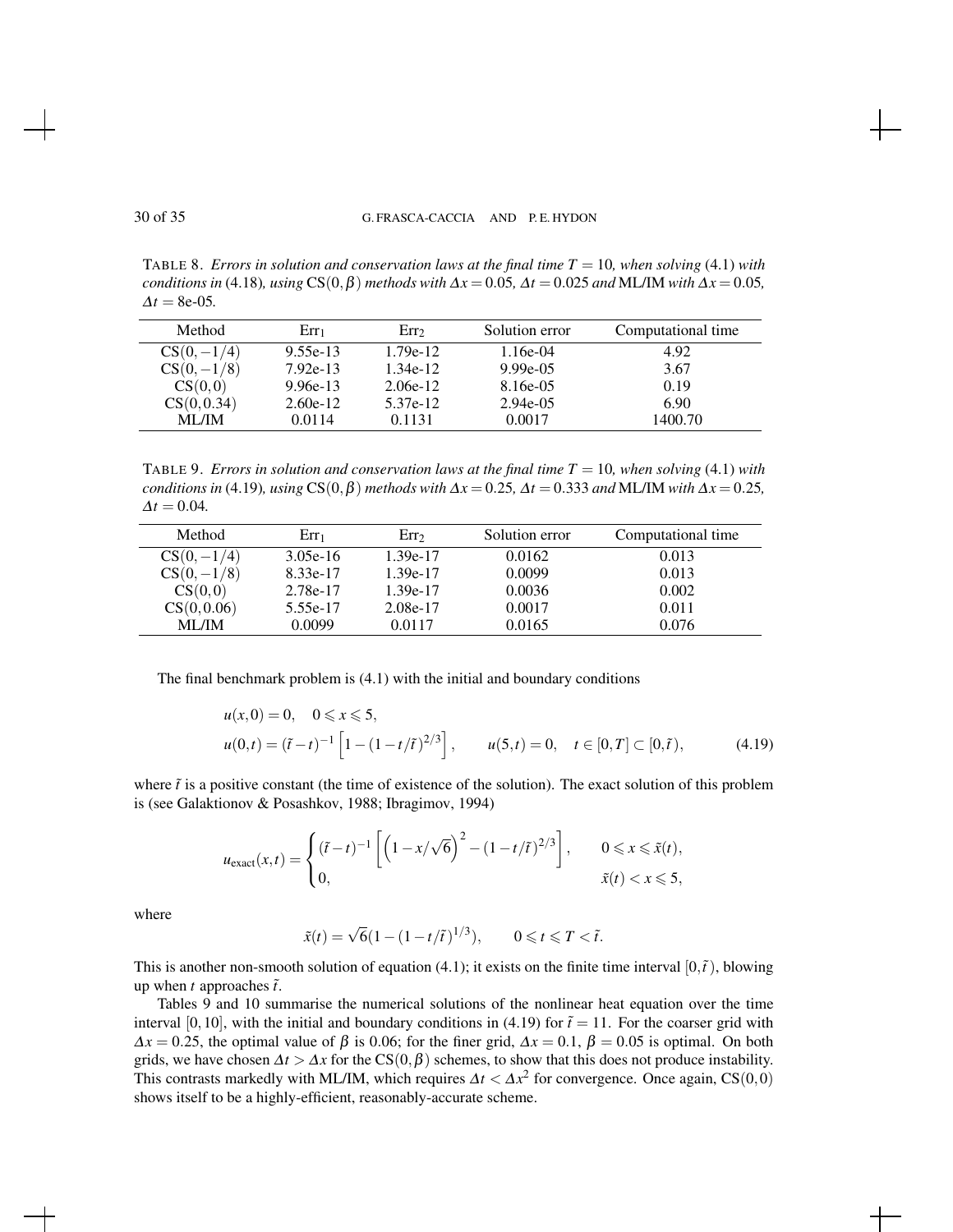TABLE 8. *Errors in solution and conservation laws at the final time*  $T = 10$ *, when solving* (4.1) *with conditions in* (4.18)*, using*  $CS(0, \beta)$  *methods with*  $\Delta x = 0.05$ *,*  $\Delta t = 0.025$  *and* ML/IM *with*  $\Delta x = 0.05$ *,*  $\Delta t = 8e-05$ .

| Method        | $Err_1$    | Err <sub>2</sub> | Solution error | Computational time |
|---------------|------------|------------------|----------------|--------------------|
| $CS(0, -1/4)$ | $9.55e-13$ | $1.79e-12$       | 1.16e-04       | 4.92               |
| $CS(0, -1/8)$ | $7.92e-13$ | 1.34e-12         | $9.99e-0.5$    | 3.67               |
| CS(0,0)       | $9.96e-13$ | $2.06e-12$       | 8.16e-05       | 0.19               |
| CS(0, 0.34)   | $2.60e-12$ | 5.37e-12         | $2.94e-0.5$    | 6.90               |
| <b>ML/IM</b>  | 0.0114     | 0.1131           | 0.0017         | 1400.70            |

TABLE 9. *Errors in solution and conservation laws at the final time*  $T = 10$ *, when solving* (4.1) *with conditions in* (4.19)*, using*  $CS(0, \beta)$  *methods with*  $\Delta x = 0.25$ ,  $\Delta t = 0.333$  *and* ML/IM *with*  $\Delta x = 0.25$ ,  $\Delta t = 0.04$ .

| Method        | $Err_1$    | Err <sub>2</sub> | Solution error | Computational time |
|---------------|------------|------------------|----------------|--------------------|
| $CS(0, -1/4)$ | $3.05e-16$ | $1.39e-17$       | 0.0162         | 0.013              |
| $CS(0, -1/8)$ | 8.33e-17   | 1.39e-17         | 0.0099         | 0.013              |
| CS(0,0)       | 2.78e-17   | 1.39e-17         | 0.0036         | 0.002              |
| CS(0, 0.06)   | 5.55e-17   | 2.08e-17         | 0.0017         | 0.011              |
| <b>ML/IM</b>  | 0.0099     | 0.0117           | 0.0165         | 0.076              |

The final benchmark problem is (4.1) with the initial and boundary conditions

$$
u(x,0) = 0, \quad 0 \le x \le 5,
$$
  

$$
u(0,t) = (\tilde{t}-t)^{-1} \left[1 - (1-t/\tilde{t})^{2/3}\right], \qquad u(5,t) = 0, \quad t \in [0,T] \subset [0,\tilde{t}), \tag{4.19}
$$

where  $\tilde{t}$  is a positive constant (the time of existence of the solution). The exact solution of this problem is (see Galaktionov & Posashkov, 1988; Ibragimov, 1994)

$$
u_{\text{exact}}(x,t) = \begin{cases} (\tilde{t} - t)^{-1} \left[ \left( 1 - x/\sqrt{6} \right)^2 - \left( 1 - t/\tilde{t} \right)^{2/3} \right], & 0 \leqslant x \leqslant \tilde{x}(t), \\ 0, & \tilde{x}(t) < x \leqslant 5, \end{cases}
$$

where

$$
\tilde{x}(t)=\sqrt{6}(1-(1-t/\tilde{t}\,)^{1/3}),\qquad 0\leqslant t\leqslant T<\tilde{t}.
$$

This is another non-smooth solution of equation (4.1); it exists on the finite time interval  $[0, \tilde{t})$ , blowing up when *t* approaches  $\tilde{t}$ .

Tables 9 and 10 summarise the numerical solutions of the nonlinear heat equation over the time interval [0,10], with the initial and boundary conditions in (4.19) for  $\tilde{t} = 11$ . For the coarser grid with  $\Delta x = 0.25$ , the optimal value of  $\beta$  is 0.06; for the finer grid,  $\Delta x = 0.1$ ,  $\beta = 0.05$  is optimal. On both grids, we have chosen  $\Delta t > \Delta x$  for the CS(0, $\beta$ ) schemes, to show that this does not produce instability. This contrasts markedly with ML/IM, which requires  $\Delta t < \Delta x^2$  for convergence. Once again, CS(0,0) shows itself to be a highly-efficient, reasonably-accurate scheme.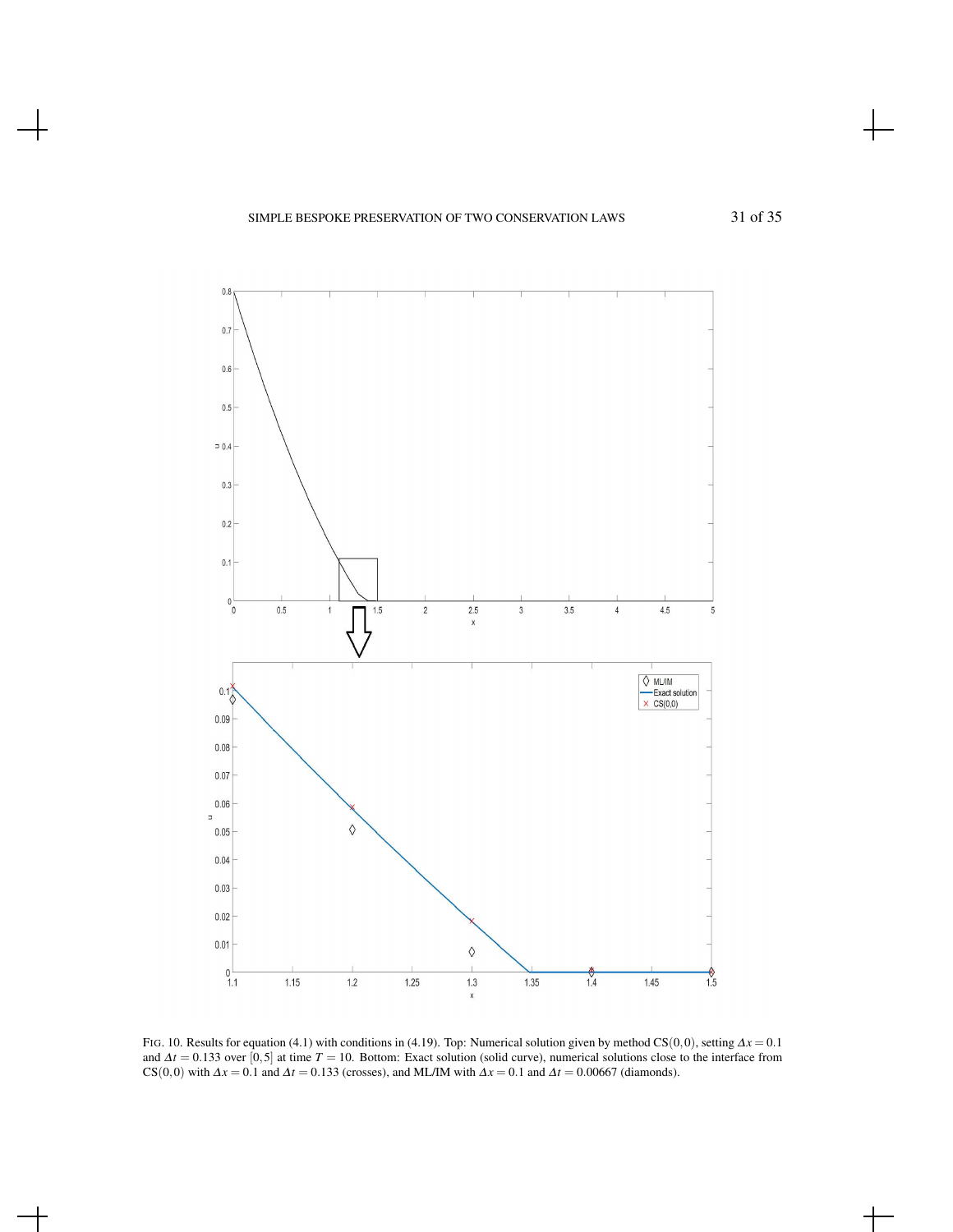

FIG. 10. Results for equation (4.1) with conditions in (4.19). Top: Numerical solution given by method CS(0,0), setting <sup>∆</sup>*x* = 0.1 and <sup>∆</sup>*t* = 0.133 over [0,5] at time *T* = 10. Bottom: Exact solution (solid curve), numerical solutions close to the interface from CS(0,0) with  $\Delta x = 0.1$  and  $\Delta t = 0.133$  (crosses), and ML/IM with  $\Delta x = 0.1$  and  $\Delta t = 0.00667$  (diamonds).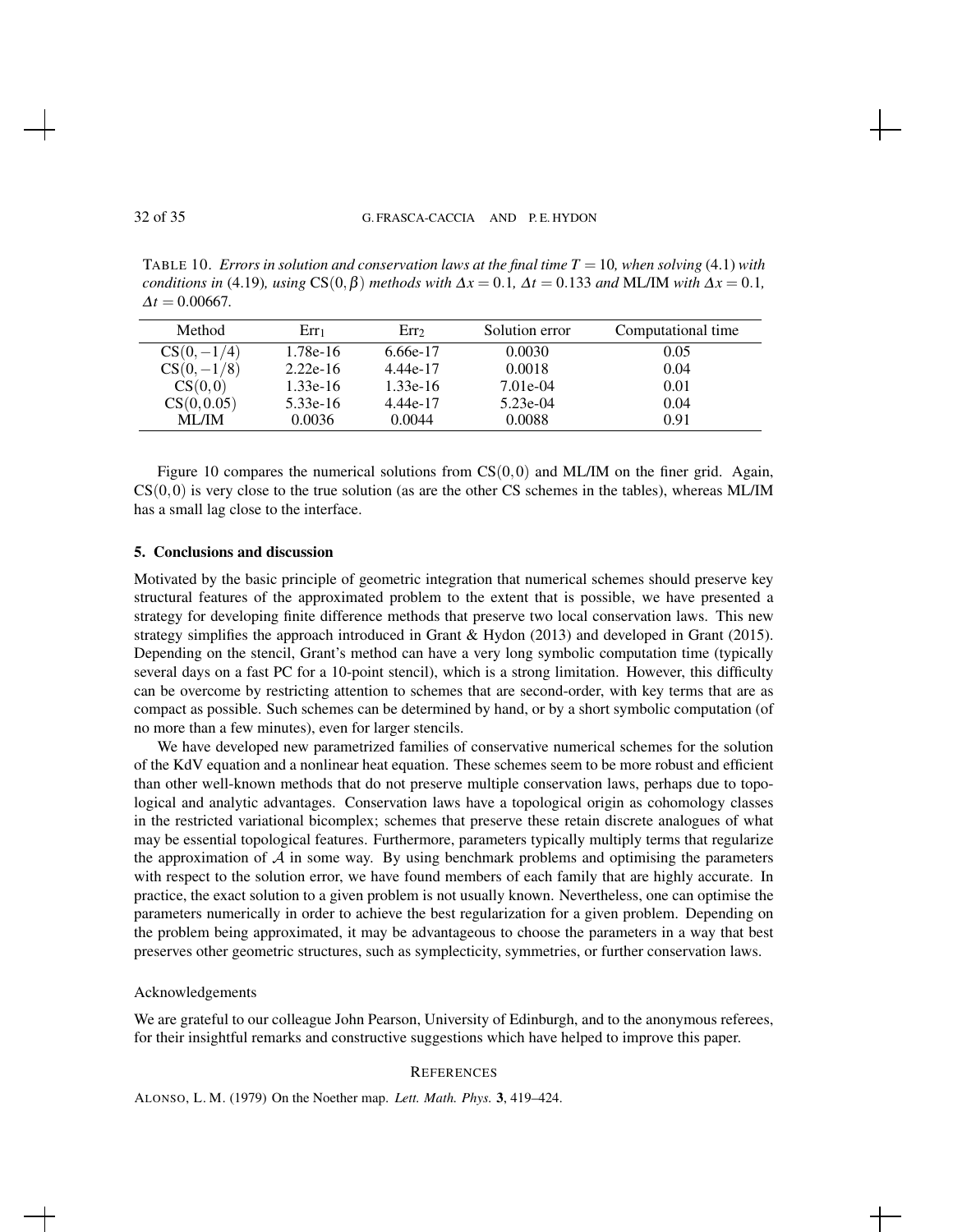TABLE 10. *Errors in solution and conservation laws at the final time*  $T = 10$ *, when solving* (4.1) *with conditions in* (4.19)*, using*  $CS(0, \beta)$  *methods with*  $\Delta x = 0.1$ *,*  $\Delta t = 0.133$  *and* ML/IM *with*  $\Delta x = 0.1$ *,*  $\Delta t = 0.00667$ .

| Method        | $Err_1$    | Err <sub>2</sub> | Solution error | Computational time |
|---------------|------------|------------------|----------------|--------------------|
| $CS(0, -1/4)$ | $1.78e-16$ | 6.66e-17         | 0.0030         | 0.05               |
| $CS(0, -1/8)$ | $2.22e-16$ | 4.44e-17         | 0.0018         | 0.04               |
| CS(0,0)       | $1.33e-16$ | $1.33e-16$       | $7.01e-04$     | 0.01               |
| CS(0, 0.05)   | $5.33e-16$ | 4.44e-17         | $5.23e-04$     | 0.04               |
| <b>ML/IM</b>  | 0.0036     | 0.0044           | 0.0088         | 0.91               |

Figure 10 compares the numerical solutions from  $CS(0,0)$  and ML/IM on the finer grid. Again,  $CS(0,0)$  is very close to the true solution (as are the other CS schemes in the tables), whereas ML/IM has a small lag close to the interface.

#### 5. Conclusions and discussion

Motivated by the basic principle of geometric integration that numerical schemes should preserve key structural features of the approximated problem to the extent that is possible, we have presented a strategy for developing finite difference methods that preserve two local conservation laws. This new strategy simplifies the approach introduced in Grant & Hydon (2013) and developed in Grant (2015). Depending on the stencil, Grant's method can have a very long symbolic computation time (typically several days on a fast PC for a 10-point stencil), which is a strong limitation. However, this difficulty can be overcome by restricting attention to schemes that are second-order, with key terms that are as compact as possible. Such schemes can be determined by hand, or by a short symbolic computation (of no more than a few minutes), even for larger stencils.

We have developed new parametrized families of conservative numerical schemes for the solution of the KdV equation and a nonlinear heat equation. These schemes seem to be more robust and efficient than other well-known methods that do not preserve multiple conservation laws, perhaps due to topological and analytic advantages. Conservation laws have a topological origin as cohomology classes in the restricted variational bicomplex; schemes that preserve these retain discrete analogues of what may be essential topological features. Furthermore, parameters typically multiply terms that regularize the approximation of  $A$  in some way. By using benchmark problems and optimising the parameters with respect to the solution error, we have found members of each family that are highly accurate. In practice, the exact solution to a given problem is not usually known. Nevertheless, one can optimise the parameters numerically in order to achieve the best regularization for a given problem. Depending on the problem being approximated, it may be advantageous to choose the parameters in a way that best preserves other geometric structures, such as symplecticity, symmetries, or further conservation laws.

#### Acknowledgements

We are grateful to our colleague John Pearson, University of Edinburgh, and to the anonymous referees, for their insightful remarks and constructive suggestions which have helped to improve this paper.

#### **REFERENCES**

ALONSO, L. M. (1979) On the Noether map. *Lett. Math. Phys.* 3, 419–424.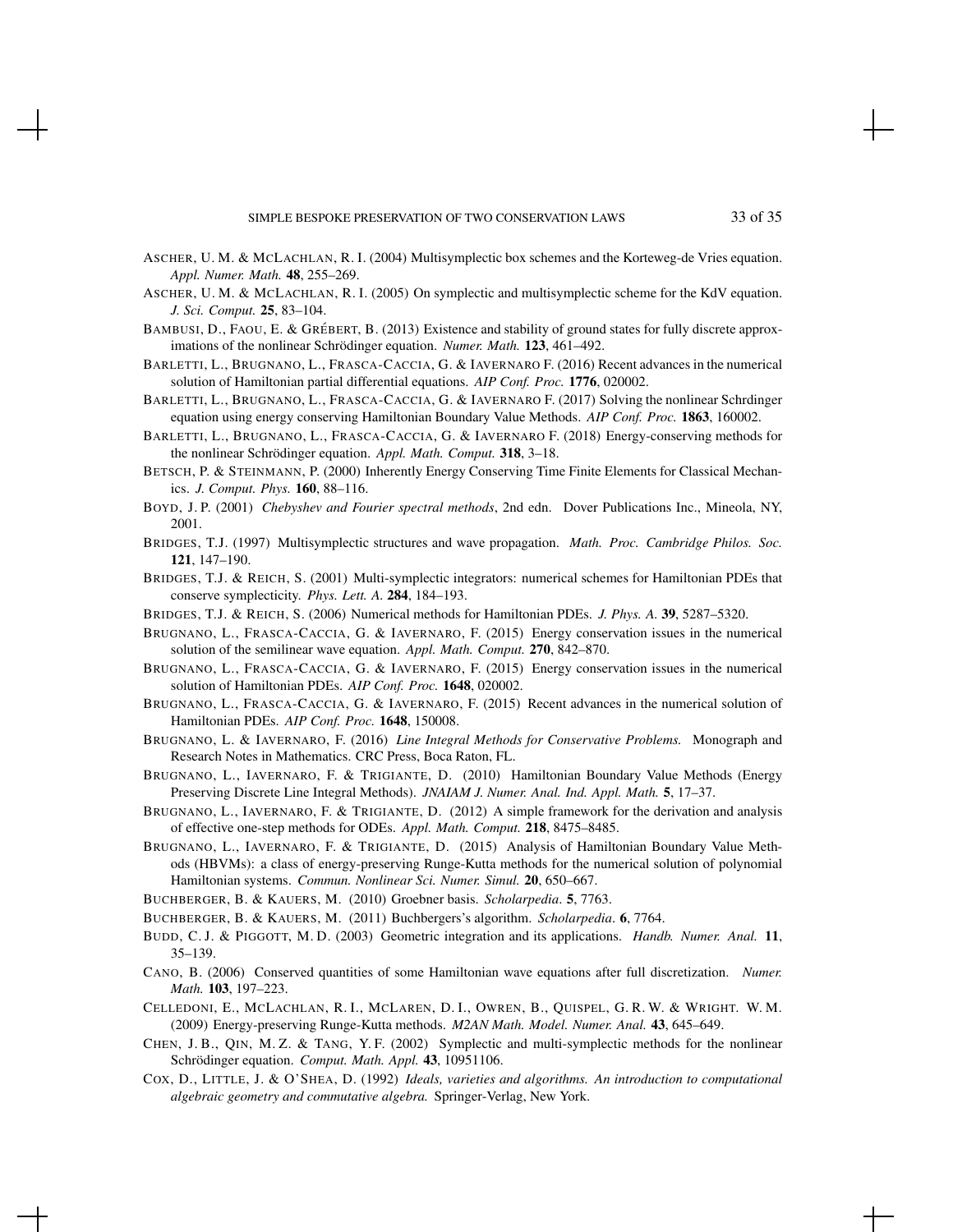- ASCHER, U. M. & MCLACHLAN, R. I. (2004) Multisymplectic box schemes and the Korteweg-de Vries equation. *Appl. Numer. Math.* 48, 255–269.
- ASCHER, U. M. & MCLACHLAN, R. I. (2005) On symplectic and multisymplectic scheme for the KdV equation. *J. Sci. Comput.* 25, 83–104.
- BAMBUSI, D., FAOU, E. & GRÉBERT, B. (2013) Existence and stability of ground states for fully discrete approximations of the nonlinear Schrödinger equation. Numer. Math. 123, 461-492.
- BARLETTI, L., BRUGNANO, L., FRASCA-CACCIA, G. & IAVERNARO F. (2016) Recent advances in the numerical solution of Hamiltonian partial differential equations. *AIP Conf. Proc.* 1776, 020002.
- BARLETTI, L., BRUGNANO, L., FRASCA-CACCIA, G. & IAVERNARO F. (2017) Solving the nonlinear Schrdinger equation using energy conserving Hamiltonian Boundary Value Methods. *AIP Conf. Proc.* 1863, 160002.
- BARLETTI, L., BRUGNANO, L., FRASCA-CACCIA, G. & IAVERNARO F. (2018) Energy-conserving methods for the nonlinear Schrödinger equation. Appl. Math. Comput. 318, 3-18.
- BETSCH, P. & STEINMANN, P. (2000) Inherently Energy Conserving Time Finite Elements for Classical Mechanics. *J. Comput. Phys.* 160, 88–116.
- BOYD, J. P. (2001) *Chebyshev and Fourier spectral methods*, 2nd edn. Dover Publications Inc., Mineola, NY, 2001.
- BRIDGES, T.J. (1997) Multisymplectic structures and wave propagation. *Math. Proc. Cambridge Philos. Soc.* 121, 147–190.
- BRIDGES, T.J. & REICH, S. (2001) Multi-symplectic integrators: numerical schemes for Hamiltonian PDEs that conserve symplecticity. *Phys. Lett. A.* 284, 184–193.
- BRIDGES, T.J. & REICH, S. (2006) Numerical methods for Hamiltonian PDEs. *J. Phys. A.* 39, 5287–5320.
- BRUGNANO, L., FRASCA-CACCIA, G. & IAVERNARO, F. (2015) Energy conservation issues in the numerical solution of the semilinear wave equation. *Appl. Math. Comput.* 270, 842–870.
- BRUGNANO, L., FRASCA-CACCIA, G. & IAVERNARO, F. (2015) Energy conservation issues in the numerical solution of Hamiltonian PDEs. *AIP Conf. Proc.* 1648, 020002.
- BRUGNANO, L., FRASCA-CACCIA, G. & IAVERNARO, F. (2015) Recent advances in the numerical solution of Hamiltonian PDEs. *AIP Conf. Proc.* 1648, 150008.
- BRUGNANO, L. & IAVERNARO, F. (2016) *Line Integral Methods for Conservative Problems.* Monograph and Research Notes in Mathematics. CRC Press, Boca Raton, FL.
- BRUGNANO, L., IAVERNARO, F. & TRIGIANTE, D. (2010) Hamiltonian Boundary Value Methods (Energy Preserving Discrete Line Integral Methods). *JNAIAM J. Numer. Anal. Ind. Appl. Math.* 5, 17–37.
- BRUGNANO, L., IAVERNARO, F. & TRIGIANTE, D. (2012) A simple framework for the derivation and analysis of effective one-step methods for ODEs. *Appl. Math. Comput.* 218, 8475–8485.
- BRUGNANO, L., IAVERNARO, F. & TRIGIANTE, D. (2015) Analysis of Hamiltonian Boundary Value Methods (HBVMs): a class of energy-preserving Runge-Kutta methods for the numerical solution of polynomial Hamiltonian systems. *Commun. Nonlinear Sci. Numer. Simul.* 20, 650–667.
- BUCHBERGER, B. & KAUERS, M. (2010) Groebner basis. *Scholarpedia*. 5, 7763.
- BUCHBERGER, B. & KAUERS, M. (2011) Buchbergers's algorithm. *Scholarpedia*. 6, 7764.
- BUDD, C. J. & PIGGOTT, M. D. (2003) Geometric integration and its applications. *Handb. Numer. Anal.* 11, 35–139.
- CANO, B. (2006) Conserved quantities of some Hamiltonian wave equations after full discretization. *Numer. Math.* 103, 197–223.
- CELLEDONI, E., MCLACHLAN, R. I., MCLAREN, D. I., OWREN, B., QUISPEL, G. R. W. & WRIGHT. W. M. (2009) Energy-preserving Runge-Kutta methods. *M2AN Math. Model. Numer. Anal.* 43, 645–649.
- CHEN, J. B., QIN, M. Z. & TANG, Y. F. (2002) Symplectic and multi-symplectic methods for the nonlinear Schrödinger equation. Comput. Math. Appl. 43, 10951106.
- COX, D., LITTLE, J. & O'SHEA, D. (1992) *Ideals, varieties and algorithms. An introduction to computational algebraic geometry and commutative algebra.* Springer-Verlag, New York.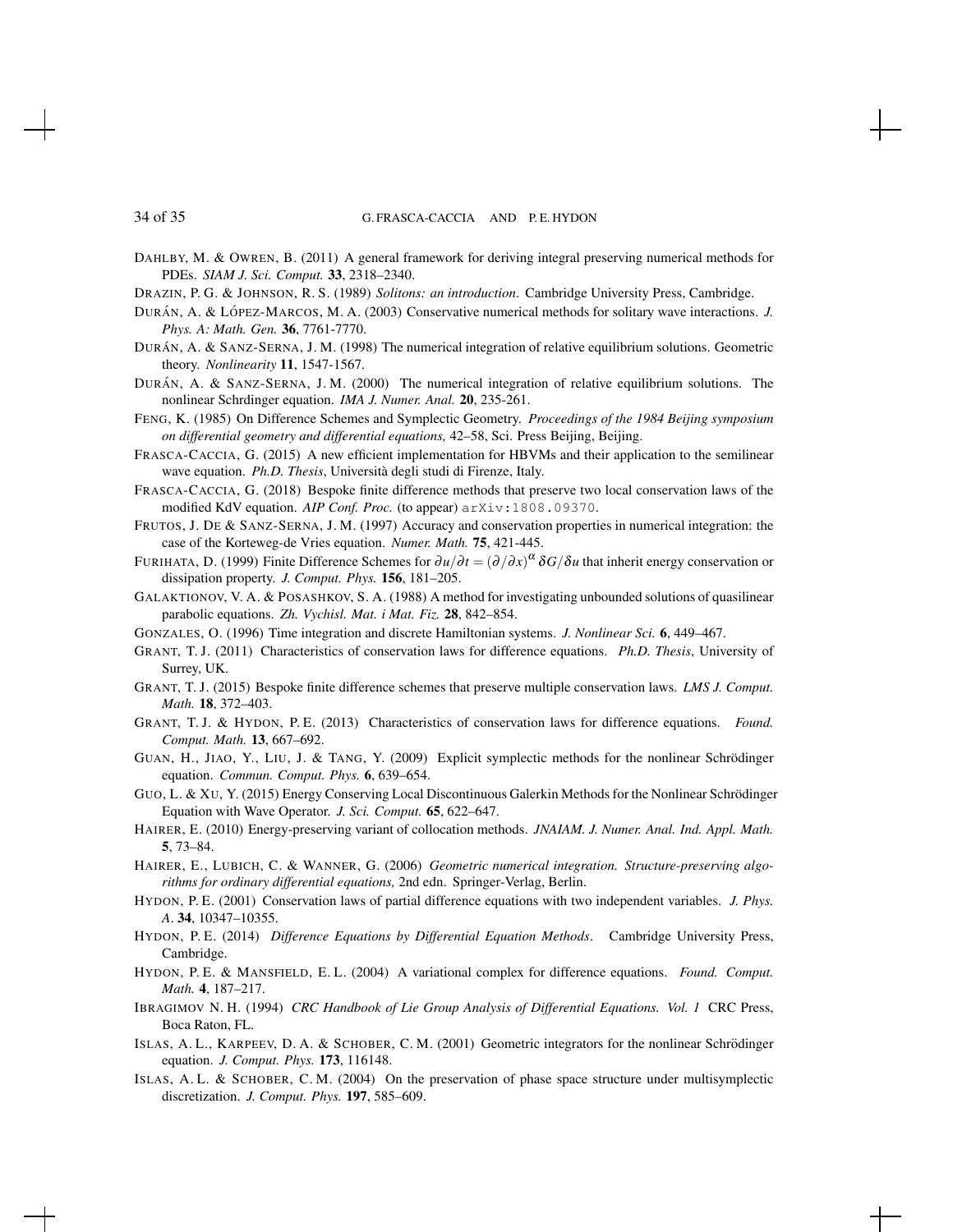DAHLBY, M. & OWREN, B. (2011) A general framework for deriving integral preserving numerical methods for PDEs. *SIAM J. Sci. Comput.* 33, 2318–2340.

- DRAZIN, P. G. & JOHNSON, R. S. (1989) *Solitons: an introduction*. Cambridge University Press, Cambridge.
- DURÁN, A. & LÓPEZ-MARCOS, M. A. (2003) Conservative numerical methods for solitary wave interactions. *J. Phys. A: Math. Gen.* 36, 7761-7770.
- DURÁN, A. & SANZ-SERNA, J. M. (1998) The numerical integration of relative equilibrium solutions. Geometric theory. *Nonlinearity* 11, 1547-1567.
- DURÁN, A. & SANZ-SERNA, J. M. (2000) The numerical integration of relative equilibrium solutions. The nonlinear Schrdinger equation. *IMA J. Numer. Anal.* 20, 235-261.
- FENG, K. (1985) On Difference Schemes and Symplectic Geometry. *Proceedings of the 1984 Beijing symposium on differential geometry and differential equations,* 42–58, Sci. Press Beijing, Beijing.
- FRASCA-CACCIA, G. (2015) A new efficient implementation for HBVMs and their application to the semilinear wave equation. *Ph.D. Thesis*, Universita degli studi di Firenze, Italy. `
- FRASCA-CACCIA, G. (2018) Bespoke finite difference methods that preserve two local conservation laws of the modified KdV equation. *AIP Conf. Proc.* (to appear) arXiv:1808.09370.
- FRUTOS, J. DE & SANZ-SERNA, J. M. (1997) Accuracy and conservation properties in numerical integration: the case of the Korteweg-de Vries equation. *Numer. Math.* 75, 421-445.
- FURIHATA, D. (1999) Finite Difference Schemes for ∂*u*/∂*t* = (∂/∂ *x*) α δ*G*/δ*u* that inherit energy conservation or dissipation property. *J. Comput. Phys.* 156, 181–205.
- GALAKTIONOV, V. A. & POSASHKOV, S. A. (1988) A method for investigating unbounded solutions of quasilinear parabolic equations. *Zh. Vychisl. Mat. i Mat. Fiz.* 28, 842–854.
- GONZALES, O. (1996) Time integration and discrete Hamiltonian systems. *J. Nonlinear Sci.* 6, 449–467.
- GRANT, T. J. (2011) Characteristics of conservation laws for difference equations. *Ph.D. Thesis*, University of Surrey, UK.
- GRANT, T. J. (2015) Bespoke finite difference schemes that preserve multiple conservation laws. *LMS J. Comput. Math.* 18, 372–403.
- GRANT, T. J. & HYDON, P. E. (2013) Characteristics of conservation laws for difference equations. *Found. Comput. Math.* 13, 667–692.
- GUAN, H., JIAO, Y., LIU, J. & TANG, Y. (2009) Explicit symplectic methods for the nonlinear Schrödinger equation. *Commun. Comput. Phys.* 6, 639–654.
- GUO, L. & XU, Y. (2015) Energy Conserving Local Discontinuous Galerkin Methods for the Nonlinear Schrödinger Equation with Wave Operator. *J. Sci. Comput.* 65, 622–647.
- HAIRER, E. (2010) Energy-preserving variant of collocation methods. *JNAIAM. J. Numer. Anal. Ind. Appl. Math.* 5, 73–84.
- HAIRER, E., LUBICH, C. & WANNER, G. (2006) *Geometric numerical integration. Structure-preserving algorithms for ordinary differential equations,* 2nd edn. Springer-Verlag, Berlin.
- HYDON, P. E. (2001) Conservation laws of partial difference equations with two independent variables. *J. Phys. A*. 34, 10347–10355.
- HYDON, P. E. (2014) *Difference Equations by Differential Equation Methods*. Cambridge University Press, Cambridge.
- HYDON, P. E. & MANSFIELD, E. L. (2004) A variational complex for difference equations. *Found. Comput. Math.* 4, 187–217.
- IBRAGIMOV N. H. (1994) *CRC Handbook of Lie Group Analysis of Differential Equations. Vol. 1* CRC Press, Boca Raton, FL.
- ISLAS, A. L., KARPEEV, D. A. & SCHOBER, C. M. (2001) Geometric integrators for the nonlinear Schrödinger equation. *J. Comput. Phys.* 173, 116148.
- ISLAS, A. L. & SCHOBER, C. M. (2004) On the preservation of phase space structure under multisymplectic discretization. *J. Comput. Phys.* 197, 585–609.